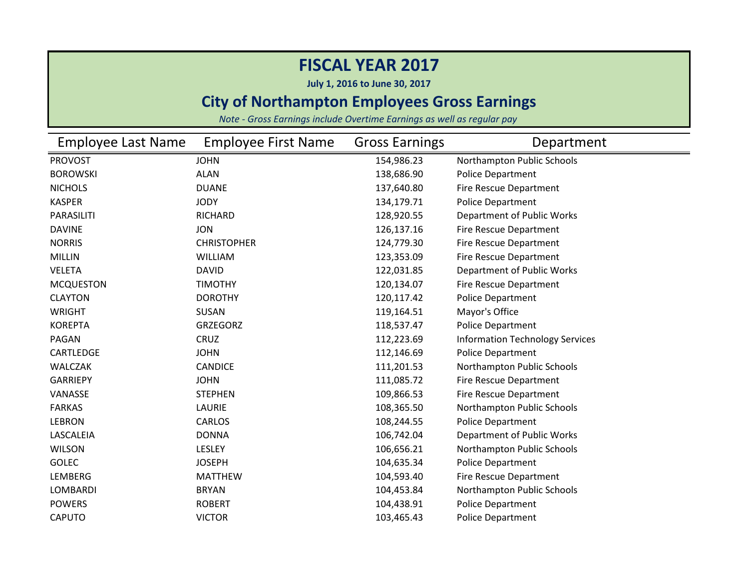**July 1, 2016 to June 30, 2017**

### **City of Northampton Employees Gross Earnings**

| <b>Employee Last Name</b> | <b>Employee First Name</b> | <b>Gross Earnings</b> | Department                             |
|---------------------------|----------------------------|-----------------------|----------------------------------------|
| <b>PROVOST</b>            | <b>JOHN</b>                | 154,986.23            | Northampton Public Schools             |
| <b>BOROWSKI</b>           | <b>ALAN</b>                | 138,686.90            | <b>Police Department</b>               |
| <b>NICHOLS</b>            | <b>DUANE</b>               | 137,640.80            | Fire Rescue Department                 |
| <b>KASPER</b>             | <b>JODY</b>                | 134,179.71            | <b>Police Department</b>               |
| <b>PARASILITI</b>         | RICHARD                    | 128,920.55            | Department of Public Works             |
| <b>DAVINE</b>             | <b>JON</b>                 | 126,137.16            | Fire Rescue Department                 |
| <b>NORRIS</b>             | <b>CHRISTOPHER</b>         | 124,779.30            | <b>Fire Rescue Department</b>          |
| <b>MILLIN</b>             | <b>WILLIAM</b>             | 123,353.09            | <b>Fire Rescue Department</b>          |
| <b>VELETA</b>             | <b>DAVID</b>               | 122,031.85            | Department of Public Works             |
| <b>MCQUESTON</b>          | <b>TIMOTHY</b>             | 120,134.07            | Fire Rescue Department                 |
| <b>CLAYTON</b>            | <b>DOROTHY</b>             | 120,117.42            | <b>Police Department</b>               |
| <b>WRIGHT</b>             | <b>SUSAN</b>               | 119,164.51            | Mayor's Office                         |
| <b>KOREPTA</b>            | <b>GRZEGORZ</b>            | 118,537.47            | Police Department                      |
| PAGAN                     | CRUZ                       | 112,223.69            | <b>Information Technology Services</b> |
| CARTLEDGE                 | <b>JOHN</b>                | 112,146.69            | <b>Police Department</b>               |
| <b>WALCZAK</b>            | <b>CANDICE</b>             | 111,201.53            | Northampton Public Schools             |
| <b>GARRIEPY</b>           | <b>JOHN</b>                | 111,085.72            | Fire Rescue Department                 |
| VANASSE                   | <b>STEPHEN</b>             | 109,866.53            | Fire Rescue Department                 |
| <b>FARKAS</b>             | <b>LAURIE</b>              | 108,365.50            | Northampton Public Schools             |
| <b>LEBRON</b>             | CARLOS                     | 108,244.55            | <b>Police Department</b>               |
| LASCALEIA                 | <b>DONNA</b>               | 106,742.04            | Department of Public Works             |
| <b>WILSON</b>             | LESLEY                     | 106,656.21            | Northampton Public Schools             |
| <b>GOLEC</b>              | <b>JOSEPH</b>              | 104,635.34            | <b>Police Department</b>               |
| LEMBERG                   | <b>MATTHEW</b>             | 104,593.40            | Fire Rescue Department                 |
| <b>LOMBARDI</b>           | <b>BRYAN</b>               | 104,453.84            | Northampton Public Schools             |
| <b>POWERS</b>             | <b>ROBERT</b>              | 104,438.91            | Police Department                      |
| <b>CAPUTO</b>             | <b>VICTOR</b>              | 103,465.43            | <b>Police Department</b>               |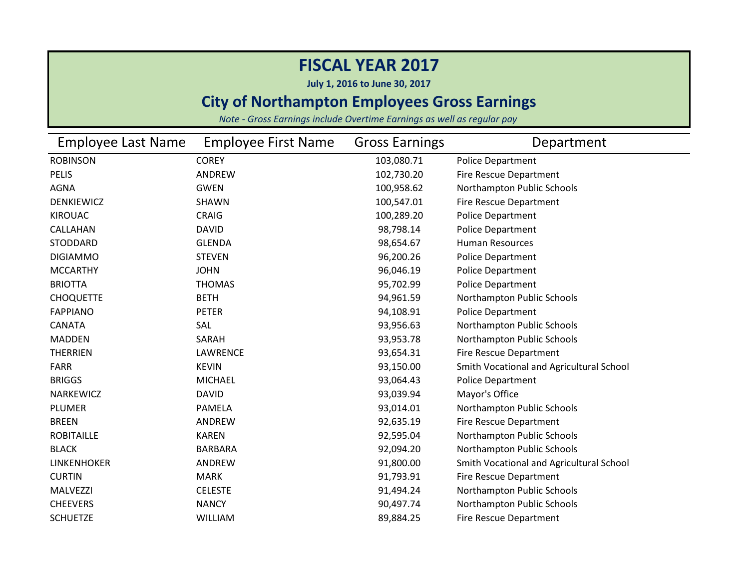**July 1, 2016 to June 30, 2017**

### **City of Northampton Employees Gross Earnings**

| <b>Employee Last Name</b> | <b>Employee First Name</b> | <b>Gross Earnings</b> | Department                               |
|---------------------------|----------------------------|-----------------------|------------------------------------------|
| <b>ROBINSON</b>           | <b>COREY</b>               | 103,080.71            | <b>Police Department</b>                 |
| <b>PELIS</b>              | ANDREW                     | 102,730.20            | <b>Fire Rescue Department</b>            |
| <b>AGNA</b>               | <b>GWEN</b>                | 100,958.62            | Northampton Public Schools               |
| <b>DENKIEWICZ</b>         | SHAWN                      | 100,547.01            | Fire Rescue Department                   |
| <b>KIROUAC</b>            | <b>CRAIG</b>               | 100,289.20            | <b>Police Department</b>                 |
| CALLAHAN                  | <b>DAVID</b>               | 98,798.14             | <b>Police Department</b>                 |
| <b>STODDARD</b>           | <b>GLENDA</b>              | 98,654.67             | <b>Human Resources</b>                   |
| <b>DIGIAMMO</b>           | <b>STEVEN</b>              | 96,200.26             | <b>Police Department</b>                 |
| <b>MCCARTHY</b>           | <b>JOHN</b>                | 96,046.19             | <b>Police Department</b>                 |
| <b>BRIOTTA</b>            | <b>THOMAS</b>              | 95,702.99             | <b>Police Department</b>                 |
| <b>CHOQUETTE</b>          | <b>BETH</b>                | 94,961.59             | Northampton Public Schools               |
| <b>FAPPIANO</b>           | <b>PETER</b>               | 94,108.91             | <b>Police Department</b>                 |
| <b>CANATA</b>             | SAL                        | 93,956.63             | Northampton Public Schools               |
| <b>MADDEN</b>             | SARAH                      | 93,953.78             | Northampton Public Schools               |
| <b>THERRIEN</b>           | <b>LAWRENCE</b>            | 93,654.31             | <b>Fire Rescue Department</b>            |
| <b>FARR</b>               | <b>KEVIN</b>               | 93,150.00             | Smith Vocational and Agricultural School |
| <b>BRIGGS</b>             | <b>MICHAEL</b>             | 93,064.43             | <b>Police Department</b>                 |
| NARKEWICZ                 | <b>DAVID</b>               | 93,039.94             | Mayor's Office                           |
| <b>PLUMER</b>             | <b>PAMELA</b>              | 93,014.01             | Northampton Public Schools               |
| <b>BREEN</b>              | <b>ANDREW</b>              | 92,635.19             | Fire Rescue Department                   |
| <b>ROBITAILLE</b>         | <b>KAREN</b>               | 92,595.04             | Northampton Public Schools               |
| <b>BLACK</b>              | <b>BARBARA</b>             | 92,094.20             | Northampton Public Schools               |
| <b>LINKENHOKER</b>        | <b>ANDREW</b>              | 91,800.00             | Smith Vocational and Agricultural School |
| <b>CURTIN</b>             | MARK                       | 91,793.91             | Fire Rescue Department                   |
| <b>MALVEZZI</b>           | <b>CELESTE</b>             | 91,494.24             | Northampton Public Schools               |
| <b>CHEEVERS</b>           | <b>NANCY</b>               | 90,497.74             | Northampton Public Schools               |
| <b>SCHUETZE</b>           | <b>WILLIAM</b>             | 89,884.25             | Fire Rescue Department                   |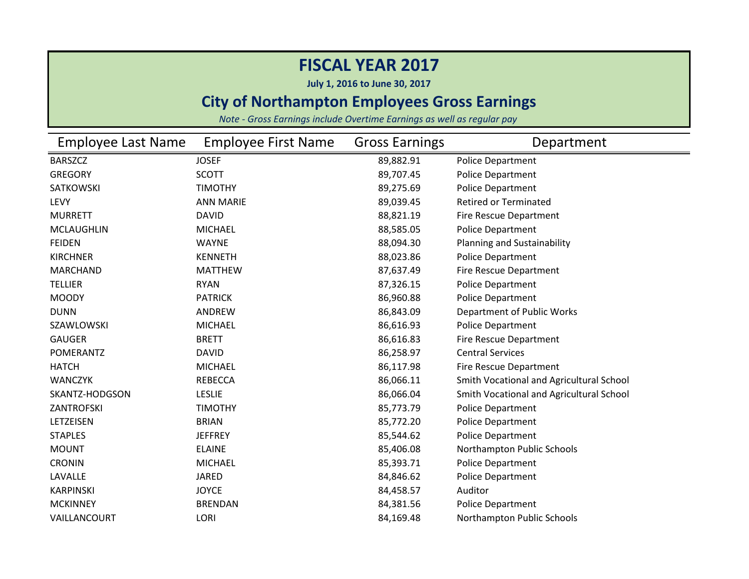**July 1, 2016 to June 30, 2017**

### **City of Northampton Employees Gross Earnings**

| <b>Employee Last Name</b> | <b>Employee First Name</b> | <b>Gross Earnings</b> | Department                               |
|---------------------------|----------------------------|-----------------------|------------------------------------------|
| <b>BARSZCZ</b>            | <b>JOSEF</b>               | 89,882.91             | <b>Police Department</b>                 |
| <b>GREGORY</b>            | <b>SCOTT</b>               | 89,707.45             | <b>Police Department</b>                 |
| <b>SATKOWSKI</b>          | <b>TIMOTHY</b>             | 89,275.69             | <b>Police Department</b>                 |
| LEVY                      | <b>ANN MARIE</b>           | 89,039.45             | <b>Retired or Terminated</b>             |
| <b>MURRETT</b>            | <b>DAVID</b>               | 88,821.19             | Fire Rescue Department                   |
| <b>MCLAUGHLIN</b>         | <b>MICHAEL</b>             | 88,585.05             | Police Department                        |
| <b>FEIDEN</b>             | <b>WAYNE</b>               | 88,094.30             | Planning and Sustainability              |
| <b>KIRCHNER</b>           | <b>KENNETH</b>             | 88,023.86             | Police Department                        |
| <b>MARCHAND</b>           | <b>MATTHEW</b>             | 87,637.49             | Fire Rescue Department                   |
| <b>TELLIER</b>            | <b>RYAN</b>                | 87,326.15             | Police Department                        |
| <b>MOODY</b>              | <b>PATRICK</b>             | 86,960.88             | <b>Police Department</b>                 |
| <b>DUNN</b>               | ANDREW                     | 86,843.09             | Department of Public Works               |
| SZAWLOWSKI                | <b>MICHAEL</b>             | 86,616.93             | Police Department                        |
| <b>GAUGER</b>             | <b>BRETT</b>               | 86,616.83             | Fire Rescue Department                   |
| POMERANTZ                 | <b>DAVID</b>               | 86,258.97             | <b>Central Services</b>                  |
| <b>HATCH</b>              | <b>MICHAEL</b>             | 86,117.98             | Fire Rescue Department                   |
| <b>WANCZYK</b>            | <b>REBECCA</b>             | 86,066.11             | Smith Vocational and Agricultural School |
| SKANTZ-HODGSON            | <b>LESLIE</b>              | 86,066.04             | Smith Vocational and Agricultural School |
| <b>ZANTROFSKI</b>         | <b>TIMOTHY</b>             | 85,773.79             | Police Department                        |
| LETZEISEN                 | <b>BRIAN</b>               | 85,772.20             | <b>Police Department</b>                 |
| <b>STAPLES</b>            | <b>JEFFREY</b>             | 85,544.62             | <b>Police Department</b>                 |
| <b>MOUNT</b>              | <b>ELAINE</b>              | 85,406.08             | Northampton Public Schools               |
| <b>CRONIN</b>             | <b>MICHAEL</b>             | 85,393.71             | <b>Police Department</b>                 |
| LAVALLE                   | <b>JARED</b>               | 84,846.62             | Police Department                        |
| <b>KARPINSKI</b>          | <b>JOYCE</b>               | 84,458.57             | Auditor                                  |
| <b>MCKINNEY</b>           | <b>BRENDAN</b>             | 84,381.56             | <b>Police Department</b>                 |
| VAILLANCOURT              | LORI                       | 84,169.48             | Northampton Public Schools               |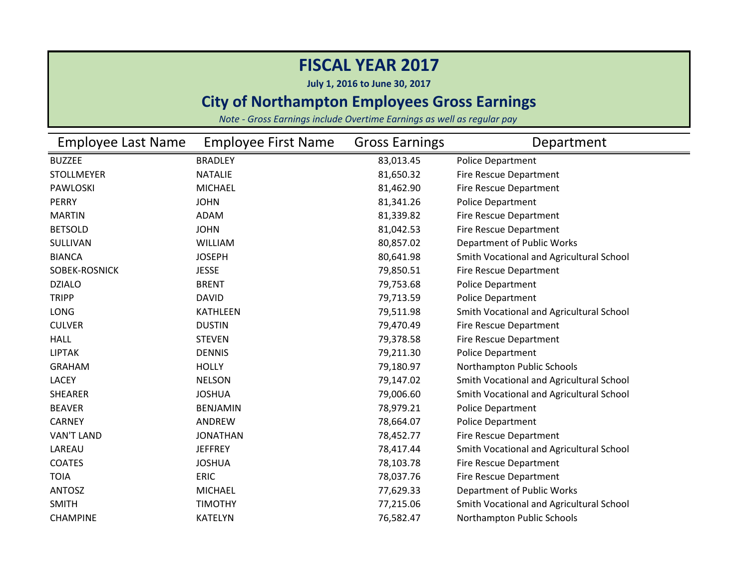**July 1, 2016 to June 30, 2017**

### **City of Northampton Employees Gross Earnings**

| Employee Last Name | <b>Employee First Name</b> | <b>Gross Earnings</b> | Department                               |
|--------------------|----------------------------|-----------------------|------------------------------------------|
| <b>BUZZEE</b>      | <b>BRADLEY</b>             | 83,013.45             | Police Department                        |
| <b>STOLLMEYER</b>  | <b>NATALIE</b>             | 81,650.32             | Fire Rescue Department                   |
| <b>PAWLOSKI</b>    | <b>MICHAEL</b>             | 81,462.90             | Fire Rescue Department                   |
| <b>PERRY</b>       | <b>JOHN</b>                | 81,341.26             | Police Department                        |
| <b>MARTIN</b>      | <b>ADAM</b>                | 81,339.82             | Fire Rescue Department                   |
| <b>BETSOLD</b>     | <b>JOHN</b>                | 81,042.53             | Fire Rescue Department                   |
| SULLIVAN           | <b>WILLIAM</b>             | 80,857.02             | Department of Public Works               |
| <b>BIANCA</b>      | <b>JOSEPH</b>              | 80,641.98             | Smith Vocational and Agricultural School |
| SOBEK-ROSNICK      | <b>JESSE</b>               | 79,850.51             | Fire Rescue Department                   |
| <b>DZIALO</b>      | <b>BRENT</b>               | 79,753.68             | Police Department                        |
| <b>TRIPP</b>       | <b>DAVID</b>               | 79,713.59             | Police Department                        |
| LONG               | <b>KATHLEEN</b>            | 79,511.98             | Smith Vocational and Agricultural School |
| <b>CULVER</b>      | <b>DUSTIN</b>              | 79,470.49             | Fire Rescue Department                   |
| <b>HALL</b>        | <b>STEVEN</b>              | 79,378.58             | Fire Rescue Department                   |
| <b>LIPTAK</b>      | <b>DENNIS</b>              | 79,211.30             | Police Department                        |
| <b>GRAHAM</b>      | <b>HOLLY</b>               | 79,180.97             | Northampton Public Schools               |
| <b>LACEY</b>       | <b>NELSON</b>              | 79,147.02             | Smith Vocational and Agricultural School |
| <b>SHEARER</b>     | <b>JOSHUA</b>              | 79,006.60             | Smith Vocational and Agricultural School |
| <b>BEAVER</b>      | <b>BENJAMIN</b>            | 78,979.21             | Police Department                        |
| <b>CARNEY</b>      | ANDREW                     | 78,664.07             | Police Department                        |
| <b>VAN'T LAND</b>  | <b>JONATHAN</b>            | 78,452.77             | Fire Rescue Department                   |
| LAREAU             | <b>JEFFREY</b>             | 78,417.44             | Smith Vocational and Agricultural School |
| <b>COATES</b>      | <b>JOSHUA</b>              | 78,103.78             | Fire Rescue Department                   |
| <b>TOIA</b>        | <b>ERIC</b>                | 78,037.76             | Fire Rescue Department                   |
| <b>ANTOSZ</b>      | <b>MICHAEL</b>             | 77,629.33             | Department of Public Works               |
| <b>SMITH</b>       | <b>TIMOTHY</b>             | 77,215.06             | Smith Vocational and Agricultural School |
| <b>CHAMPINE</b>    | <b>KATELYN</b>             | 76,582.47             | Northampton Public Schools               |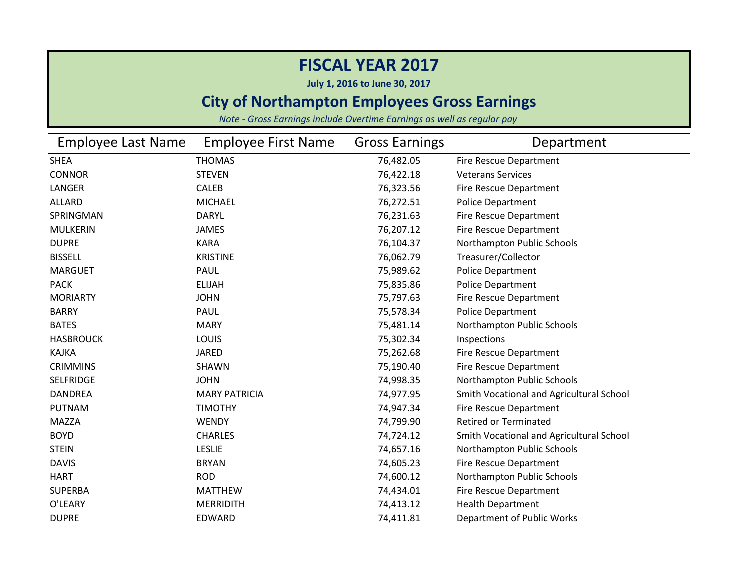**July 1, 2016 to June 30, 2017**

### **City of Northampton Employees Gross Earnings**

| <b>Employee Last Name</b> | <b>Employee First Name</b> | <b>Gross Earnings</b> | Department                               |
|---------------------------|----------------------------|-----------------------|------------------------------------------|
| <b>SHEA</b>               | <b>THOMAS</b>              | 76,482.05             | Fire Rescue Department                   |
| <b>CONNOR</b>             | <b>STEVEN</b>              | 76,422.18             | <b>Veterans Services</b>                 |
| LANGER                    | <b>CALEB</b>               | 76,323.56             | Fire Rescue Department                   |
| <b>ALLARD</b>             | <b>MICHAEL</b>             | 76,272.51             | Police Department                        |
| SPRINGMAN                 | <b>DARYL</b>               | 76,231.63             | Fire Rescue Department                   |
| <b>MULKERIN</b>           | <b>JAMES</b>               | 76,207.12             | Fire Rescue Department                   |
| <b>DUPRE</b>              | <b>KARA</b>                | 76,104.37             | Northampton Public Schools               |
| <b>BISSELL</b>            | <b>KRISTINE</b>            | 76,062.79             | Treasurer/Collector                      |
| <b>MARGUET</b>            | PAUL                       | 75,989.62             | Police Department                        |
| <b>PACK</b>               | <b>ELIJAH</b>              | 75,835.86             | Police Department                        |
| <b>MORIARTY</b>           | <b>JOHN</b>                | 75,797.63             | Fire Rescue Department                   |
| <b>BARRY</b>              | PAUL                       | 75,578.34             | <b>Police Department</b>                 |
| <b>BATES</b>              | <b>MARY</b>                | 75,481.14             | Northampton Public Schools               |
| <b>HASBROUCK</b>          | <b>LOUIS</b>               | 75,302.34             | Inspections                              |
| <b>KAJKA</b>              | <b>JARED</b>               | 75,262.68             | Fire Rescue Department                   |
| <b>CRIMMINS</b>           | <b>SHAWN</b>               | 75,190.40             | Fire Rescue Department                   |
| <b>SELFRIDGE</b>          | <b>JOHN</b>                | 74,998.35             | Northampton Public Schools               |
| <b>DANDREA</b>            | <b>MARY PATRICIA</b>       | 74,977.95             | Smith Vocational and Agricultural School |
| <b>PUTNAM</b>             | <b>TIMOTHY</b>             | 74,947.34             | Fire Rescue Department                   |
| <b>MAZZA</b>              | <b>WENDY</b>               | 74,799.90             | <b>Retired or Terminated</b>             |
| <b>BOYD</b>               | <b>CHARLES</b>             | 74,724.12             | Smith Vocational and Agricultural School |
| <b>STEIN</b>              | <b>LESLIE</b>              | 74,657.16             | Northampton Public Schools               |
| <b>DAVIS</b>              | <b>BRYAN</b>               | 74,605.23             | Fire Rescue Department                   |
| <b>HART</b>               | <b>ROD</b>                 | 74,600.12             | Northampton Public Schools               |
| <b>SUPERBA</b>            | <b>MATTHEW</b>             | 74,434.01             | Fire Rescue Department                   |
| O'LEARY                   | <b>MERRIDITH</b>           | 74,413.12             | <b>Health Department</b>                 |
| <b>DUPRE</b>              | <b>EDWARD</b>              | 74,411.81             | Department of Public Works               |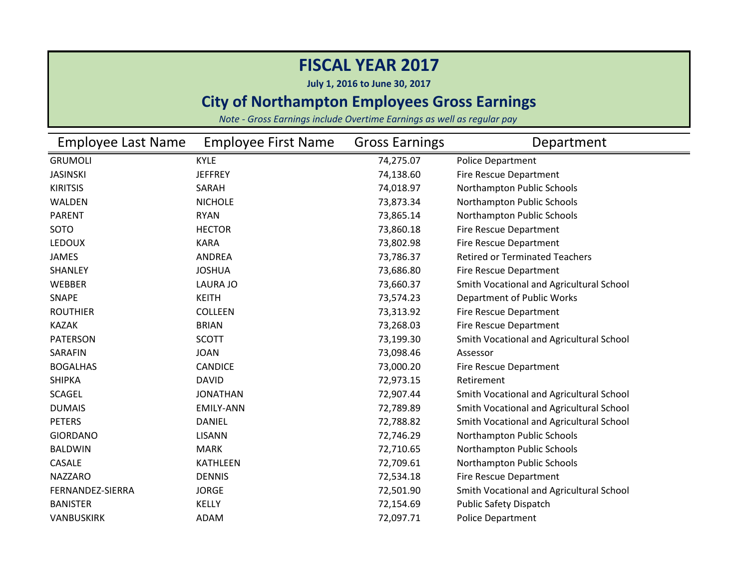**July 1, 2016 to June 30, 2017**

### **City of Northampton Employees Gross Earnings**

| <b>Employee Last Name</b> | <b>Employee First Name</b> | <b>Gross Earnings</b> | Department                               |
|---------------------------|----------------------------|-----------------------|------------------------------------------|
| <b>GRUMOLI</b>            | <b>KYLE</b>                | 74,275.07             | <b>Police Department</b>                 |
| <b>JASINSKI</b>           | <b>JEFFREY</b>             | 74,138.60             | Fire Rescue Department                   |
| <b>KIRITSIS</b>           | SARAH                      | 74,018.97             | Northampton Public Schools               |
| WALDEN                    | <b>NICHOLE</b>             | 73,873.34             | Northampton Public Schools               |
| <b>PARENT</b>             | <b>RYAN</b>                | 73,865.14             | Northampton Public Schools               |
| SOTO                      | <b>HECTOR</b>              | 73,860.18             | Fire Rescue Department                   |
| <b>LEDOUX</b>             | <b>KARA</b>                | 73,802.98             | Fire Rescue Department                   |
| <b>JAMES</b>              | <b>ANDREA</b>              | 73,786.37             | <b>Retired or Terminated Teachers</b>    |
| SHANLEY                   | <b>JOSHUA</b>              | 73,686.80             | Fire Rescue Department                   |
| WEBBER                    | <b>LAURA JO</b>            | 73,660.37             | Smith Vocational and Agricultural School |
| SNAPE                     | <b>KEITH</b>               | 73,574.23             | Department of Public Works               |
| <b>ROUTHIER</b>           | <b>COLLEEN</b>             | 73,313.92             | Fire Rescue Department                   |
| <b>KAZAK</b>              | <b>BRIAN</b>               | 73,268.03             | Fire Rescue Department                   |
| <b>PATERSON</b>           | <b>SCOTT</b>               | 73,199.30             | Smith Vocational and Agricultural School |
| SARAFIN                   | <b>JOAN</b>                | 73,098.46             | Assessor                                 |
| <b>BOGALHAS</b>           | <b>CANDICE</b>             | 73,000.20             | Fire Rescue Department                   |
| <b>SHIPKA</b>             | <b>DAVID</b>               | 72,973.15             | Retirement                               |
| <b>SCAGEL</b>             | <b>JONATHAN</b>            | 72,907.44             | Smith Vocational and Agricultural School |
| <b>DUMAIS</b>             | <b>EMILY-ANN</b>           | 72,789.89             | Smith Vocational and Agricultural School |
| <b>PETERS</b>             | <b>DANIEL</b>              | 72,788.82             | Smith Vocational and Agricultural School |
| <b>GIORDANO</b>           | <b>LISANN</b>              | 72,746.29             | Northampton Public Schools               |
| <b>BALDWIN</b>            | <b>MARK</b>                | 72,710.65             | Northampton Public Schools               |
| <b>CASALE</b>             | <b>KATHLEEN</b>            | 72,709.61             | Northampton Public Schools               |
| <b>NAZZARO</b>            | <b>DENNIS</b>              | 72,534.18             | Fire Rescue Department                   |
| FERNANDEZ-SIERRA          | <b>JORGE</b>               | 72,501.90             | Smith Vocational and Agricultural School |
| <b>BANISTER</b>           | <b>KELLY</b>               | 72,154.69             | <b>Public Safety Dispatch</b>            |
| VANBUSKIRK                | <b>ADAM</b>                | 72,097.71             | <b>Police Department</b>                 |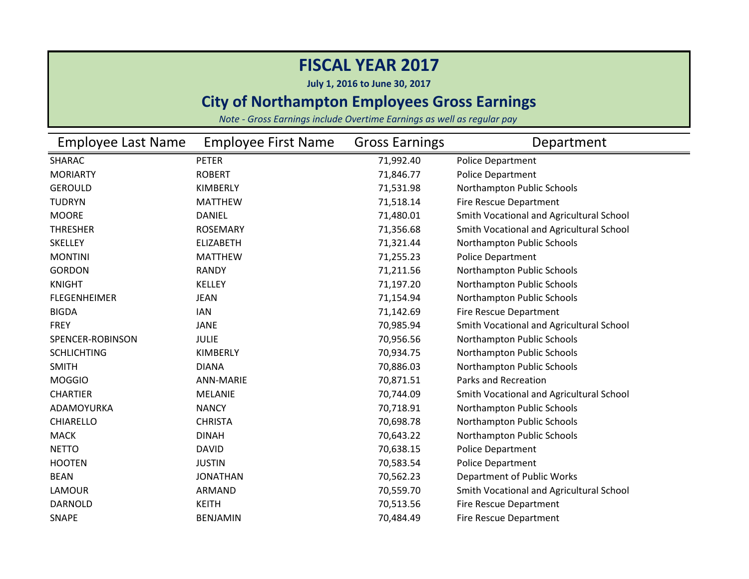**July 1, 2016 to June 30, 2017**

### **City of Northampton Employees Gross Earnings**

| Employee Last Name  | <b>Employee First Name</b> | <b>Gross Earnings</b> | Department                               |
|---------------------|----------------------------|-----------------------|------------------------------------------|
| SHARAC              | <b>PETER</b>               | 71,992.40             | Police Department                        |
| <b>MORIARTY</b>     | <b>ROBERT</b>              | 71,846.77             | Police Department                        |
| <b>GEROULD</b>      | KIMBERLY                   | 71,531.98             | Northampton Public Schools               |
| <b>TUDRYN</b>       | <b>MATTHEW</b>             | 71,518.14             | Fire Rescue Department                   |
| <b>MOORE</b>        | <b>DANIEL</b>              | 71,480.01             | Smith Vocational and Agricultural School |
| <b>THRESHER</b>     | <b>ROSEMARY</b>            | 71,356.68             | Smith Vocational and Agricultural School |
| <b>SKELLEY</b>      | <b>ELIZABETH</b>           | 71,321.44             | Northampton Public Schools               |
| <b>MONTINI</b>      | <b>MATTHEW</b>             | 71,255.23             | Police Department                        |
| <b>GORDON</b>       | <b>RANDY</b>               | 71,211.56             | Northampton Public Schools               |
| <b>KNIGHT</b>       | <b>KELLEY</b>              | 71,197.20             | Northampton Public Schools               |
| <b>FLEGENHEIMER</b> | <b>JEAN</b>                | 71,154.94             | Northampton Public Schools               |
| <b>BIGDA</b>        | <b>IAN</b>                 | 71,142.69             | Fire Rescue Department                   |
| <b>FREY</b>         | <b>JANE</b>                | 70,985.94             | Smith Vocational and Agricultural School |
| SPENCER-ROBINSON    | <b>JULIE</b>               | 70,956.56             | Northampton Public Schools               |
| <b>SCHLICHTING</b>  | KIMBERLY                   | 70,934.75             | Northampton Public Schools               |
| <b>SMITH</b>        | <b>DIANA</b>               | 70,886.03             | Northampton Public Schools               |
| <b>MOGGIO</b>       | ANN-MARIE                  | 70,871.51             | Parks and Recreation                     |
| <b>CHARTIER</b>     | <b>MELANIE</b>             | 70,744.09             | Smith Vocational and Agricultural School |
| ADAMOYURKA          | <b>NANCY</b>               | 70,718.91             | Northampton Public Schools               |
| <b>CHIARELLO</b>    | <b>CHRISTA</b>             | 70,698.78             | Northampton Public Schools               |
| <b>MACK</b>         | <b>DINAH</b>               | 70,643.22             | Northampton Public Schools               |
| <b>NETTO</b>        | <b>DAVID</b>               | 70,638.15             | Police Department                        |
| <b>HOOTEN</b>       | <b>JUSTIN</b>              | 70,583.54             | Police Department                        |
| <b>BEAN</b>         | <b>JONATHAN</b>            | 70,562.23             | Department of Public Works               |
| LAMOUR              | <b>ARMAND</b>              | 70,559.70             | Smith Vocational and Agricultural School |
| <b>DARNOLD</b>      | <b>KEITH</b>               | 70,513.56             | Fire Rescue Department                   |
| <b>SNAPE</b>        | <b>BENJAMIN</b>            | 70,484.49             | Fire Rescue Department                   |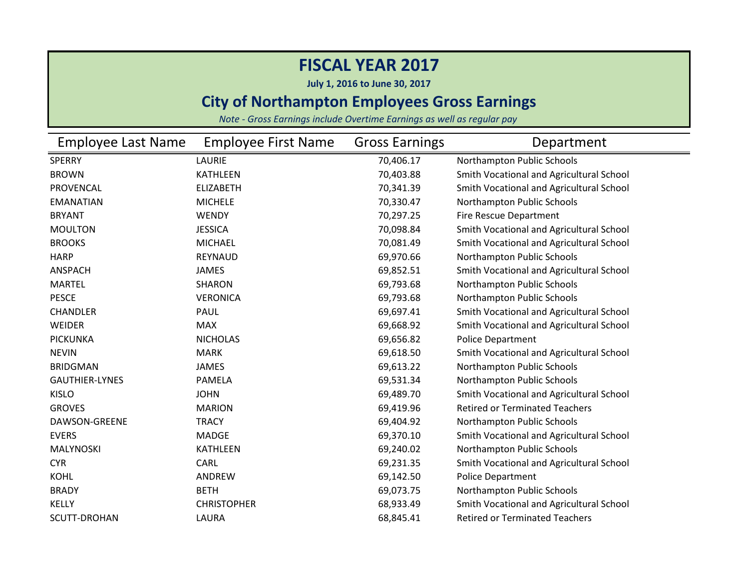**July 1, 2016 to June 30, 2017**

### **City of Northampton Employees Gross Earnings**

| Employee Last Name    | <b>Employee First Name</b> | <b>Gross Earnings</b> | Department                               |
|-----------------------|----------------------------|-----------------------|------------------------------------------|
| <b>SPERRY</b>         | <b>LAURIE</b>              | 70,406.17             | Northampton Public Schools               |
| <b>BROWN</b>          | <b>KATHLEEN</b>            | 70,403.88             | Smith Vocational and Agricultural School |
| PROVENCAL             | <b>ELIZABETH</b>           | 70,341.39             | Smith Vocational and Agricultural School |
| <b>EMANATIAN</b>      | <b>MICHELE</b>             | 70,330.47             | Northampton Public Schools               |
| <b>BRYANT</b>         | <b>WENDY</b>               | 70,297.25             | <b>Fire Rescue Department</b>            |
| <b>MOULTON</b>        | <b>JESSICA</b>             | 70,098.84             | Smith Vocational and Agricultural School |
| <b>BROOKS</b>         | <b>MICHAEL</b>             | 70,081.49             | Smith Vocational and Agricultural School |
| <b>HARP</b>           | <b>REYNAUD</b>             | 69,970.66             | Northampton Public Schools               |
| <b>ANSPACH</b>        | <b>JAMES</b>               | 69,852.51             | Smith Vocational and Agricultural School |
| <b>MARTEL</b>         | <b>SHARON</b>              | 69,793.68             | Northampton Public Schools               |
| <b>PESCE</b>          | <b>VERONICA</b>            | 69,793.68             | Northampton Public Schools               |
| CHANDLER              | PAUL                       | 69,697.41             | Smith Vocational and Agricultural School |
| WEIDER                | <b>MAX</b>                 | 69,668.92             | Smith Vocational and Agricultural School |
| <b>PICKUNKA</b>       | <b>NICHOLAS</b>            | 69,656.82             | <b>Police Department</b>                 |
| <b>NEVIN</b>          | <b>MARK</b>                | 69,618.50             | Smith Vocational and Agricultural School |
| <b>BRIDGMAN</b>       | <b>JAMES</b>               | 69,613.22             | Northampton Public Schools               |
| <b>GAUTHIER-LYNES</b> | <b>PAMELA</b>              | 69,531.34             | Northampton Public Schools               |
| <b>KISLO</b>          | <b>JOHN</b>                | 69,489.70             | Smith Vocational and Agricultural School |
| <b>GROVES</b>         | <b>MARION</b>              | 69,419.96             | <b>Retired or Terminated Teachers</b>    |
| DAWSON-GREENE         | <b>TRACY</b>               | 69,404.92             | Northampton Public Schools               |
| <b>EVERS</b>          | <b>MADGE</b>               | 69,370.10             | Smith Vocational and Agricultural School |
| MALYNOSKI             | <b>KATHLEEN</b>            | 69,240.02             | Northampton Public Schools               |
| <b>CYR</b>            | <b>CARL</b>                | 69,231.35             | Smith Vocational and Agricultural School |
| <b>KOHL</b>           | ANDREW                     | 69,142.50             | <b>Police Department</b>                 |
| <b>BRADY</b>          | <b>BETH</b>                | 69,073.75             | Northampton Public Schools               |
| <b>KELLY</b>          | <b>CHRISTOPHER</b>         | 68,933.49             | Smith Vocational and Agricultural School |
| <b>SCUTT-DROHAN</b>   | LAURA                      | 68,845.41             | <b>Retired or Terminated Teachers</b>    |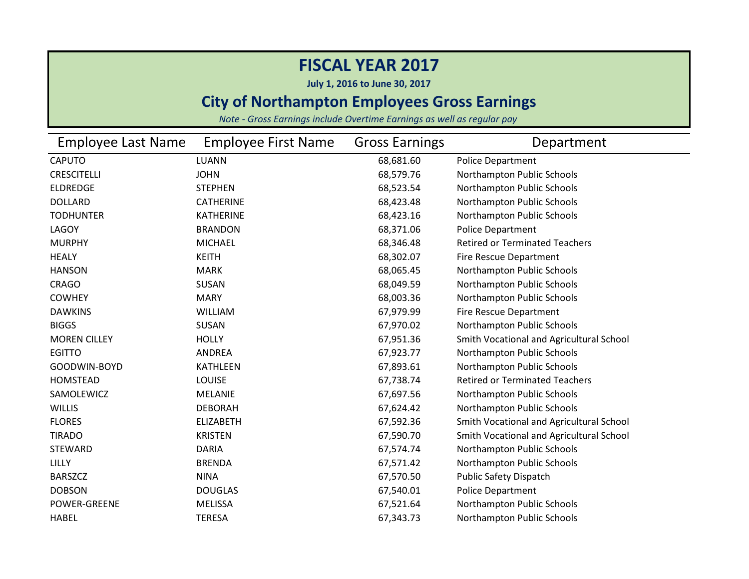**July 1, 2016 to June 30, 2017**

### **City of Northampton Employees Gross Earnings**

| <b>Employee Last Name</b> | <b>Employee First Name</b> | <b>Gross Earnings</b> | Department                               |
|---------------------------|----------------------------|-----------------------|------------------------------------------|
| <b>CAPUTO</b>             | <b>LUANN</b>               | 68,681.60             | Police Department                        |
| <b>CRESCITELLI</b>        | <b>JOHN</b>                | 68,579.76             | Northampton Public Schools               |
| <b>ELDREDGE</b>           | <b>STEPHEN</b>             | 68,523.54             | Northampton Public Schools               |
| <b>DOLLARD</b>            | <b>CATHERINE</b>           | 68,423.48             | Northampton Public Schools               |
| <b>TODHUNTER</b>          | <b>KATHERINE</b>           | 68,423.16             | Northampton Public Schools               |
| LAGOY                     | <b>BRANDON</b>             | 68,371.06             | <b>Police Department</b>                 |
| <b>MURPHY</b>             | <b>MICHAEL</b>             | 68,346.48             | <b>Retired or Terminated Teachers</b>    |
| <b>HEALY</b>              | <b>KEITH</b>               | 68,302.07             | Fire Rescue Department                   |
| <b>HANSON</b>             | <b>MARK</b>                | 68,065.45             | Northampton Public Schools               |
| <b>CRAGO</b>              | SUSAN                      | 68,049.59             | Northampton Public Schools               |
| <b>COWHEY</b>             | <b>MARY</b>                | 68,003.36             | Northampton Public Schools               |
| <b>DAWKINS</b>            | <b>WILLIAM</b>             | 67,979.99             | Fire Rescue Department                   |
| <b>BIGGS</b>              | <b>SUSAN</b>               | 67,970.02             | Northampton Public Schools               |
| <b>MOREN CILLEY</b>       | <b>HOLLY</b>               | 67,951.36             | Smith Vocational and Agricultural School |
| <b>EGITTO</b>             | <b>ANDREA</b>              | 67,923.77             | Northampton Public Schools               |
| GOODWIN-BOYD              | <b>KATHLEEN</b>            | 67,893.61             | Northampton Public Schools               |
| <b>HOMSTEAD</b>           | <b>LOUISE</b>              | 67,738.74             | <b>Retired or Terminated Teachers</b>    |
| SAMOLEWICZ                | <b>MELANIE</b>             | 67,697.56             | Northampton Public Schools               |
| <b>WILLIS</b>             | <b>DEBORAH</b>             | 67,624.42             | Northampton Public Schools               |
| <b>FLORES</b>             | <b>ELIZABETH</b>           | 67,592.36             | Smith Vocational and Agricultural School |
| <b>TIRADO</b>             | <b>KRISTEN</b>             | 67,590.70             | Smith Vocational and Agricultural School |
| <b>STEWARD</b>            | <b>DARIA</b>               | 67,574.74             | Northampton Public Schools               |
| LILLY                     | <b>BRENDA</b>              | 67,571.42             | Northampton Public Schools               |
| <b>BARSZCZ</b>            | <b>NINA</b>                | 67,570.50             | <b>Public Safety Dispatch</b>            |
| <b>DOBSON</b>             | <b>DOUGLAS</b>             | 67,540.01             | <b>Police Department</b>                 |
| <b>POWER-GREENE</b>       | <b>MELISSA</b>             | 67,521.64             | Northampton Public Schools               |
| <b>HABEL</b>              | <b>TERESA</b>              | 67,343.73             | Northampton Public Schools               |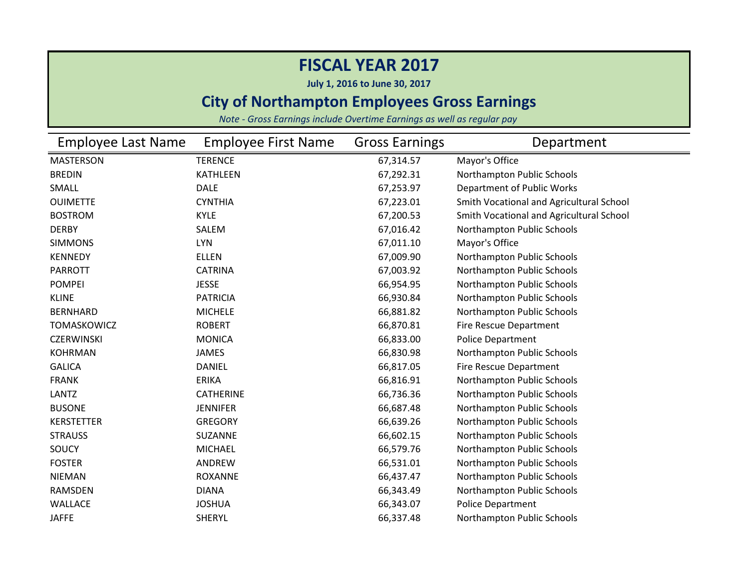**July 1, 2016 to June 30, 2017**

### **City of Northampton Employees Gross Earnings**

| <b>Employee Last Name</b> | <b>Employee First Name</b> | <b>Gross Earnings</b> | Department                               |
|---------------------------|----------------------------|-----------------------|------------------------------------------|
| <b>MASTERSON</b>          | <b>TERENCE</b>             | 67,314.57             | Mayor's Office                           |
| <b>BREDIN</b>             | <b>KATHLEEN</b>            | 67,292.31             | Northampton Public Schools               |
| <b>SMALL</b>              | <b>DALE</b>                | 67,253.97             | Department of Public Works               |
| <b>OUIMETTE</b>           | <b>CYNTHIA</b>             | 67,223.01             | Smith Vocational and Agricultural School |
| <b>BOSTROM</b>            | <b>KYLE</b>                | 67,200.53             | Smith Vocational and Agricultural School |
| <b>DERBY</b>              | SALEM                      | 67,016.42             | Northampton Public Schools               |
| <b>SIMMONS</b>            | <b>LYN</b>                 | 67,011.10             | Mayor's Office                           |
| <b>KENNEDY</b>            | <b>ELLEN</b>               | 67,009.90             | Northampton Public Schools               |
| <b>PARROTT</b>            | <b>CATRINA</b>             | 67,003.92             | Northampton Public Schools               |
| <b>POMPEI</b>             | <b>JESSE</b>               | 66,954.95             | Northampton Public Schools               |
| <b>KLINE</b>              | <b>PATRICIA</b>            | 66,930.84             | Northampton Public Schools               |
| <b>BERNHARD</b>           | <b>MICHELE</b>             | 66,881.82             | Northampton Public Schools               |
| <b>TOMASKOWICZ</b>        | <b>ROBERT</b>              | 66,870.81             | <b>Fire Rescue Department</b>            |
| <b>CZERWINSKI</b>         | <b>MONICA</b>              | 66,833.00             | <b>Police Department</b>                 |
| <b>KOHRMAN</b>            | <b>JAMES</b>               | 66,830.98             | Northampton Public Schools               |
| <b>GALICA</b>             | <b>DANIEL</b>              | 66,817.05             | Fire Rescue Department                   |
| <b>FRANK</b>              | <b>ERIKA</b>               | 66,816.91             | Northampton Public Schools               |
| <b>LANTZ</b>              | <b>CATHERINE</b>           | 66,736.36             | Northampton Public Schools               |
| <b>BUSONE</b>             | <b>JENNIFER</b>            | 66,687.48             | Northampton Public Schools               |
| <b>KERSTETTER</b>         | <b>GREGORY</b>             | 66,639.26             | Northampton Public Schools               |
| <b>STRAUSS</b>            | SUZANNE                    | 66,602.15             | Northampton Public Schools               |
| SOUCY                     | <b>MICHAEL</b>             | 66,579.76             | Northampton Public Schools               |
| <b>FOSTER</b>             | ANDREW                     | 66,531.01             | Northampton Public Schools               |
| <b>NIEMAN</b>             | <b>ROXANNE</b>             | 66,437.47             | Northampton Public Schools               |
| <b>RAMSDEN</b>            | <b>DIANA</b>               | 66,343.49             | Northampton Public Schools               |
| <b>WALLACE</b>            | <b>JOSHUA</b>              | 66,343.07             | <b>Police Department</b>                 |
| <b>JAFFE</b>              | <b>SHERYL</b>              | 66,337.48             | Northampton Public Schools               |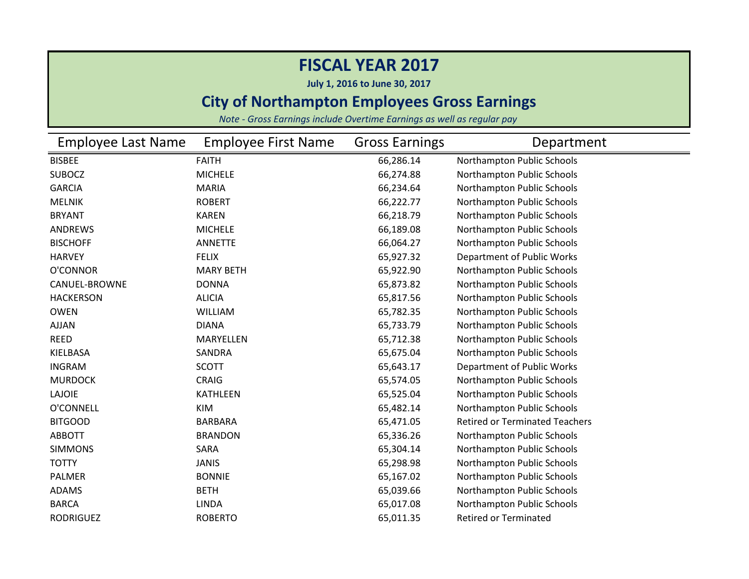**July 1, 2016 to June 30, 2017**

### **City of Northampton Employees Gross Earnings**

| <b>Employee Last Name</b> | <b>Employee First Name</b> | <b>Gross Earnings</b> | Department                            |
|---------------------------|----------------------------|-----------------------|---------------------------------------|
| <b>BISBEE</b>             | <b>FAITH</b>               | 66,286.14             | Northampton Public Schools            |
| <b>SUBOCZ</b>             | <b>MICHELE</b>             | 66,274.88             | Northampton Public Schools            |
| <b>GARCIA</b>             | <b>MARIA</b>               | 66,234.64             | Northampton Public Schools            |
| <b>MELNIK</b>             | <b>ROBERT</b>              | 66,222.77             | Northampton Public Schools            |
| <b>BRYANT</b>             | <b>KAREN</b>               | 66,218.79             | Northampton Public Schools            |
| <b>ANDREWS</b>            | <b>MICHELE</b>             | 66,189.08             | Northampton Public Schools            |
| <b>BISCHOFF</b>           | <b>ANNETTE</b>             | 66,064.27             | Northampton Public Schools            |
| <b>HARVEY</b>             | <b>FELIX</b>               | 65,927.32             | Department of Public Works            |
| O'CONNOR                  | <b>MARY BETH</b>           | 65,922.90             | Northampton Public Schools            |
| <b>CANUEL-BROWNE</b>      | <b>DONNA</b>               | 65,873.82             | Northampton Public Schools            |
| <b>HACKERSON</b>          | <b>ALICIA</b>              | 65,817.56             | Northampton Public Schools            |
| <b>OWEN</b>               | WILLIAM                    | 65,782.35             | Northampton Public Schools            |
| AJJAN                     | <b>DIANA</b>               | 65,733.79             | Northampton Public Schools            |
| <b>REED</b>               | <b>MARYELLEN</b>           | 65,712.38             | Northampton Public Schools            |
| KIELBASA                  | SANDRA                     | 65,675.04             | Northampton Public Schools            |
| <b>INGRAM</b>             | <b>SCOTT</b>               | 65,643.17             | Department of Public Works            |
| <b>MURDOCK</b>            | <b>CRAIG</b>               | 65,574.05             | Northampton Public Schools            |
| <b>LAJOIE</b>             | <b>KATHLEEN</b>            | 65,525.04             | Northampton Public Schools            |
| O'CONNELL                 | <b>KIM</b>                 | 65,482.14             | Northampton Public Schools            |
| <b>BITGOOD</b>            | <b>BARBARA</b>             | 65,471.05             | <b>Retired or Terminated Teachers</b> |
| <b>ABBOTT</b>             | <b>BRANDON</b>             | 65,336.26             | Northampton Public Schools            |
| <b>SIMMONS</b>            | SARA                       | 65,304.14             | Northampton Public Schools            |
| <b>TOTTY</b>              | <b>JANIS</b>               | 65,298.98             | Northampton Public Schools            |
| PALMER                    | <b>BONNIE</b>              | 65,167.02             | Northampton Public Schools            |
| <b>ADAMS</b>              | <b>BETH</b>                | 65,039.66             | Northampton Public Schools            |
| <b>BARCA</b>              | <b>LINDA</b>               | 65,017.08             | Northampton Public Schools            |
| <b>RODRIGUEZ</b>          | <b>ROBERTO</b>             | 65,011.35             | <b>Retired or Terminated</b>          |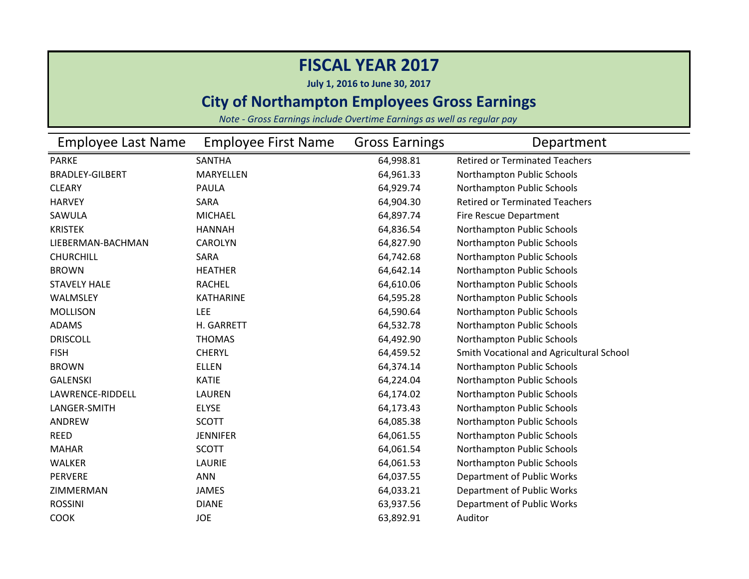**July 1, 2016 to June 30, 2017**

### **City of Northampton Employees Gross Earnings**

| <b>Employee Last Name</b> | <b>Employee First Name</b> | <b>Gross Earnings</b> | Department                               |
|---------------------------|----------------------------|-----------------------|------------------------------------------|
| <b>PARKE</b>              | <b>SANTHA</b>              | 64,998.81             | <b>Retired or Terminated Teachers</b>    |
| <b>BRADLEY-GILBERT</b>    | <b>MARYELLEN</b>           | 64,961.33             | Northampton Public Schools               |
| <b>CLEARY</b>             | <b>PAULA</b>               | 64,929.74             | Northampton Public Schools               |
| <b>HARVEY</b>             | SARA                       | 64,904.30             | <b>Retired or Terminated Teachers</b>    |
| SAWULA                    | <b>MICHAEL</b>             | 64,897.74             | <b>Fire Rescue Department</b>            |
| <b>KRISTEK</b>            | <b>HANNAH</b>              | 64,836.54             | Northampton Public Schools               |
| LIEBERMAN-BACHMAN         | <b>CAROLYN</b>             | 64,827.90             | Northampton Public Schools               |
| <b>CHURCHILL</b>          | SARA                       | 64,742.68             | Northampton Public Schools               |
| <b>BROWN</b>              | <b>HEATHER</b>             | 64,642.14             | Northampton Public Schools               |
| <b>STAVELY HALE</b>       | <b>RACHEL</b>              | 64,610.06             | Northampton Public Schools               |
| WALMSLEY                  | <b>KATHARINE</b>           | 64,595.28             | Northampton Public Schools               |
| <b>MOLLISON</b>           | <b>LEE</b>                 | 64,590.64             | Northampton Public Schools               |
| <b>ADAMS</b>              | H. GARRETT                 | 64,532.78             | Northampton Public Schools               |
| <b>DRISCOLL</b>           | <b>THOMAS</b>              | 64,492.90             | Northampton Public Schools               |
| <b>FISH</b>               | <b>CHERYL</b>              | 64,459.52             | Smith Vocational and Agricultural School |
| <b>BROWN</b>              | <b>ELLEN</b>               | 64,374.14             | Northampton Public Schools               |
| <b>GALENSKI</b>           | <b>KATIE</b>               | 64,224.04             | Northampton Public Schools               |
| LAWRENCE-RIDDELL          | <b>LAUREN</b>              | 64,174.02             | Northampton Public Schools               |
| LANGER-SMITH              | <b>ELYSE</b>               | 64,173.43             | Northampton Public Schools               |
| ANDREW                    | <b>SCOTT</b>               | 64,085.38             | Northampton Public Schools               |
| <b>REED</b>               | <b>JENNIFER</b>            | 64,061.55             | Northampton Public Schools               |
| <b>MAHAR</b>              | <b>SCOTT</b>               | 64,061.54             | Northampton Public Schools               |
| WALKER                    | LAURIE                     | 64,061.53             | Northampton Public Schools               |
| PERVERE                   | <b>ANN</b>                 | 64,037.55             | Department of Public Works               |
| ZIMMERMAN                 | <b>JAMES</b>               | 64,033.21             | Department of Public Works               |
| <b>ROSSINI</b>            | <b>DIANE</b>               | 63,937.56             | Department of Public Works               |
| <b>COOK</b>               | <b>JOE</b>                 | 63,892.91             | Auditor                                  |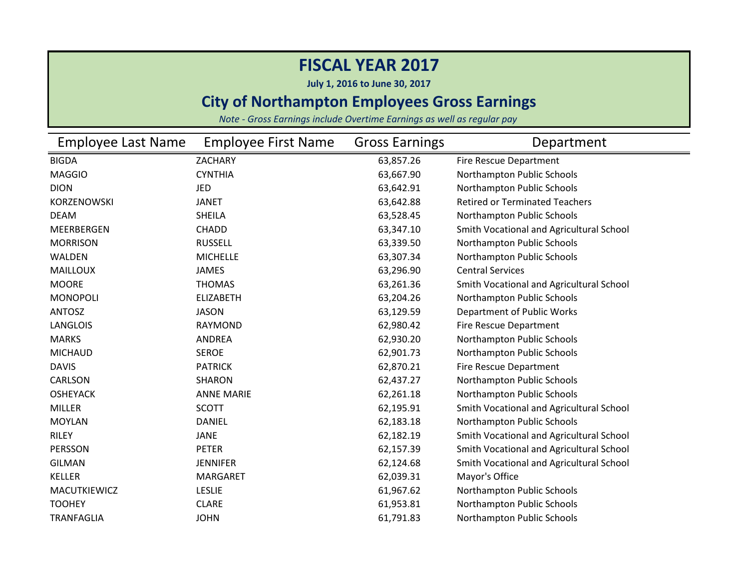**July 1, 2016 to June 30, 2017**

### **City of Northampton Employees Gross Earnings**

| <b>Employee Last Name</b> | <b>Employee First Name</b> | <b>Gross Earnings</b> | Department                               |
|---------------------------|----------------------------|-----------------------|------------------------------------------|
| <b>BIGDA</b>              | <b>ZACHARY</b>             | 63,857.26             | Fire Rescue Department                   |
| <b>MAGGIO</b>             | <b>CYNTHIA</b>             | 63,667.90             | Northampton Public Schools               |
| <b>DION</b>               | JED                        | 63,642.91             | Northampton Public Schools               |
| KORZENOWSKI               | <b>JANET</b>               | 63,642.88             | <b>Retired or Terminated Teachers</b>    |
| <b>DEAM</b>               | <b>SHEILA</b>              | 63,528.45             | Northampton Public Schools               |
| MEERBERGEN                | <b>CHADD</b>               | 63,347.10             | Smith Vocational and Agricultural School |
| <b>MORRISON</b>           | <b>RUSSELL</b>             | 63,339.50             | Northampton Public Schools               |
| WALDEN                    | <b>MICHELLE</b>            | 63,307.34             | Northampton Public Schools               |
| <b>MAILLOUX</b>           | <b>JAMES</b>               | 63,296.90             | <b>Central Services</b>                  |
| <b>MOORE</b>              | <b>THOMAS</b>              | 63,261.36             | Smith Vocational and Agricultural School |
| <b>MONOPOLI</b>           | <b>ELIZABETH</b>           | 63,204.26             | Northampton Public Schools               |
| <b>ANTOSZ</b>             | <b>JASON</b>               | 63,129.59             | Department of Public Works               |
| <b>LANGLOIS</b>           | <b>RAYMOND</b>             | 62,980.42             | Fire Rescue Department                   |
| <b>MARKS</b>              | <b>ANDREA</b>              | 62,930.20             | Northampton Public Schools               |
| <b>MICHAUD</b>            | <b>SEROE</b>               | 62,901.73             | Northampton Public Schools               |
| <b>DAVIS</b>              | <b>PATRICK</b>             | 62,870.21             | Fire Rescue Department                   |
| CARLSON                   | <b>SHARON</b>              | 62,437.27             | Northampton Public Schools               |
| <b>OSHEYACK</b>           | <b>ANNE MARIE</b>          | 62,261.18             | Northampton Public Schools               |
| <b>MILLER</b>             | <b>SCOTT</b>               | 62,195.91             | Smith Vocational and Agricultural School |
| <b>MOYLAN</b>             | <b>DANIEL</b>              | 62,183.18             | Northampton Public Schools               |
| <b>RILEY</b>              | <b>JANE</b>                | 62,182.19             | Smith Vocational and Agricultural School |
| PERSSON                   | <b>PETER</b>               | 62,157.39             | Smith Vocational and Agricultural School |
| <b>GILMAN</b>             | <b>JENNIFER</b>            | 62,124.68             | Smith Vocational and Agricultural School |
| <b>KELLER</b>             | <b>MARGARET</b>            | 62,039.31             | Mayor's Office                           |
| MACUTKIEWICZ              | <b>LESLIE</b>              | 61,967.62             | Northampton Public Schools               |
| <b>TOOHEY</b>             | <b>CLARE</b>               | 61,953.81             | Northampton Public Schools               |
| <b>TRANFAGLIA</b>         | <b>JOHN</b>                | 61,791.83             | Northampton Public Schools               |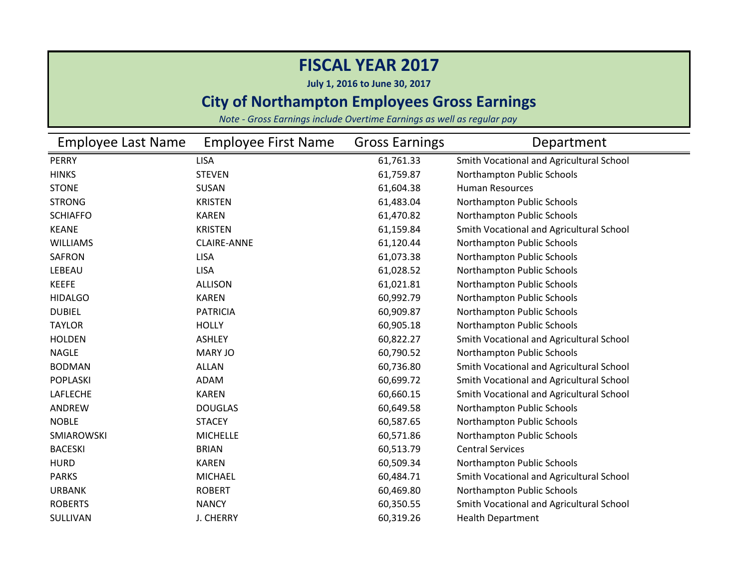**July 1, 2016 to June 30, 2017**

### **City of Northampton Employees Gross Earnings**

| Employee Last Name | <b>Employee First Name</b> | <b>Gross Earnings</b> | Department                               |
|--------------------|----------------------------|-----------------------|------------------------------------------|
| <b>PERRY</b>       | <b>LISA</b>                | 61,761.33             | Smith Vocational and Agricultural School |
| <b>HINKS</b>       | <b>STEVEN</b>              | 61,759.87             | Northampton Public Schools               |
| <b>STONE</b>       | <b>SUSAN</b>               | 61,604.38             | <b>Human Resources</b>                   |
| <b>STRONG</b>      | <b>KRISTEN</b>             | 61,483.04             | Northampton Public Schools               |
| <b>SCHIAFFO</b>    | <b>KAREN</b>               | 61,470.82             | Northampton Public Schools               |
| <b>KEANE</b>       | <b>KRISTEN</b>             | 61,159.84             | Smith Vocational and Agricultural School |
| <b>WILLIAMS</b>    | <b>CLAIRE-ANNE</b>         | 61,120.44             | Northampton Public Schools               |
| <b>SAFRON</b>      | <b>LISA</b>                | 61,073.38             | Northampton Public Schools               |
| LEBEAU             | <b>LISA</b>                | 61,028.52             | Northampton Public Schools               |
| <b>KEEFE</b>       | <b>ALLISON</b>             | 61,021.81             | Northampton Public Schools               |
| <b>HIDALGO</b>     | <b>KAREN</b>               | 60,992.79             | Northampton Public Schools               |
| <b>DUBIEL</b>      | <b>PATRICIA</b>            | 60,909.87             | Northampton Public Schools               |
| <b>TAYLOR</b>      | <b>HOLLY</b>               | 60,905.18             | Northampton Public Schools               |
| <b>HOLDEN</b>      | <b>ASHLEY</b>              | 60,822.27             | Smith Vocational and Agricultural School |
| <b>NAGLE</b>       | MARY JO                    | 60,790.52             | Northampton Public Schools               |
| <b>BODMAN</b>      | <b>ALLAN</b>               | 60,736.80             | Smith Vocational and Agricultural School |
| <b>POPLASKI</b>    | ADAM                       | 60,699.72             | Smith Vocational and Agricultural School |
| LAFLECHE           | <b>KAREN</b>               | 60,660.15             | Smith Vocational and Agricultural School |
| ANDREW             | <b>DOUGLAS</b>             | 60,649.58             | Northampton Public Schools               |
| <b>NOBLE</b>       | <b>STACEY</b>              | 60,587.65             | Northampton Public Schools               |
| SMIAROWSKI         | <b>MICHELLE</b>            | 60,571.86             | Northampton Public Schools               |
| <b>BACESKI</b>     | <b>BRIAN</b>               | 60,513.79             | <b>Central Services</b>                  |
| <b>HURD</b>        | <b>KAREN</b>               | 60,509.34             | Northampton Public Schools               |
| <b>PARKS</b>       | <b>MICHAEL</b>             | 60,484.71             | Smith Vocational and Agricultural School |
| <b>URBANK</b>      | <b>ROBERT</b>              | 60,469.80             | Northampton Public Schools               |
| <b>ROBERTS</b>     | <b>NANCY</b>               | 60,350.55             | Smith Vocational and Agricultural School |
| SULLIVAN           | <b>J. CHERRY</b>           | 60,319.26             | <b>Health Department</b>                 |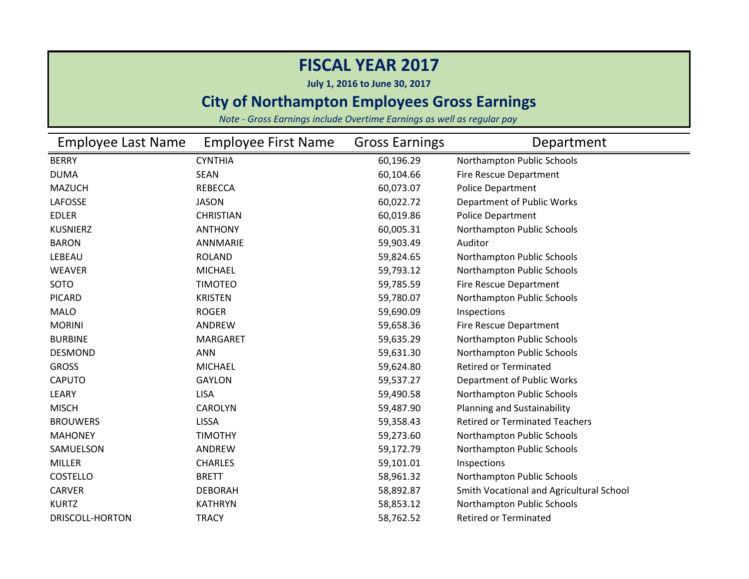**July 1, 2016 to June 30, 2017**

### **City of Northampton Employees Gross Earnings**

| <b>Employee Last Name</b> | <b>Employee First Name</b> | <b>Gross Earnings</b> | Department                               |
|---------------------------|----------------------------|-----------------------|------------------------------------------|
| <b>BERRY</b>              | <b>CYNTHIA</b>             | 60,196.29             | Northampton Public Schools               |
| <b>DUMA</b>               | <b>SEAN</b>                | 60,104.66             | <b>Fire Rescue Department</b>            |
| <b>MAZUCH</b>             | <b>REBECCA</b>             | 60,073.07             | Police Department                        |
| LAFOSSE                   | <b>JASON</b>               | 60,022.72             | Department of Public Works               |
| <b>EDLER</b>              | <b>CHRISTIAN</b>           | 60,019.86             | <b>Police Department</b>                 |
| <b>KUSNIERZ</b>           | <b>ANTHONY</b>             | 60,005.31             | Northampton Public Schools               |
| <b>BARON</b>              | ANNMARIE                   | 59,903.49             | Auditor                                  |
| LEBEAU                    | <b>ROLAND</b>              | 59,824.65             | Northampton Public Schools               |
| <b>WEAVER</b>             | <b>MICHAEL</b>             | 59,793.12             | Northampton Public Schools               |
| SOTO                      | <b>TIMOTEO</b>             | 59,785.59             | <b>Fire Rescue Department</b>            |
| <b>PICARD</b>             | <b>KRISTEN</b>             | 59,780.07             | Northampton Public Schools               |
| <b>MALO</b>               | <b>ROGER</b>               | 59,690.09             | Inspections                              |
| <b>MORINI</b>             | ANDREW                     | 59,658.36             | Fire Rescue Department                   |
| <b>BURBINE</b>            | <b>MARGARET</b>            | 59,635.29             | Northampton Public Schools               |
| <b>DESMOND</b>            | <b>ANN</b>                 | 59,631.30             | Northampton Public Schools               |
| <b>GROSS</b>              | <b>MICHAEL</b>             | 59,624.80             | <b>Retired or Terminated</b>             |
| <b>CAPUTO</b>             | <b>GAYLON</b>              | 59,537.27             | Department of Public Works               |
| LEARY                     | <b>LISA</b>                | 59,490.58             | Northampton Public Schools               |
| <b>MISCH</b>              | <b>CAROLYN</b>             | 59,487.90             | Planning and Sustainability              |
| <b>BROUWERS</b>           | <b>LISSA</b>               | 59,358.43             | <b>Retired or Terminated Teachers</b>    |
| <b>MAHONEY</b>            | <b>TIMOTHY</b>             | 59,273.60             | Northampton Public Schools               |
| SAMUELSON                 | ANDREW                     | 59,172.79             | Northampton Public Schools               |
| <b>MILLER</b>             | <b>CHARLES</b>             | 59,101.01             | Inspections                              |
| <b>COSTELLO</b>           | <b>BRETT</b>               | 58,961.32             | Northampton Public Schools               |
| <b>CARVER</b>             | <b>DEBORAH</b>             | 58,892.87             | Smith Vocational and Agricultural School |
| <b>KURTZ</b>              | <b>KATHRYN</b>             | 58,853.12             | Northampton Public Schools               |
| DRISCOLL-HORTON           | <b>TRACY</b>               | 58,762.52             | <b>Retired or Terminated</b>             |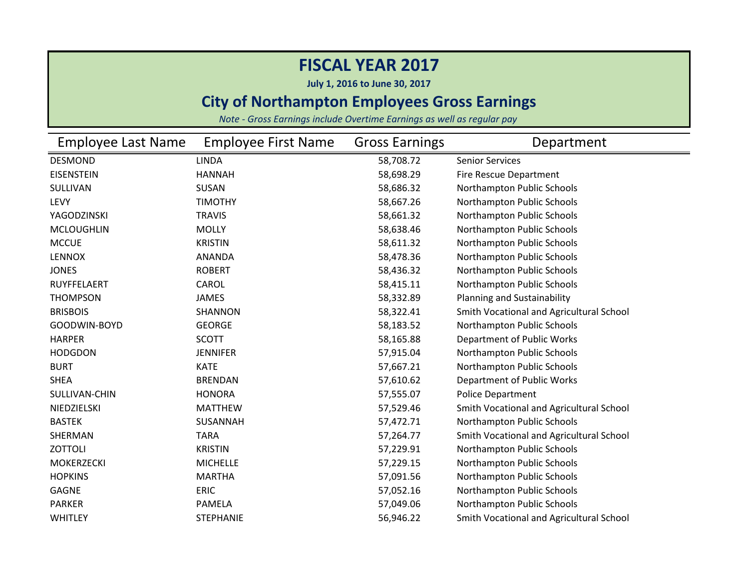**July 1, 2016 to June 30, 2017**

### **City of Northampton Employees Gross Earnings**

| <b>Employee Last Name</b> | <b>Employee First Name</b> | <b>Gross Earnings</b> | Department                               |
|---------------------------|----------------------------|-----------------------|------------------------------------------|
| <b>DESMOND</b>            | <b>LINDA</b>               | 58,708.72             | <b>Senior Services</b>                   |
| <b>EISENSTEIN</b>         | <b>HANNAH</b>              | 58,698.29             | <b>Fire Rescue Department</b>            |
| SULLIVAN                  | SUSAN                      | 58,686.32             | Northampton Public Schools               |
| <b>LEVY</b>               | <b>TIMOTHY</b>             | 58,667.26             | Northampton Public Schools               |
| YAGODZINSKI               | <b>TRAVIS</b>              | 58,661.32             | Northampton Public Schools               |
| <b>MCLOUGHLIN</b>         | <b>MOLLY</b>               | 58,638.46             | Northampton Public Schools               |
| <b>MCCUE</b>              | <b>KRISTIN</b>             | 58,611.32             | Northampton Public Schools               |
| <b>LENNOX</b>             | <b>ANANDA</b>              | 58,478.36             | Northampton Public Schools               |
| <b>JONES</b>              | <b>ROBERT</b>              | 58,436.32             | Northampton Public Schools               |
| RUYFFELAERT               | CAROL                      | 58,415.11             | Northampton Public Schools               |
| <b>THOMPSON</b>           | JAMES                      | 58,332.89             | Planning and Sustainability              |
| <b>BRISBOIS</b>           | <b>SHANNON</b>             | 58,322.41             | Smith Vocational and Agricultural School |
| GOODWIN-BOYD              | <b>GEORGE</b>              | 58,183.52             | Northampton Public Schools               |
| <b>HARPER</b>             | <b>SCOTT</b>               | 58,165.88             | Department of Public Works               |
| <b>HODGDON</b>            | <b>JENNIFER</b>            | 57,915.04             | Northampton Public Schools               |
| <b>BURT</b>               | <b>KATE</b>                | 57,667.21             | Northampton Public Schools               |
| <b>SHEA</b>               | <b>BRENDAN</b>             | 57,610.62             | Department of Public Works               |
| SULLIVAN-CHIN             | <b>HONORA</b>              | 57,555.07             | <b>Police Department</b>                 |
| NIEDZIELSKI               | <b>MATTHEW</b>             | 57,529.46             | Smith Vocational and Agricultural School |
| <b>BASTEK</b>             | <b>SUSANNAH</b>            | 57,472.71             | Northampton Public Schools               |
| SHERMAN                   | <b>TARA</b>                | 57,264.77             | Smith Vocational and Agricultural School |
| <b>ZOTTOLI</b>            | <b>KRISTIN</b>             | 57,229.91             | Northampton Public Schools               |
| <b>MOKERZECKI</b>         | <b>MICHELLE</b>            | 57,229.15             | Northampton Public Schools               |
| <b>HOPKINS</b>            | <b>MARTHA</b>              | 57,091.56             | Northampton Public Schools               |
| <b>GAGNE</b>              | <b>ERIC</b>                | 57,052.16             | Northampton Public Schools               |
| <b>PARKER</b>             | <b>PAMELA</b>              | 57,049.06             | Northampton Public Schools               |
| <b>WHITLEY</b>            | <b>STEPHANIE</b>           | 56,946.22             | Smith Vocational and Agricultural School |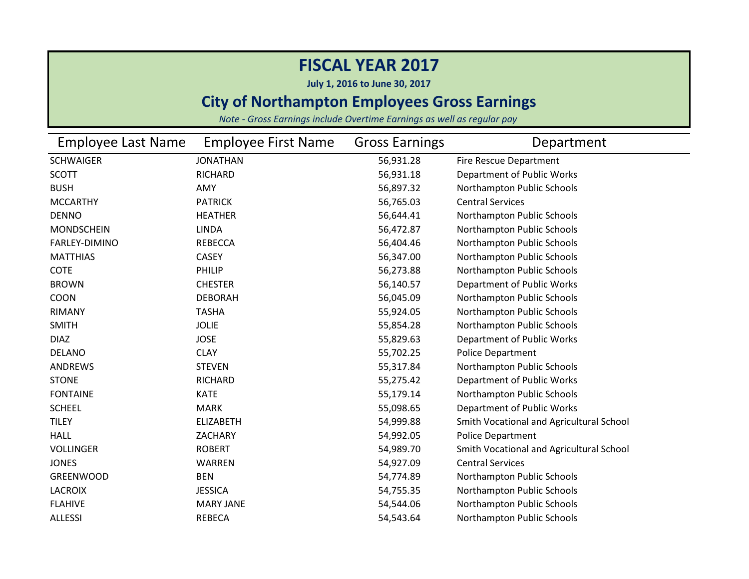**July 1, 2016 to June 30, 2017**

### **City of Northampton Employees Gross Earnings**

| <b>Employee Last Name</b> | <b>Employee First Name</b> | <b>Gross Earnings</b> | Department                               |
|---------------------------|----------------------------|-----------------------|------------------------------------------|
| <b>SCHWAIGER</b>          | <b>JONATHAN</b>            | 56,931.28             | Fire Rescue Department                   |
| <b>SCOTT</b>              | RICHARD                    | 56,931.18             | Department of Public Works               |
| <b>BUSH</b>               | AMY                        | 56,897.32             | Northampton Public Schools               |
| <b>MCCARTHY</b>           | <b>PATRICK</b>             | 56,765.03             | <b>Central Services</b>                  |
| <b>DENNO</b>              | <b>HEATHER</b>             | 56,644.41             | Northampton Public Schools               |
| <b>MONDSCHEIN</b>         | <b>LINDA</b>               | 56,472.87             | Northampton Public Schools               |
| FARLEY-DIMINO             | <b>REBECCA</b>             | 56,404.46             | Northampton Public Schools               |
| <b>MATTHIAS</b>           | <b>CASEY</b>               | 56,347.00             | Northampton Public Schools               |
| <b>COTE</b>               | PHILIP                     | 56,273.88             | Northampton Public Schools               |
| <b>BROWN</b>              | <b>CHESTER</b>             | 56,140.57             | Department of Public Works               |
| COON                      | <b>DEBORAH</b>             | 56,045.09             | Northampton Public Schools               |
| <b>RIMANY</b>             | <b>TASHA</b>               | 55,924.05             | Northampton Public Schools               |
| <b>SMITH</b>              | <b>JOLIE</b>               | 55,854.28             | Northampton Public Schools               |
| <b>DIAZ</b>               | <b>JOSE</b>                | 55,829.63             | Department of Public Works               |
| <b>DELANO</b>             | <b>CLAY</b>                | 55,702.25             | <b>Police Department</b>                 |
| <b>ANDREWS</b>            | <b>STEVEN</b>              | 55,317.84             | Northampton Public Schools               |
| <b>STONE</b>              | RICHARD                    | 55,275.42             | Department of Public Works               |
| <b>FONTAINE</b>           | <b>KATE</b>                | 55,179.14             | Northampton Public Schools               |
| <b>SCHEEL</b>             | <b>MARK</b>                | 55,098.65             | Department of Public Works               |
| <b>TILEY</b>              | <b>ELIZABETH</b>           | 54,999.88             | Smith Vocational and Agricultural School |
| <b>HALL</b>               | ZACHARY                    | 54,992.05             | Police Department                        |
| <b>VOLLINGER</b>          | <b>ROBERT</b>              | 54,989.70             | Smith Vocational and Agricultural School |
| <b>JONES</b>              | <b>WARREN</b>              | 54,927.09             | <b>Central Services</b>                  |
| <b>GREENWOOD</b>          | <b>BEN</b>                 | 54,774.89             | Northampton Public Schools               |
| <b>LACROIX</b>            | <b>JESSICA</b>             | 54,755.35             | Northampton Public Schools               |
| <b>FLAHIVE</b>            | <b>MARY JANE</b>           | 54,544.06             | Northampton Public Schools               |
| <b>ALLESSI</b>            | <b>REBECA</b>              | 54,543.64             | Northampton Public Schools               |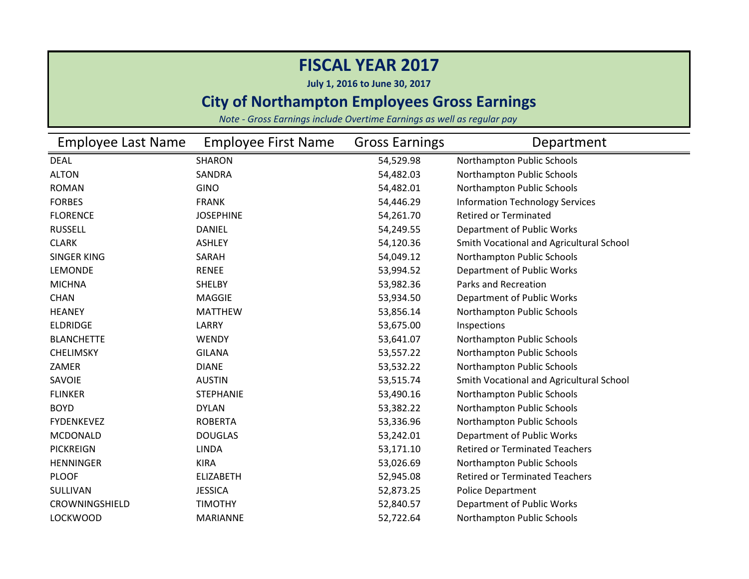**July 1, 2016 to June 30, 2017**

### **City of Northampton Employees Gross Earnings**

| <b>Employee Last Name</b> | <b>Employee First Name</b> | <b>Gross Earnings</b> | Department                               |
|---------------------------|----------------------------|-----------------------|------------------------------------------|
| <b>DEAL</b>               | <b>SHARON</b>              | 54,529.98             | Northampton Public Schools               |
| <b>ALTON</b>              | SANDRA                     | 54,482.03             | Northampton Public Schools               |
| <b>ROMAN</b>              | <b>GINO</b>                | 54,482.01             | Northampton Public Schools               |
| <b>FORBES</b>             | <b>FRANK</b>               | 54,446.29             | <b>Information Technology Services</b>   |
| <b>FLORENCE</b>           | <b>JOSEPHINE</b>           | 54,261.70             | <b>Retired or Terminated</b>             |
| <b>RUSSELL</b>            | <b>DANIEL</b>              | 54,249.55             | Department of Public Works               |
| <b>CLARK</b>              | <b>ASHLEY</b>              | 54,120.36             | Smith Vocational and Agricultural School |
| <b>SINGER KING</b>        | SARAH                      | 54,049.12             | Northampton Public Schools               |
| LEMONDE                   | <b>RENEE</b>               | 53,994.52             | Department of Public Works               |
| <b>MICHNA</b>             | <b>SHELBY</b>              | 53,982.36             | Parks and Recreation                     |
| <b>CHAN</b>               | <b>MAGGIE</b>              | 53,934.50             | Department of Public Works               |
| <b>HEANEY</b>             | <b>MATTHEW</b>             | 53,856.14             | Northampton Public Schools               |
| <b>ELDRIDGE</b>           | LARRY                      | 53,675.00             | Inspections                              |
| <b>BLANCHETTE</b>         | <b>WENDY</b>               | 53,641.07             | Northampton Public Schools               |
| <b>CHELIMSKY</b>          | <b>GILANA</b>              | 53,557.22             | Northampton Public Schools               |
| ZAMER                     | <b>DIANE</b>               | 53,532.22             | Northampton Public Schools               |
| SAVOIE                    | <b>AUSTIN</b>              | 53,515.74             | Smith Vocational and Agricultural School |
| <b>FLINKER</b>            | <b>STEPHANIE</b>           | 53,490.16             | Northampton Public Schools               |
| <b>BOYD</b>               | <b>DYLAN</b>               | 53,382.22             | Northampton Public Schools               |
| <b>FYDENKEVEZ</b>         | <b>ROBERTA</b>             | 53,336.96             | Northampton Public Schools               |
| <b>MCDONALD</b>           | <b>DOUGLAS</b>             | 53,242.01             | Department of Public Works               |
| <b>PICKREIGN</b>          | <b>LINDA</b>               | 53,171.10             | <b>Retired or Terminated Teachers</b>    |
| <b>HENNINGER</b>          | <b>KIRA</b>                | 53,026.69             | Northampton Public Schools               |
| <b>PLOOF</b>              | <b>ELIZABETH</b>           | 52,945.08             | <b>Retired or Terminated Teachers</b>    |
| SULLIVAN                  | <b>JESSICA</b>             | 52,873.25             | Police Department                        |
| CROWNINGSHIELD            | <b>TIMOTHY</b>             | 52,840.57             | Department of Public Works               |
| <b>LOCKWOOD</b>           | <b>MARIANNE</b>            | 52,722.64             | Northampton Public Schools               |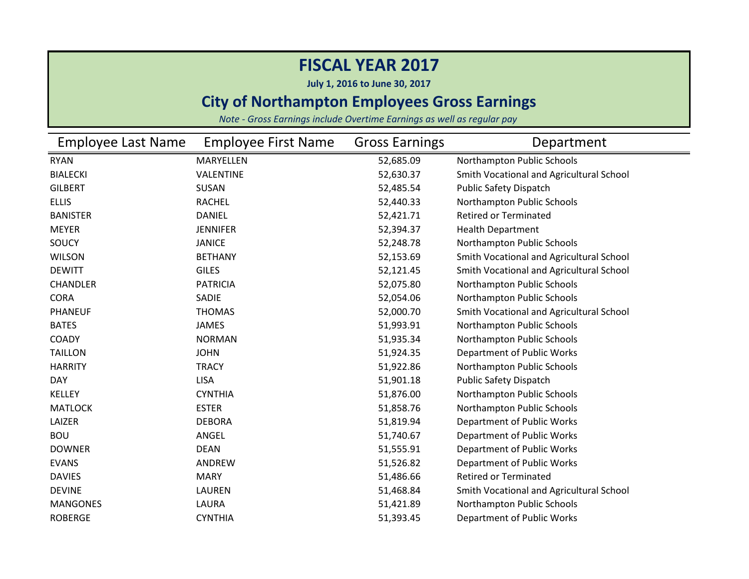**July 1, 2016 to June 30, 2017**

### **City of Northampton Employees Gross Earnings**

| Employee Last Name | <b>Employee First Name</b> | <b>Gross Earnings</b> | Department                               |
|--------------------|----------------------------|-----------------------|------------------------------------------|
| <b>RYAN</b>        | MARYELLEN                  | 52,685.09             | Northampton Public Schools               |
| <b>BIALECKI</b>    | VALENTINE                  | 52,630.37             | Smith Vocational and Agricultural School |
| <b>GILBERT</b>     | SUSAN                      | 52,485.54             | <b>Public Safety Dispatch</b>            |
| <b>ELLIS</b>       | <b>RACHEL</b>              | 52,440.33             | Northampton Public Schools               |
| <b>BANISTER</b>    | <b>DANIEL</b>              | 52,421.71             | <b>Retired or Terminated</b>             |
| <b>MEYER</b>       | <b>JENNIFER</b>            | 52,394.37             | <b>Health Department</b>                 |
| SOUCY              | <b>JANICE</b>              | 52,248.78             | Northampton Public Schools               |
| <b>WILSON</b>      | <b>BETHANY</b>             | 52,153.69             | Smith Vocational and Agricultural School |
| <b>DEWITT</b>      | <b>GILES</b>               | 52,121.45             | Smith Vocational and Agricultural School |
| <b>CHANDLER</b>    | <b>PATRICIA</b>            | 52,075.80             | Northampton Public Schools               |
| <b>CORA</b>        | SADIE                      | 52,054.06             | Northampton Public Schools               |
| <b>PHANEUF</b>     | <b>THOMAS</b>              | 52,000.70             | Smith Vocational and Agricultural School |
| <b>BATES</b>       | <b>JAMES</b>               | 51,993.91             | Northampton Public Schools               |
| COADY              | <b>NORMAN</b>              | 51,935.34             | Northampton Public Schools               |
| <b>TAILLON</b>     | <b>JOHN</b>                | 51,924.35             | Department of Public Works               |
| <b>HARRITY</b>     | <b>TRACY</b>               | 51,922.86             | Northampton Public Schools               |
| <b>DAY</b>         | <b>LISA</b>                | 51,901.18             | <b>Public Safety Dispatch</b>            |
| <b>KELLEY</b>      | <b>CYNTHIA</b>             | 51,876.00             | Northampton Public Schools               |
| <b>MATLOCK</b>     | <b>ESTER</b>               | 51,858.76             | Northampton Public Schools               |
| LAIZER             | <b>DEBORA</b>              | 51,819.94             | Department of Public Works               |
| <b>BOU</b>         | ANGEL                      | 51,740.67             | Department of Public Works               |
| <b>DOWNER</b>      | <b>DEAN</b>                | 51,555.91             | Department of Public Works               |
| <b>EVANS</b>       | ANDREW                     | 51,526.82             | Department of Public Works               |
| <b>DAVIES</b>      | <b>MARY</b>                | 51,486.66             | <b>Retired or Terminated</b>             |
| <b>DEVINE</b>      | <b>LAUREN</b>              | 51,468.84             | Smith Vocational and Agricultural School |
| <b>MANGONES</b>    | LAURA                      | 51,421.89             | Northampton Public Schools               |
| <b>ROBERGE</b>     | <b>CYNTHIA</b>             | 51,393.45             | Department of Public Works               |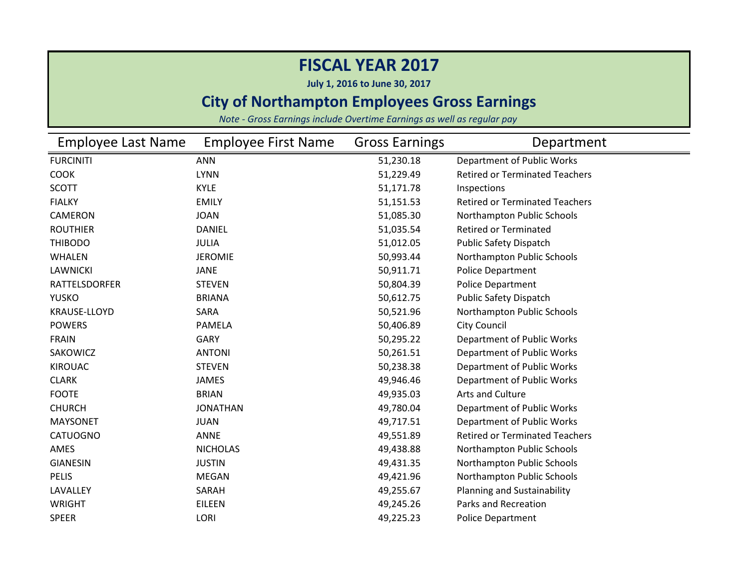**July 1, 2016 to June 30, 2017**

### **City of Northampton Employees Gross Earnings**

| <b>Employee Last Name</b> | <b>Employee First Name</b> | <b>Gross Earnings</b> | Department                            |
|---------------------------|----------------------------|-----------------------|---------------------------------------|
| <b>FURCINITI</b>          | <b>ANN</b>                 | 51,230.18             | Department of Public Works            |
| <b>COOK</b>               | <b>LYNN</b>                | 51,229.49             | <b>Retired or Terminated Teachers</b> |
| <b>SCOTT</b>              | <b>KYLE</b>                | 51,171.78             | Inspections                           |
| <b>FIALKY</b>             | <b>EMILY</b>               | 51,151.53             | <b>Retired or Terminated Teachers</b> |
| <b>CAMERON</b>            | <b>JOAN</b>                | 51,085.30             | Northampton Public Schools            |
| <b>ROUTHIER</b>           | <b>DANIEL</b>              | 51,035.54             | <b>Retired or Terminated</b>          |
| <b>THIBODO</b>            | <b>JULIA</b>               | 51,012.05             | <b>Public Safety Dispatch</b>         |
| <b>WHALEN</b>             | <b>JEROMIE</b>             | 50,993.44             | Northampton Public Schools            |
| <b>LAWNICKI</b>           | <b>JANE</b>                | 50,911.71             | <b>Police Department</b>              |
| <b>RATTELSDORFER</b>      | <b>STEVEN</b>              | 50,804.39             | Police Department                     |
| <b>YUSKO</b>              | <b>BRIANA</b>              | 50,612.75             | Public Safety Dispatch                |
| <b>KRAUSE-LLOYD</b>       | SARA                       | 50,521.96             | Northampton Public Schools            |
| <b>POWERS</b>             | <b>PAMELA</b>              | 50,406.89             | <b>City Council</b>                   |
| <b>FRAIN</b>              | <b>GARY</b>                | 50,295.22             | Department of Public Works            |
| SAKOWICZ                  | <b>ANTONI</b>              | 50,261.51             | Department of Public Works            |
| <b>KIROUAC</b>            | <b>STEVEN</b>              | 50,238.38             | Department of Public Works            |
| <b>CLARK</b>              | <b>JAMES</b>               | 49,946.46             | Department of Public Works            |
| <b>FOOTE</b>              | <b>BRIAN</b>               | 49,935.03             | Arts and Culture                      |
| <b>CHURCH</b>             | <b>JONATHAN</b>            | 49,780.04             | Department of Public Works            |
| <b>MAYSONET</b>           | <b>JUAN</b>                | 49,717.51             | Department of Public Works            |
| <b>CATUOGNO</b>           | ANNE                       | 49,551.89             | <b>Retired or Terminated Teachers</b> |
| AMES                      | <b>NICHOLAS</b>            | 49,438.88             | Northampton Public Schools            |
| <b>GIANESIN</b>           | <b>JUSTIN</b>              | 49,431.35             | Northampton Public Schools            |
| <b>PELIS</b>              | <b>MEGAN</b>               | 49,421.96             | Northampton Public Schools            |
| LAVALLEY                  | SARAH                      | 49,255.67             | <b>Planning and Sustainability</b>    |
| <b>WRIGHT</b>             | <b>EILEEN</b>              | 49,245.26             | Parks and Recreation                  |
| <b>SPEER</b>              | LORI                       | 49,225.23             | <b>Police Department</b>              |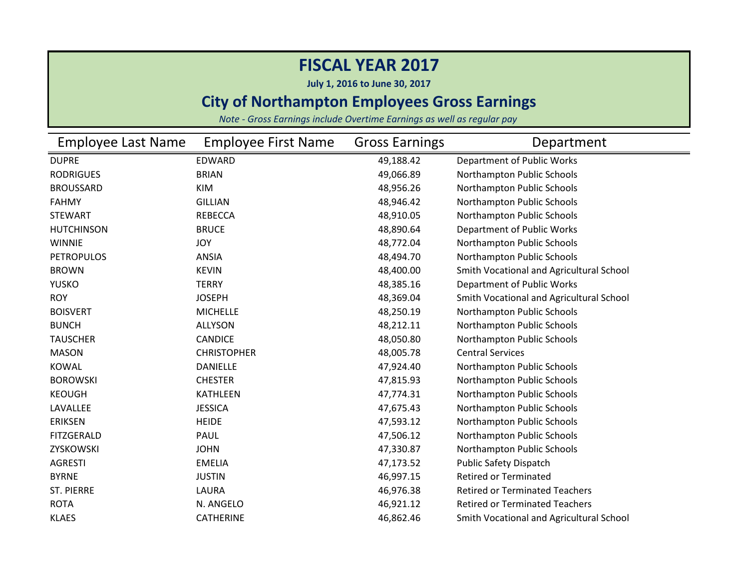**July 1, 2016 to June 30, 2017**

### **City of Northampton Employees Gross Earnings**

| Employee Last Name | <b>Employee First Name</b> | <b>Gross Earnings</b> | Department                               |
|--------------------|----------------------------|-----------------------|------------------------------------------|
| <b>DUPRE</b>       | <b>EDWARD</b>              | 49,188.42             | Department of Public Works               |
| <b>RODRIGUES</b>   | <b>BRIAN</b>               | 49,066.89             | Northampton Public Schools               |
| <b>BROUSSARD</b>   | KIM                        | 48,956.26             | Northampton Public Schools               |
| <b>FAHMY</b>       | <b>GILLIAN</b>             | 48,946.42             | Northampton Public Schools               |
| <b>STEWART</b>     | <b>REBECCA</b>             | 48,910.05             | Northampton Public Schools               |
| <b>HUTCHINSON</b>  | <b>BRUCE</b>               | 48,890.64             | Department of Public Works               |
| <b>WINNIE</b>      | <b>JOY</b>                 | 48,772.04             | Northampton Public Schools               |
| <b>PETROPULOS</b>  | <b>ANSIA</b>               | 48,494.70             | Northampton Public Schools               |
| <b>BROWN</b>       | <b>KEVIN</b>               | 48,400.00             | Smith Vocational and Agricultural School |
| <b>YUSKO</b>       | <b>TERRY</b>               | 48,385.16             | Department of Public Works               |
| <b>ROY</b>         | <b>JOSEPH</b>              | 48,369.04             | Smith Vocational and Agricultural School |
| <b>BOISVERT</b>    | <b>MICHELLE</b>            | 48,250.19             | Northampton Public Schools               |
| <b>BUNCH</b>       | <b>ALLYSON</b>             | 48,212.11             | Northampton Public Schools               |
| <b>TAUSCHER</b>    | <b>CANDICE</b>             | 48,050.80             | Northampton Public Schools               |
| <b>MASON</b>       | <b>CHRISTOPHER</b>         | 48,005.78             | <b>Central Services</b>                  |
| <b>KOWAL</b>       | <b>DANIELLE</b>            | 47,924.40             | Northampton Public Schools               |
| <b>BOROWSKI</b>    | <b>CHESTER</b>             | 47,815.93             | Northampton Public Schools               |
| <b>KEOUGH</b>      | <b>KATHLEEN</b>            | 47,774.31             | Northampton Public Schools               |
| LAVALLEE           | <b>JESSICA</b>             | 47,675.43             | Northampton Public Schools               |
| <b>ERIKSEN</b>     | <b>HEIDE</b>               | 47,593.12             | Northampton Public Schools               |
| <b>FITZGERALD</b>  | PAUL                       | 47,506.12             | Northampton Public Schools               |
| ZYSKOWSKI          | <b>JOHN</b>                | 47,330.87             | Northampton Public Schools               |
| <b>AGRESTI</b>     | <b>EMELIA</b>              | 47,173.52             | Public Safety Dispatch                   |
| <b>BYRNE</b>       | <b>JUSTIN</b>              | 46,997.15             | <b>Retired or Terminated</b>             |
| ST. PIERRE         | LAURA                      | 46,976.38             | <b>Retired or Terminated Teachers</b>    |
| <b>ROTA</b>        | N. ANGELO                  | 46,921.12             | <b>Retired or Terminated Teachers</b>    |
| <b>KLAES</b>       | <b>CATHERINE</b>           | 46,862.46             | Smith Vocational and Agricultural School |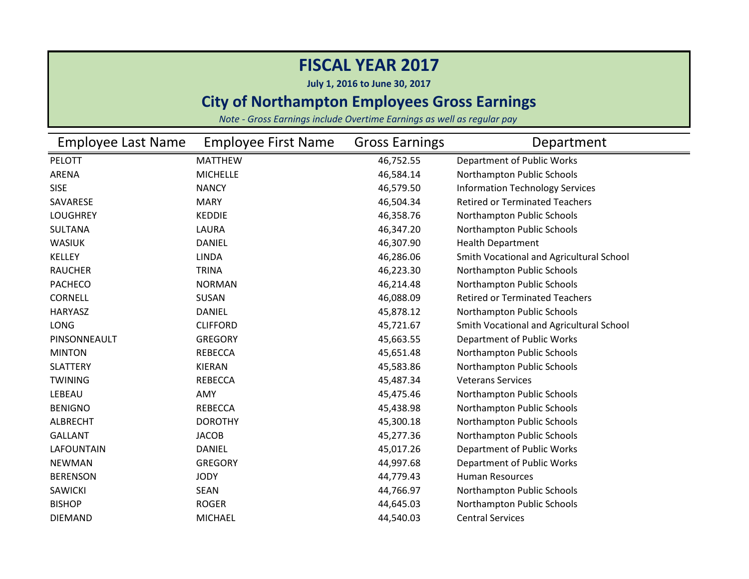**July 1, 2016 to June 30, 2017**

### **City of Northampton Employees Gross Earnings**

| <b>Employee Last Name</b> | <b>Employee First Name</b> | <b>Gross Earnings</b> | Department                               |
|---------------------------|----------------------------|-----------------------|------------------------------------------|
| PELOTT                    | <b>MATTHEW</b>             | 46,752.55             | Department of Public Works               |
| ARENA                     | <b>MICHELLE</b>            | 46,584.14             | Northampton Public Schools               |
| <b>SISE</b>               | <b>NANCY</b>               | 46,579.50             | <b>Information Technology Services</b>   |
| SAVARESE                  | <b>MARY</b>                | 46,504.34             | <b>Retired or Terminated Teachers</b>    |
| <b>LOUGHREY</b>           | <b>KEDDIE</b>              | 46,358.76             | Northampton Public Schools               |
| <b>SULTANA</b>            | LAURA                      | 46,347.20             | Northampton Public Schools               |
| <b>WASIUK</b>             | <b>DANIEL</b>              | 46,307.90             | <b>Health Department</b>                 |
| <b>KELLEY</b>             | <b>LINDA</b>               | 46,286.06             | Smith Vocational and Agricultural School |
| <b>RAUCHER</b>            | <b>TRINA</b>               | 46,223.30             | Northampton Public Schools               |
| <b>PACHECO</b>            | <b>NORMAN</b>              | 46,214.48             | Northampton Public Schools               |
| <b>CORNELL</b>            | <b>SUSAN</b>               | 46,088.09             | <b>Retired or Terminated Teachers</b>    |
| <b>HARYASZ</b>            | <b>DANIEL</b>              | 45,878.12             | Northampton Public Schools               |
| <b>LONG</b>               | <b>CLIFFORD</b>            | 45,721.67             | Smith Vocational and Agricultural School |
| PINSONNEAULT              | <b>GREGORY</b>             | 45,663.55             | Department of Public Works               |
| <b>MINTON</b>             | <b>REBECCA</b>             | 45,651.48             | Northampton Public Schools               |
| <b>SLATTERY</b>           | <b>KIERAN</b>              | 45,583.86             | Northampton Public Schools               |
| <b>TWINING</b>            | <b>REBECCA</b>             | 45,487.34             | <b>Veterans Services</b>                 |
| LEBEAU                    | AMY                        | 45,475.46             | Northampton Public Schools               |
| <b>BENIGNO</b>            | <b>REBECCA</b>             | 45,438.98             | Northampton Public Schools               |
| <b>ALBRECHT</b>           | <b>DOROTHY</b>             | 45,300.18             | Northampton Public Schools               |
| <b>GALLANT</b>            | <b>JACOB</b>               | 45,277.36             | Northampton Public Schools               |
| <b>LAFOUNTAIN</b>         | <b>DANIEL</b>              | 45,017.26             | Department of Public Works               |
| <b>NEWMAN</b>             | <b>GREGORY</b>             | 44,997.68             | Department of Public Works               |
| <b>BERENSON</b>           | <b>JODY</b>                | 44,779.43             | <b>Human Resources</b>                   |
| <b>SAWICKI</b>            | <b>SEAN</b>                | 44,766.97             | Northampton Public Schools               |
| <b>BISHOP</b>             | <b>ROGER</b>               | 44,645.03             | Northampton Public Schools               |
| <b>DIEMAND</b>            | <b>MICHAEL</b>             | 44,540.03             | <b>Central Services</b>                  |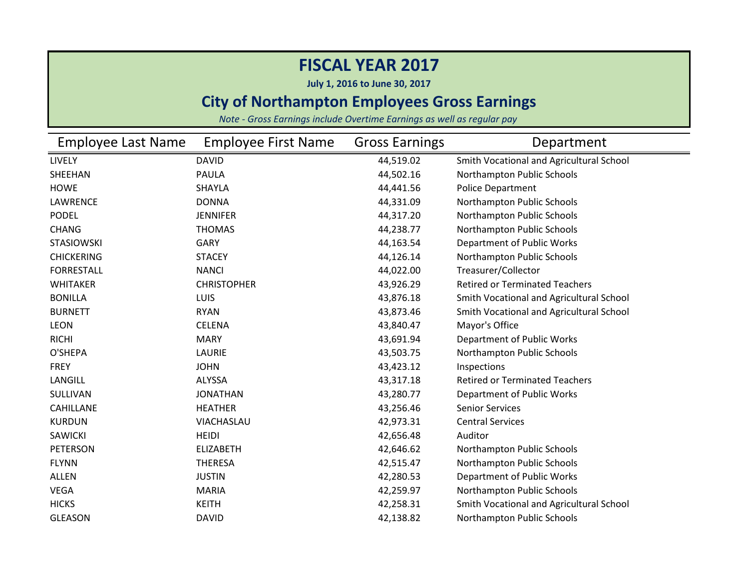**July 1, 2016 to June 30, 2017**

### **City of Northampton Employees Gross Earnings**

| Employee Last Name | <b>Employee First Name</b> | <b>Gross Earnings</b> | Department                               |
|--------------------|----------------------------|-----------------------|------------------------------------------|
| LIVELY             | <b>DAVID</b>               | 44,519.02             | Smith Vocational and Agricultural School |
| SHEEHAN            | <b>PAULA</b>               | 44,502.16             | Northampton Public Schools               |
| <b>HOWE</b>        | <b>SHAYLA</b>              | 44,441.56             | <b>Police Department</b>                 |
| LAWRENCE           | <b>DONNA</b>               | 44,331.09             | Northampton Public Schools               |
| <b>PODEL</b>       | <b>JENNIFER</b>            | 44,317.20             | Northampton Public Schools               |
| <b>CHANG</b>       | <b>THOMAS</b>              | 44,238.77             | Northampton Public Schools               |
| <b>STASIOWSKI</b>  | <b>GARY</b>                | 44,163.54             | Department of Public Works               |
| <b>CHICKERING</b>  | <b>STACEY</b>              | 44,126.14             | Northampton Public Schools               |
| <b>FORRESTALL</b>  | <b>NANCI</b>               | 44,022.00             | Treasurer/Collector                      |
| <b>WHITAKER</b>    | <b>CHRISTOPHER</b>         | 43,926.29             | <b>Retired or Terminated Teachers</b>    |
| <b>BONILLA</b>     | <b>LUIS</b>                | 43,876.18             | Smith Vocational and Agricultural School |
| <b>BURNETT</b>     | <b>RYAN</b>                | 43,873.46             | Smith Vocational and Agricultural School |
| <b>LEON</b>        | <b>CELENA</b>              | 43,840.47             | Mayor's Office                           |
| <b>RICHI</b>       | <b>MARY</b>                | 43,691.94             | Department of Public Works               |
| O'SHEPA            | LAURIE                     | 43,503.75             | Northampton Public Schools               |
| <b>FREY</b>        | <b>JOHN</b>                | 43,423.12             | Inspections                              |
| LANGILL            | ALYSSA                     | 43,317.18             | <b>Retired or Terminated Teachers</b>    |
| SULLIVAN           | <b>JONATHAN</b>            | 43,280.77             | Department of Public Works               |
| <b>CAHILLANE</b>   | <b>HEATHER</b>             | 43,256.46             | <b>Senior Services</b>                   |
| <b>KURDUN</b>      | VIACHASLAU                 | 42,973.31             | <b>Central Services</b>                  |
| <b>SAWICKI</b>     | <b>HEIDI</b>               | 42,656.48             | Auditor                                  |
| <b>PETERSON</b>    | <b>ELIZABETH</b>           | 42,646.62             | Northampton Public Schools               |
| <b>FLYNN</b>       | <b>THERESA</b>             | 42,515.47             | Northampton Public Schools               |
| <b>ALLEN</b>       | <b>JUSTIN</b>              | 42,280.53             | Department of Public Works               |
| <b>VEGA</b>        | <b>MARIA</b>               | 42,259.97             | Northampton Public Schools               |
| <b>HICKS</b>       | <b>KEITH</b>               | 42,258.31             | Smith Vocational and Agricultural School |
| <b>GLEASON</b>     | <b>DAVID</b>               | 42,138.82             | Northampton Public Schools               |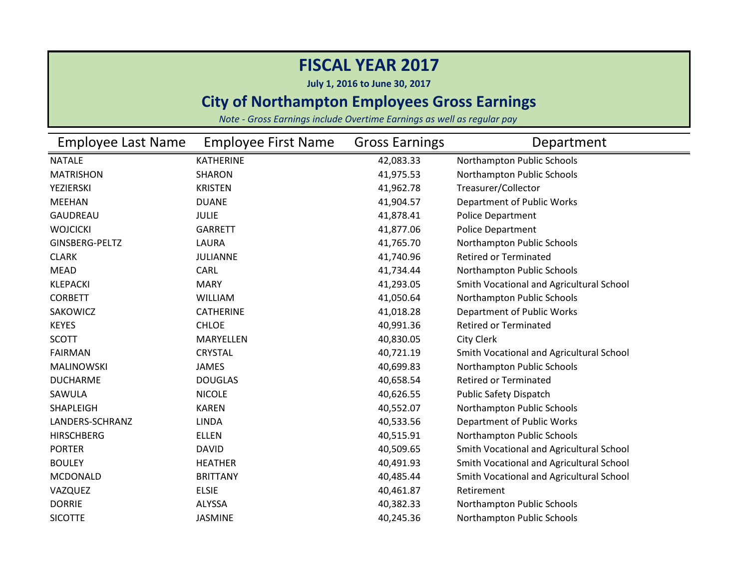**July 1, 2016 to June 30, 2017**

### **City of Northampton Employees Gross Earnings**

| <b>Employee Last Name</b> | <b>Employee First Name</b> | <b>Gross Earnings</b> | Department                               |
|---------------------------|----------------------------|-----------------------|------------------------------------------|
| <b>NATALE</b>             | <b>KATHERINE</b>           | 42,083.33             | Northampton Public Schools               |
| <b>MATRISHON</b>          | <b>SHARON</b>              | 41,975.53             | Northampton Public Schools               |
| <b>YEZIERSKI</b>          | <b>KRISTEN</b>             | 41,962.78             | Treasurer/Collector                      |
| <b>MEEHAN</b>             | <b>DUANE</b>               | 41,904.57             | Department of Public Works               |
| <b>GAUDREAU</b>           | <b>JULIE</b>               | 41,878.41             | <b>Police Department</b>                 |
| <b>WOJCICKI</b>           | <b>GARRETT</b>             | 41,877.06             | Police Department                        |
| GINSBERG-PELTZ            | LAURA                      | 41,765.70             | Northampton Public Schools               |
| <b>CLARK</b>              | <b>JULIANNE</b>            | 41,740.96             | <b>Retired or Terminated</b>             |
| <b>MEAD</b>               | CARL                       | 41,734.44             | Northampton Public Schools               |
| <b>KLEPACKI</b>           | <b>MARY</b>                | 41,293.05             | Smith Vocational and Agricultural School |
| <b>CORBETT</b>            | <b>WILLIAM</b>             | 41,050.64             | Northampton Public Schools               |
| SAKOWICZ                  | <b>CATHERINE</b>           | 41,018.28             | Department of Public Works               |
| <b>KEYES</b>              | <b>CHLOE</b>               | 40,991.36             | <b>Retired or Terminated</b>             |
| <b>SCOTT</b>              | MARYELLEN                  | 40,830.05             | City Clerk                               |
| <b>FAIRMAN</b>            | <b>CRYSTAL</b>             | 40,721.19             | Smith Vocational and Agricultural School |
| <b>MALINOWSKI</b>         | <b>JAMES</b>               | 40,699.83             | Northampton Public Schools               |
| <b>DUCHARME</b>           | <b>DOUGLAS</b>             | 40,658.54             | <b>Retired or Terminated</b>             |
| SAWULA                    | <b>NICOLE</b>              | 40,626.55             | <b>Public Safety Dispatch</b>            |
| SHAPLEIGH                 | <b>KAREN</b>               | 40,552.07             | Northampton Public Schools               |
| LANDERS-SCHRANZ           | <b>LINDA</b>               | 40,533.56             | Department of Public Works               |
| <b>HIRSCHBERG</b>         | <b>ELLEN</b>               | 40,515.91             | Northampton Public Schools               |
| <b>PORTER</b>             | <b>DAVID</b>               | 40,509.65             | Smith Vocational and Agricultural School |
| <b>BOULEY</b>             | <b>HEATHER</b>             | 40,491.93             | Smith Vocational and Agricultural School |
| <b>MCDONALD</b>           | <b>BRITTANY</b>            | 40,485.44             | Smith Vocational and Agricultural School |
| VAZQUEZ                   | <b>ELSIE</b>               | 40,461.87             | Retirement                               |
| <b>DORRIE</b>             | <b>ALYSSA</b>              | 40,382.33             | Northampton Public Schools               |
| <b>SICOTTE</b>            | <b>JASMINE</b>             | 40,245.36             | Northampton Public Schools               |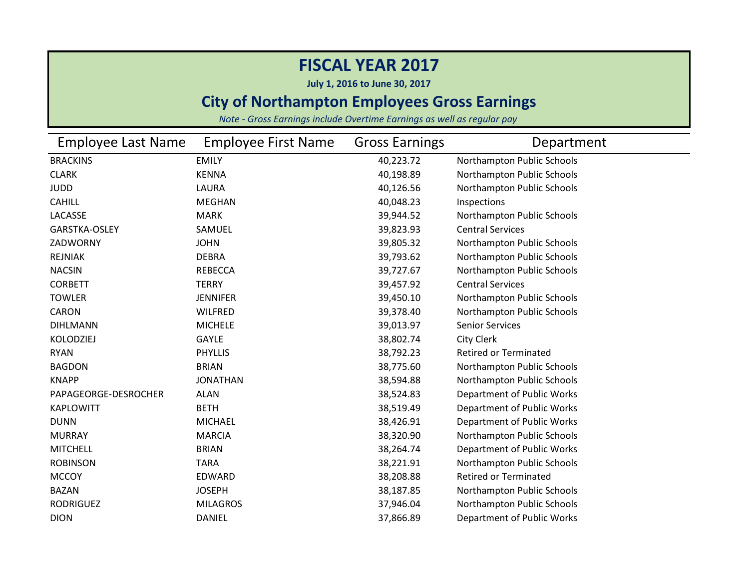**July 1, 2016 to June 30, 2017**

### **City of Northampton Employees Gross Earnings**

| <b>Employee Last Name</b> | <b>Employee First Name</b> | <b>Gross Earnings</b> | Department                   |
|---------------------------|----------------------------|-----------------------|------------------------------|
| <b>BRACKINS</b>           | <b>EMILY</b>               | 40,223.72             | Northampton Public Schools   |
| <b>CLARK</b>              | <b>KENNA</b>               | 40,198.89             | Northampton Public Schools   |
| <b>JUDD</b>               | LAURA                      | 40,126.56             | Northampton Public Schools   |
| <b>CAHILL</b>             | <b>MEGHAN</b>              | 40,048.23             | Inspections                  |
| LACASSE                   | <b>MARK</b>                | 39,944.52             | Northampton Public Schools   |
| <b>GARSTKA-OSLEY</b>      | SAMUEL                     | 39,823.93             | <b>Central Services</b>      |
| ZADWORNY                  | <b>JOHN</b>                | 39,805.32             | Northampton Public Schools   |
| <b>REJNIAK</b>            | <b>DEBRA</b>               | 39,793.62             | Northampton Public Schools   |
| <b>NACSIN</b>             | <b>REBECCA</b>             | 39,727.67             | Northampton Public Schools   |
| <b>CORBETT</b>            | <b>TERRY</b>               | 39,457.92             | <b>Central Services</b>      |
| <b>TOWLER</b>             | <b>JENNIFER</b>            | 39,450.10             | Northampton Public Schools   |
| <b>CARON</b>              | <b>WILFRED</b>             | 39,378.40             | Northampton Public Schools   |
| <b>DIHLMANN</b>           | <b>MICHELE</b>             | 39,013.97             | <b>Senior Services</b>       |
| <b>KOLODZIEJ</b>          | <b>GAYLE</b>               | 38,802.74             | <b>City Clerk</b>            |
| <b>RYAN</b>               | <b>PHYLLIS</b>             | 38,792.23             | <b>Retired or Terminated</b> |
| <b>BAGDON</b>             | <b>BRIAN</b>               | 38,775.60             | Northampton Public Schools   |
| <b>KNAPP</b>              | <b>JONATHAN</b>            | 38,594.88             | Northampton Public Schools   |
| PAPAGEORGE-DESROCHER      | <b>ALAN</b>                | 38,524.83             | Department of Public Works   |
| <b>KAPLOWITT</b>          | <b>BETH</b>                | 38,519.49             | Department of Public Works   |
| <b>DUNN</b>               | <b>MICHAEL</b>             | 38,426.91             | Department of Public Works   |
| <b>MURRAY</b>             | <b>MARCIA</b>              | 38,320.90             | Northampton Public Schools   |
| <b>MITCHELL</b>           | <b>BRIAN</b>               | 38,264.74             | Department of Public Works   |
| <b>ROBINSON</b>           | <b>TARA</b>                | 38,221.91             | Northampton Public Schools   |
| <b>MCCOY</b>              | <b>EDWARD</b>              | 38,208.88             | <b>Retired or Terminated</b> |
| <b>BAZAN</b>              | <b>JOSEPH</b>              | 38,187.85             | Northampton Public Schools   |
| <b>RODRIGUEZ</b>          | <b>MILAGROS</b>            | 37,946.04             | Northampton Public Schools   |
| <b>DION</b>               | <b>DANIEL</b>              | 37,866.89             | Department of Public Works   |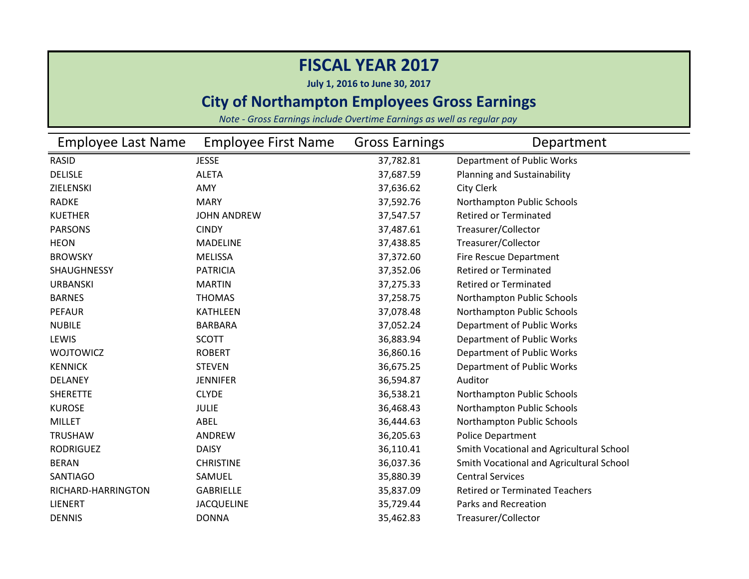**July 1, 2016 to June 30, 2017**

### **City of Northampton Employees Gross Earnings**

| <b>Employee Last Name</b> | <b>Employee First Name</b> | <b>Gross Earnings</b> | Department                               |
|---------------------------|----------------------------|-----------------------|------------------------------------------|
| <b>RASID</b>              | <b>JESSE</b>               | 37,782.81             | Department of Public Works               |
| <b>DELISLE</b>            | <b>ALETA</b>               | 37,687.59             | Planning and Sustainability              |
| ZIELENSKI                 | AMY                        | 37,636.62             | City Clerk                               |
| <b>RADKE</b>              | <b>MARY</b>                | 37,592.76             | Northampton Public Schools               |
| <b>KUETHER</b>            | <b>JOHN ANDREW</b>         | 37,547.57             | <b>Retired or Terminated</b>             |
| <b>PARSONS</b>            | <b>CINDY</b>               | 37,487.61             | Treasurer/Collector                      |
| <b>HEON</b>               | <b>MADELINE</b>            | 37,438.85             | Treasurer/Collector                      |
| <b>BROWSKY</b>            | <b>MELISSA</b>             | 37,372.60             | Fire Rescue Department                   |
| SHAUGHNESSY               | <b>PATRICIA</b>            | 37,352.06             | <b>Retired or Terminated</b>             |
| <b>URBANSKI</b>           | <b>MARTIN</b>              | 37,275.33             | <b>Retired or Terminated</b>             |
| <b>BARNES</b>             | <b>THOMAS</b>              | 37,258.75             | Northampton Public Schools               |
| <b>PEFAUR</b>             | <b>KATHLEEN</b>            | 37,078.48             | Northampton Public Schools               |
| <b>NUBILE</b>             | <b>BARBARA</b>             | 37,052.24             | Department of Public Works               |
| LEWIS                     | <b>SCOTT</b>               | 36,883.94             | Department of Public Works               |
| <b>WOJTOWICZ</b>          | <b>ROBERT</b>              | 36,860.16             | Department of Public Works               |
| <b>KENNICK</b>            | <b>STEVEN</b>              | 36,675.25             | Department of Public Works               |
| <b>DELANEY</b>            | <b>JENNIFER</b>            | 36,594.87             | Auditor                                  |
| <b>SHERETTE</b>           | <b>CLYDE</b>               | 36,538.21             | Northampton Public Schools               |
| <b>KUROSE</b>             | <b>JULIE</b>               | 36,468.43             | Northampton Public Schools               |
| <b>MILLET</b>             | ABEL                       | 36,444.63             | Northampton Public Schools               |
| <b>TRUSHAW</b>            | ANDREW                     | 36,205.63             | <b>Police Department</b>                 |
| <b>RODRIGUEZ</b>          | <b>DAISY</b>               | 36,110.41             | Smith Vocational and Agricultural School |
| <b>BERAN</b>              | <b>CHRISTINE</b>           | 36,037.36             | Smith Vocational and Agricultural School |
| <b>SANTIAGO</b>           | SAMUEL                     | 35,880.39             | <b>Central Services</b>                  |
| RICHARD-HARRINGTON        | <b>GABRIELLE</b>           | 35,837.09             | <b>Retired or Terminated Teachers</b>    |
| <b>LIENERT</b>            | <b>JACQUELINE</b>          | 35,729.44             | <b>Parks and Recreation</b>              |
| <b>DENNIS</b>             | <b>DONNA</b>               | 35,462.83             | Treasurer/Collector                      |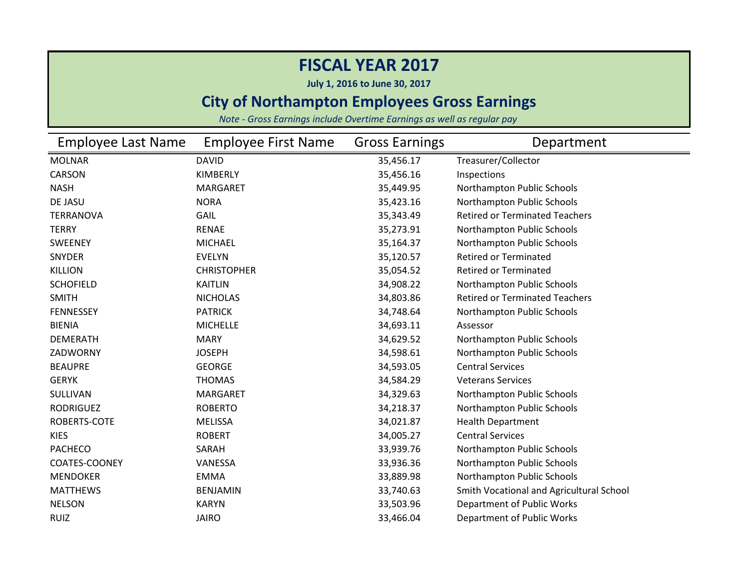**July 1, 2016 to June 30, 2017**

### **City of Northampton Employees Gross Earnings**

| Employee Last Name | <b>Employee First Name</b> | <b>Gross Earnings</b> | Department                               |
|--------------------|----------------------------|-----------------------|------------------------------------------|
| <b>MOLNAR</b>      | <b>DAVID</b>               | 35,456.17             | Treasurer/Collector                      |
| <b>CARSON</b>      | KIMBERLY                   | 35,456.16             | Inspections                              |
| <b>NASH</b>        | <b>MARGARET</b>            | 35,449.95             | Northampton Public Schools               |
| DE JASU            | <b>NORA</b>                | 35,423.16             | Northampton Public Schools               |
| <b>TERRANOVA</b>   | GAIL                       | 35,343.49             | <b>Retired or Terminated Teachers</b>    |
| <b>TERRY</b>       | <b>RENAE</b>               | 35,273.91             | Northampton Public Schools               |
| <b>SWEENEY</b>     | <b>MICHAEL</b>             | 35,164.37             | Northampton Public Schools               |
| SNYDER             | <b>EVELYN</b>              | 35,120.57             | <b>Retired or Terminated</b>             |
| <b>KILLION</b>     | <b>CHRISTOPHER</b>         | 35,054.52             | <b>Retired or Terminated</b>             |
| <b>SCHOFIELD</b>   | <b>KAITLIN</b>             | 34,908.22             | Northampton Public Schools               |
| <b>SMITH</b>       | <b>NICHOLAS</b>            | 34,803.86             | <b>Retired or Terminated Teachers</b>    |
| <b>FENNESSEY</b>   | <b>PATRICK</b>             | 34,748.64             | Northampton Public Schools               |
| <b>BIENIA</b>      | <b>MICHELLE</b>            | 34,693.11             | Assessor                                 |
| <b>DEMERATH</b>    | <b>MARY</b>                | 34,629.52             | Northampton Public Schools               |
| ZADWORNY           | <b>JOSEPH</b>              | 34,598.61             | Northampton Public Schools               |
| <b>BEAUPRE</b>     | <b>GEORGE</b>              | 34,593.05             | <b>Central Services</b>                  |
| <b>GERYK</b>       | <b>THOMAS</b>              | 34,584.29             | <b>Veterans Services</b>                 |
| SULLIVAN           | <b>MARGARET</b>            | 34,329.63             | Northampton Public Schools               |
| <b>RODRIGUEZ</b>   | <b>ROBERTO</b>             | 34,218.37             | Northampton Public Schools               |
| ROBERTS-COTE       | <b>MELISSA</b>             | 34,021.87             | <b>Health Department</b>                 |
| <b>KIES</b>        | <b>ROBERT</b>              | 34,005.27             | <b>Central Services</b>                  |
| <b>PACHECO</b>     | SARAH                      | 33,939.76             | Northampton Public Schools               |
| COATES-COONEY      | VANESSA                    | 33,936.36             | Northampton Public Schools               |
| <b>MENDOKER</b>    | <b>EMMA</b>                | 33,889.98             | Northampton Public Schools               |
| <b>MATTHEWS</b>    | <b>BENJAMIN</b>            | 33,740.63             | Smith Vocational and Agricultural School |
| <b>NELSON</b>      | <b>KARYN</b>               | 33,503.96             | Department of Public Works               |
| <b>RUIZ</b>        | <b>JAIRO</b>               | 33,466.04             | Department of Public Works               |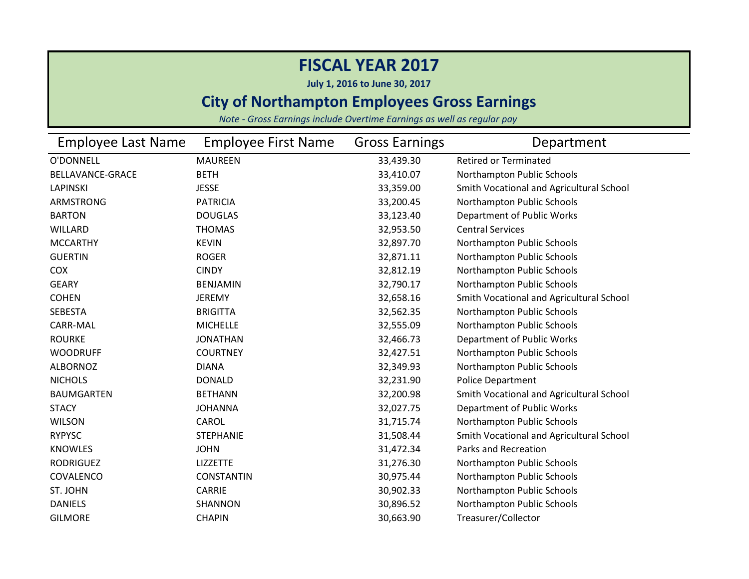**July 1, 2016 to June 30, 2017**

### **City of Northampton Employees Gross Earnings**

| Employee Last Name | <b>Employee First Name</b> | <b>Gross Earnings</b> | Department                               |
|--------------------|----------------------------|-----------------------|------------------------------------------|
| O'DONNELL          | <b>MAUREEN</b>             | 33,439.30             | <b>Retired or Terminated</b>             |
| BELLAVANCE-GRACE   | <b>BETH</b>                | 33,410.07             | Northampton Public Schools               |
| <b>LAPINSKI</b>    | <b>JESSE</b>               | 33,359.00             | Smith Vocational and Agricultural School |
| <b>ARMSTRONG</b>   | <b>PATRICIA</b>            | 33,200.45             | Northampton Public Schools               |
| <b>BARTON</b>      | <b>DOUGLAS</b>             | 33,123.40             | Department of Public Works               |
| <b>WILLARD</b>     | <b>THOMAS</b>              | 32,953.50             | <b>Central Services</b>                  |
| <b>MCCARTHY</b>    | <b>KEVIN</b>               | 32,897.70             | Northampton Public Schools               |
| <b>GUERTIN</b>     | <b>ROGER</b>               | 32,871.11             | Northampton Public Schools               |
| COX                | <b>CINDY</b>               | 32,812.19             | Northampton Public Schools               |
| <b>GEARY</b>       | <b>BENJAMIN</b>            | 32,790.17             | Northampton Public Schools               |
| <b>COHEN</b>       | <b>JEREMY</b>              | 32,658.16             | Smith Vocational and Agricultural School |
| <b>SEBESTA</b>     | <b>BRIGITTA</b>            | 32,562.35             | Northampton Public Schools               |
| CARR-MAL           | <b>MICHELLE</b>            | 32,555.09             | Northampton Public Schools               |
| <b>ROURKE</b>      | <b>JONATHAN</b>            | 32,466.73             | Department of Public Works               |
| <b>WOODRUFF</b>    | <b>COURTNEY</b>            | 32,427.51             | Northampton Public Schools               |
| <b>ALBORNOZ</b>    | <b>DIANA</b>               | 32,349.93             | Northampton Public Schools               |
| <b>NICHOLS</b>     | <b>DONALD</b>              | 32,231.90             | Police Department                        |
| <b>BAUMGARTEN</b>  | <b>BETHANN</b>             | 32,200.98             | Smith Vocational and Agricultural School |
| <b>STACY</b>       | <b>JOHANNA</b>             | 32,027.75             | Department of Public Works               |
| <b>WILSON</b>      | CAROL                      | 31,715.74             | Northampton Public Schools               |
| <b>RYPYSC</b>      | <b>STEPHANIE</b>           | 31,508.44             | Smith Vocational and Agricultural School |
| <b>KNOWLES</b>     | <b>JOHN</b>                | 31,472.34             | Parks and Recreation                     |
| <b>RODRIGUEZ</b>   | <b>LIZZETTE</b>            | 31,276.30             | Northampton Public Schools               |
| COVALENCO          | <b>CONSTANTIN</b>          | 30,975.44             | Northampton Public Schools               |
| ST. JOHN           | <b>CARRIE</b>              | 30,902.33             | Northampton Public Schools               |
| <b>DANIELS</b>     | SHANNON                    | 30,896.52             | Northampton Public Schools               |
| <b>GILMORE</b>     | <b>CHAPIN</b>              | 30,663.90             | Treasurer/Collector                      |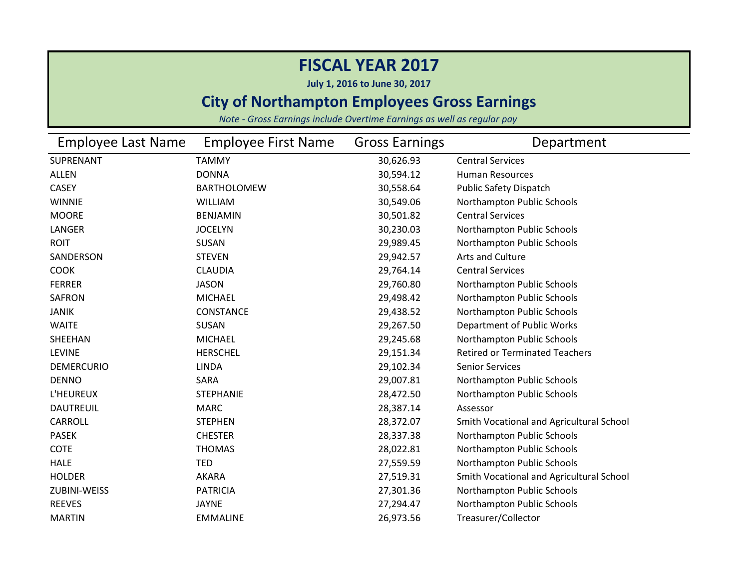**July 1, 2016 to June 30, 2017**

### **City of Northampton Employees Gross Earnings**

| Employee Last Name | <b>Employee First Name</b> | <b>Gross Earnings</b> | Department                               |
|--------------------|----------------------------|-----------------------|------------------------------------------|
| SUPRENANT          | <b>TAMMY</b>               | 30,626.93             | <b>Central Services</b>                  |
| <b>ALLEN</b>       | <b>DONNA</b>               | 30,594.12             | <b>Human Resources</b>                   |
| <b>CASEY</b>       | <b>BARTHOLOMEW</b>         | 30,558.64             | <b>Public Safety Dispatch</b>            |
| <b>WINNIE</b>      | <b>WILLIAM</b>             | 30,549.06             | Northampton Public Schools               |
| <b>MOORE</b>       | <b>BENJAMIN</b>            | 30,501.82             | <b>Central Services</b>                  |
| LANGER             | <b>JOCELYN</b>             | 30,230.03             | Northampton Public Schools               |
| <b>ROIT</b>        | <b>SUSAN</b>               | 29,989.45             | Northampton Public Schools               |
| SANDERSON          | <b>STEVEN</b>              | 29,942.57             | Arts and Culture                         |
| <b>COOK</b>        | <b>CLAUDIA</b>             | 29,764.14             | <b>Central Services</b>                  |
| <b>FERRER</b>      | <b>JASON</b>               | 29,760.80             | Northampton Public Schools               |
| <b>SAFRON</b>      | <b>MICHAEL</b>             | 29,498.42             | Northampton Public Schools               |
| <b>JANIK</b>       | CONSTANCE                  | 29,438.52             | Northampton Public Schools               |
| <b>WAITE</b>       | <b>SUSAN</b>               | 29,267.50             | Department of Public Works               |
| SHEEHAN            | <b>MICHAEL</b>             | 29,245.68             | Northampton Public Schools               |
| <b>LEVINE</b>      | <b>HERSCHEL</b>            | 29,151.34             | <b>Retired or Terminated Teachers</b>    |
| <b>DEMERCURIO</b>  | <b>LINDA</b>               | 29,102.34             | <b>Senior Services</b>                   |
| <b>DENNO</b>       | SARA                       | 29,007.81             | Northampton Public Schools               |
| L'HEUREUX          | <b>STEPHANIE</b>           | 28,472.50             | Northampton Public Schools               |
| <b>DAUTREUIL</b>   | <b>MARC</b>                | 28,387.14             | Assessor                                 |
| <b>CARROLL</b>     | <b>STEPHEN</b>             | 28,372.07             | Smith Vocational and Agricultural School |
| <b>PASEK</b>       | <b>CHESTER</b>             | 28,337.38             | Northampton Public Schools               |
| <b>COTE</b>        | <b>THOMAS</b>              | 28,022.81             | Northampton Public Schools               |
| <b>HALE</b>        | TED                        | 27,559.59             | Northampton Public Schools               |
| <b>HOLDER</b>      | AKARA                      | 27,519.31             | Smith Vocational and Agricultural School |
| ZUBINI-WEISS       | <b>PATRICIA</b>            | 27,301.36             | Northampton Public Schools               |
| <b>REEVES</b>      | <b>JAYNE</b>               | 27,294.47             | Northampton Public Schools               |
| <b>MARTIN</b>      | <b>EMMALINE</b>            | 26,973.56             | Treasurer/Collector                      |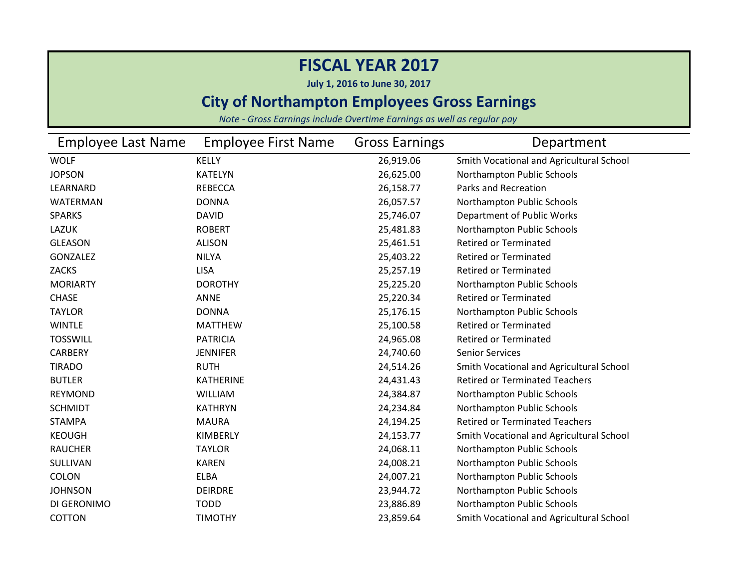**July 1, 2016 to June 30, 2017**

### **City of Northampton Employees Gross Earnings**

| <b>Employee Last Name</b> | <b>Employee First Name</b> | <b>Gross Earnings</b> | Department                               |
|---------------------------|----------------------------|-----------------------|------------------------------------------|
| <b>WOLF</b>               | <b>KELLY</b>               | 26,919.06             | Smith Vocational and Agricultural School |
| <b>JOPSON</b>             | <b>KATELYN</b>             | 26,625.00             | Northampton Public Schools               |
| LEARNARD                  | <b>REBECCA</b>             | 26,158.77             | <b>Parks and Recreation</b>              |
| <b>WATERMAN</b>           | <b>DONNA</b>               | 26,057.57             | Northampton Public Schools               |
| <b>SPARKS</b>             | <b>DAVID</b>               | 25,746.07             | Department of Public Works               |
| <b>LAZUK</b>              | <b>ROBERT</b>              | 25,481.83             | Northampton Public Schools               |
| <b>GLEASON</b>            | <b>ALISON</b>              | 25,461.51             | <b>Retired or Terminated</b>             |
| GONZALEZ                  | <b>NILYA</b>               | 25,403.22             | <b>Retired or Terminated</b>             |
| <b>ZACKS</b>              | <b>LISA</b>                | 25,257.19             | <b>Retired or Terminated</b>             |
| <b>MORIARTY</b>           | <b>DOROTHY</b>             | 25,225.20             | Northampton Public Schools               |
| <b>CHASE</b>              | <b>ANNE</b>                | 25,220.34             | <b>Retired or Terminated</b>             |
| <b>TAYLOR</b>             | <b>DONNA</b>               | 25,176.15             | Northampton Public Schools               |
| <b>WINTLE</b>             | <b>MATTHEW</b>             | 25,100.58             | <b>Retired or Terminated</b>             |
| <b>TOSSWILL</b>           | <b>PATRICIA</b>            | 24,965.08             | <b>Retired or Terminated</b>             |
| <b>CARBERY</b>            | <b>JENNIFER</b>            | 24,740.60             | <b>Senior Services</b>                   |
| <b>TIRADO</b>             | <b>RUTH</b>                | 24,514.26             | Smith Vocational and Agricultural School |
| <b>BUTLER</b>             | <b>KATHERINE</b>           | 24,431.43             | <b>Retired or Terminated Teachers</b>    |
| <b>REYMOND</b>            | <b>WILLIAM</b>             | 24,384.87             | Northampton Public Schools               |
| <b>SCHMIDT</b>            | <b>KATHRYN</b>             | 24,234.84             | Northampton Public Schools               |
| <b>STAMPA</b>             | <b>MAURA</b>               | 24,194.25             | <b>Retired or Terminated Teachers</b>    |
| <b>KEOUGH</b>             | KIMBERLY                   | 24,153.77             | Smith Vocational and Agricultural School |
| <b>RAUCHER</b>            | <b>TAYLOR</b>              | 24,068.11             | Northampton Public Schools               |
| SULLIVAN                  | <b>KAREN</b>               | 24,008.21             | Northampton Public Schools               |
| <b>COLON</b>              | <b>ELBA</b>                | 24,007.21             | Northampton Public Schools               |
| <b>JOHNSON</b>            | <b>DEIRDRE</b>             | 23,944.72             | Northampton Public Schools               |
| DI GERONIMO               | <b>TODD</b>                | 23,886.89             | Northampton Public Schools               |
| <b>COTTON</b>             | <b>TIMOTHY</b>             | 23,859.64             | Smith Vocational and Agricultural School |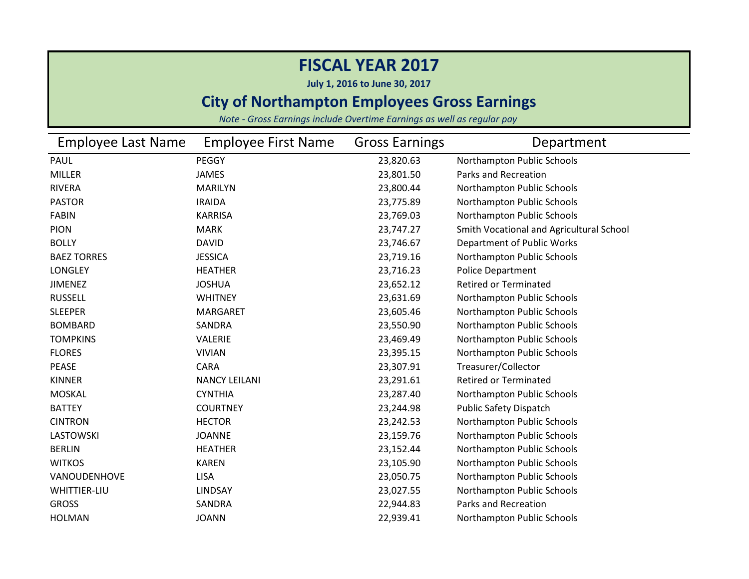**July 1, 2016 to June 30, 2017**

### **City of Northampton Employees Gross Earnings**

| <b>Employee Last Name</b> | <b>Employee First Name</b> | <b>Gross Earnings</b> | Department                               |
|---------------------------|----------------------------|-----------------------|------------------------------------------|
| <b>PAUL</b>               | PEGGY                      | 23,820.63             | Northampton Public Schools               |
| <b>MILLER</b>             | <b>JAMES</b>               | 23,801.50             | Parks and Recreation                     |
| <b>RIVERA</b>             | <b>MARILYN</b>             | 23,800.44             | Northampton Public Schools               |
| <b>PASTOR</b>             | <b>IRAIDA</b>              | 23,775.89             | Northampton Public Schools               |
| <b>FABIN</b>              | <b>KARRISA</b>             | 23,769.03             | Northampton Public Schools               |
| <b>PION</b>               | <b>MARK</b>                | 23,747.27             | Smith Vocational and Agricultural School |
| <b>BOLLY</b>              | <b>DAVID</b>               | 23,746.67             | Department of Public Works               |
| <b>BAEZ TORRES</b>        | <b>JESSICA</b>             | 23,719.16             | Northampton Public Schools               |
| <b>LONGLEY</b>            | <b>HEATHER</b>             | 23,716.23             | <b>Police Department</b>                 |
| <b>JIMENEZ</b>            | <b>JOSHUA</b>              | 23,652.12             | <b>Retired or Terminated</b>             |
| <b>RUSSELL</b>            | <b>WHITNEY</b>             | 23,631.69             | Northampton Public Schools               |
| <b>SLEEPER</b>            | <b>MARGARET</b>            | 23,605.46             | Northampton Public Schools               |
| <b>BOMBARD</b>            | SANDRA                     | 23,550.90             | Northampton Public Schools               |
| <b>TOMPKINS</b>           | VALERIE                    | 23,469.49             | Northampton Public Schools               |
| <b>FLORES</b>             | <b>VIVIAN</b>              | 23,395.15             | Northampton Public Schools               |
| <b>PEASE</b>              | <b>CARA</b>                | 23,307.91             | Treasurer/Collector                      |
| <b>KINNER</b>             | <b>NANCY LEILANI</b>       | 23,291.61             | <b>Retired or Terminated</b>             |
| <b>MOSKAL</b>             | <b>CYNTHIA</b>             | 23,287.40             | Northampton Public Schools               |
| <b>BATTEY</b>             | <b>COURTNEY</b>            | 23,244.98             | Public Safety Dispatch                   |
| <b>CINTRON</b>            | <b>HECTOR</b>              | 23,242.53             | Northampton Public Schools               |
| <b>LASTOWSKI</b>          | <b>JOANNE</b>              | 23,159.76             | Northampton Public Schools               |
| <b>BERLIN</b>             | <b>HEATHER</b>             | 23,152.44             | Northampton Public Schools               |
| <b>WITKOS</b>             | <b>KAREN</b>               | 23,105.90             | Northampton Public Schools               |
| VANOUDENHOVE              | <b>LISA</b>                | 23,050.75             | Northampton Public Schools               |
| <b>WHITTIER-LIU</b>       | <b>LINDSAY</b>             | 23,027.55             | Northampton Public Schools               |
| <b>GROSS</b>              | SANDRA                     | 22,944.83             | Parks and Recreation                     |
| <b>HOLMAN</b>             | <b>JOANN</b>               | 22,939.41             | Northampton Public Schools               |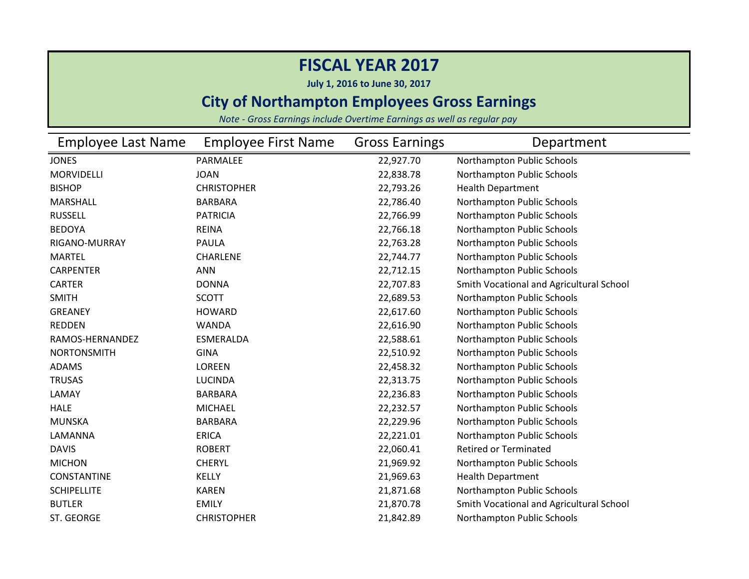**July 1, 2016 to June 30, 2017**

### **City of Northampton Employees Gross Earnings**

| <b>Employee Last Name</b> | <b>Employee First Name</b> | <b>Gross Earnings</b> | Department                               |
|---------------------------|----------------------------|-----------------------|------------------------------------------|
| <b>JONES</b>              | PARMALEE                   | 22,927.70             | Northampton Public Schools               |
| MORVIDELLI                | <b>JOAN</b>                | 22,838.78             | Northampton Public Schools               |
| <b>BISHOP</b>             | <b>CHRISTOPHER</b>         | 22,793.26             | <b>Health Department</b>                 |
| <b>MARSHALL</b>           | <b>BARBARA</b>             | 22,786.40             | Northampton Public Schools               |
| <b>RUSSELL</b>            | <b>PATRICIA</b>            | 22,766.99             | Northampton Public Schools               |
| <b>BEDOYA</b>             | <b>REINA</b>               | 22,766.18             | Northampton Public Schools               |
| RIGANO-MURRAY             | PAULA                      | 22,763.28             | Northampton Public Schools               |
| <b>MARTEL</b>             | CHARLENE                   | 22,744.77             | Northampton Public Schools               |
| <b>CARPENTER</b>          | <b>ANN</b>                 | 22,712.15             | Northampton Public Schools               |
| <b>CARTER</b>             | <b>DONNA</b>               | 22,707.83             | Smith Vocational and Agricultural School |
| <b>SMITH</b>              | <b>SCOTT</b>               | 22,689.53             | Northampton Public Schools               |
| <b>GREANEY</b>            | <b>HOWARD</b>              | 22,617.60             | Northampton Public Schools               |
| <b>REDDEN</b>             | <b>WANDA</b>               | 22,616.90             | Northampton Public Schools               |
| RAMOS-HERNANDEZ           | <b>ESMERALDA</b>           | 22,588.61             | Northampton Public Schools               |
| <b>NORTONSMITH</b>        | <b>GINA</b>                | 22,510.92             | Northampton Public Schools               |
| <b>ADAMS</b>              | <b>LOREEN</b>              | 22,458.32             | Northampton Public Schools               |
| <b>TRUSAS</b>             | <b>LUCINDA</b>             | 22,313.75             | Northampton Public Schools               |
| LAMAY                     | <b>BARBARA</b>             | 22,236.83             | Northampton Public Schools               |
| <b>HALE</b>               | <b>MICHAEL</b>             | 22,232.57             | Northampton Public Schools               |
| <b>MUNSKA</b>             | <b>BARBARA</b>             | 22,229.96             | Northampton Public Schools               |
| LAMANNA                   | <b>ERICA</b>               | 22,221.01             | Northampton Public Schools               |
| <b>DAVIS</b>              | <b>ROBERT</b>              | 22,060.41             | <b>Retired or Terminated</b>             |
| <b>MICHON</b>             | <b>CHERYL</b>              | 21,969.92             | Northampton Public Schools               |
| <b>CONSTANTINE</b>        | <b>KELLY</b>               | 21,969.63             | <b>Health Department</b>                 |
| <b>SCHIPELLITE</b>        | <b>KAREN</b>               | 21,871.68             | Northampton Public Schools               |
| <b>BUTLER</b>             | <b>EMILY</b>               | 21,870.78             | Smith Vocational and Agricultural School |
| ST. GEORGE                | <b>CHRISTOPHER</b>         | 21,842.89             | Northampton Public Schools               |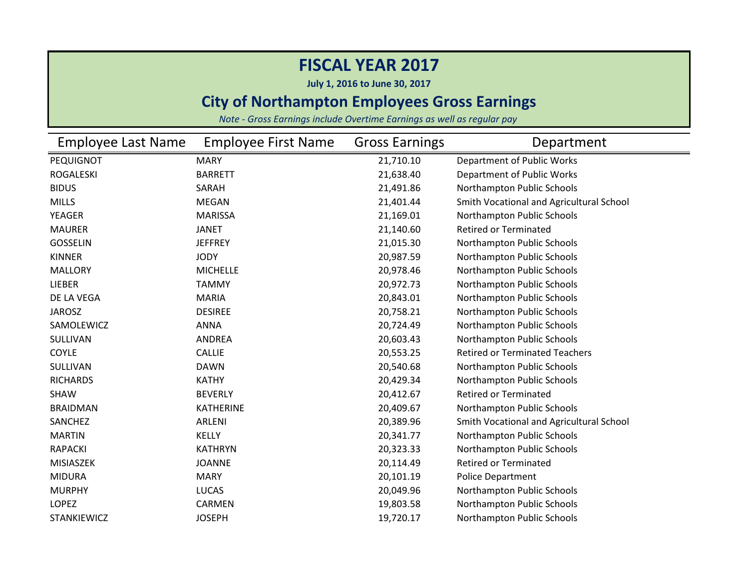**July 1, 2016 to June 30, 2017**

### **City of Northampton Employees Gross Earnings**

| Employee Last Name | <b>Employee First Name</b> | <b>Gross Earnings</b> | Department                               |
|--------------------|----------------------------|-----------------------|------------------------------------------|
| PEQUIGNOT          | <b>MARY</b>                | 21,710.10             | Department of Public Works               |
| <b>ROGALESKI</b>   | <b>BARRETT</b>             | 21,638.40             | Department of Public Works               |
| <b>BIDUS</b>       | SARAH                      | 21,491.86             | Northampton Public Schools               |
| <b>MILLS</b>       | <b>MEGAN</b>               | 21,401.44             | Smith Vocational and Agricultural School |
| <b>YEAGER</b>      | <b>MARISSA</b>             | 21,169.01             | Northampton Public Schools               |
| <b>MAURER</b>      | <b>JANET</b>               | 21,140.60             | <b>Retired or Terminated</b>             |
| <b>GOSSELIN</b>    | <b>JEFFREY</b>             | 21,015.30             | Northampton Public Schools               |
| <b>KINNER</b>      | <b>JODY</b>                | 20,987.59             | Northampton Public Schools               |
| <b>MALLORY</b>     | <b>MICHELLE</b>            | 20,978.46             | Northampton Public Schools               |
| LIEBER             | <b>TAMMY</b>               | 20,972.73             | Northampton Public Schools               |
| DE LA VEGA         | <b>MARIA</b>               | 20,843.01             | Northampton Public Schools               |
| <b>JAROSZ</b>      | <b>DESIREE</b>             | 20,758.21             | Northampton Public Schools               |
| SAMOLEWICZ         | <b>ANNA</b>                | 20,724.49             | Northampton Public Schools               |
| SULLIVAN           | ANDREA                     | 20,603.43             | Northampton Public Schools               |
| <b>COYLE</b>       | <b>CALLIE</b>              | 20,553.25             | <b>Retired or Terminated Teachers</b>    |
| SULLIVAN           | <b>DAWN</b>                | 20,540.68             | Northampton Public Schools               |
| <b>RICHARDS</b>    | <b>KATHY</b>               | 20,429.34             | Northampton Public Schools               |
| <b>SHAW</b>        | <b>BEVERLY</b>             | 20,412.67             | <b>Retired or Terminated</b>             |
| <b>BRAIDMAN</b>    | <b>KATHERINE</b>           | 20,409.67             | Northampton Public Schools               |
| SANCHEZ            | ARLENI                     | 20,389.96             | Smith Vocational and Agricultural School |
| <b>MARTIN</b>      | <b>KELLY</b>               | 20,341.77             | Northampton Public Schools               |
| <b>RAPACKI</b>     | <b>KATHRYN</b>             | 20,323.33             | Northampton Public Schools               |
| <b>MISIASZEK</b>   | <b>JOANNE</b>              | 20,114.49             | <b>Retired or Terminated</b>             |
| <b>MIDURA</b>      | <b>MARY</b>                | 20,101.19             | <b>Police Department</b>                 |
| <b>MURPHY</b>      | <b>LUCAS</b>               | 20,049.96             | Northampton Public Schools               |
| <b>LOPEZ</b>       | CARMEN                     | 19,803.58             | Northampton Public Schools               |
| <b>STANKIEWICZ</b> | <b>JOSEPH</b>              | 19,720.17             | Northampton Public Schools               |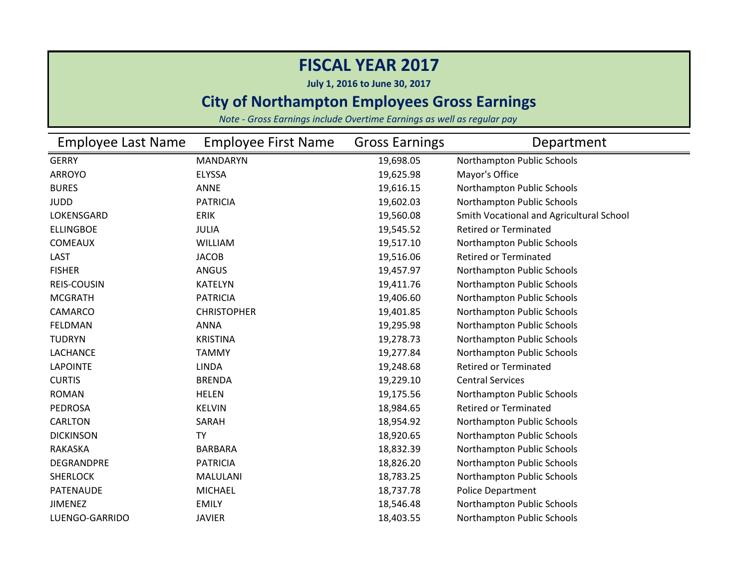**July 1, 2016 to June 30, 2017**

#### **City of Northampton Employees Gross Earnings**

| Employee Last Name | <b>Employee First Name</b> | <b>Gross Earnings</b> | Department                               |
|--------------------|----------------------------|-----------------------|------------------------------------------|
| <b>GERRY</b>       | <b>MANDARYN</b>            | 19,698.05             | Northampton Public Schools               |
| <b>ARROYO</b>      | <b>ELYSSA</b>              | 19,625.98             | Mayor's Office                           |
| <b>BURES</b>       | <b>ANNE</b>                | 19,616.15             | Northampton Public Schools               |
| <b>JUDD</b>        | <b>PATRICIA</b>            | 19,602.03             | Northampton Public Schools               |
| LOKENSGARD         | <b>ERIK</b>                | 19,560.08             | Smith Vocational and Agricultural School |
| <b>ELLINGBOE</b>   | <b>JULIA</b>               | 19,545.52             | <b>Retired or Terminated</b>             |
| <b>COMEAUX</b>     | <b>WILLIAM</b>             | 19,517.10             | Northampton Public Schools               |
| LAST               | <b>JACOB</b>               | 19,516.06             | <b>Retired or Terminated</b>             |
| <b>FISHER</b>      | ANGUS                      | 19,457.97             | Northampton Public Schools               |
| <b>REIS-COUSIN</b> | <b>KATELYN</b>             | 19,411.76             | Northampton Public Schools               |
| <b>MCGRATH</b>     | <b>PATRICIA</b>            | 19,406.60             | Northampton Public Schools               |
| CAMARCO            | <b>CHRISTOPHER</b>         | 19,401.85             | Northampton Public Schools               |
| <b>FELDMAN</b>     | <b>ANNA</b>                | 19,295.98             | Northampton Public Schools               |
| <b>TUDRYN</b>      | <b>KRISTINA</b>            | 19,278.73             | Northampton Public Schools               |
| LACHANCE           | <b>TAMMY</b>               | 19,277.84             | Northampton Public Schools               |
| <b>LAPOINTE</b>    | <b>LINDA</b>               | 19,248.68             | <b>Retired or Terminated</b>             |
| <b>CURTIS</b>      | <b>BRENDA</b>              | 19,229.10             | <b>Central Services</b>                  |
| <b>ROMAN</b>       | <b>HELEN</b>               | 19,175.56             | Northampton Public Schools               |
| <b>PEDROSA</b>     | <b>KELVIN</b>              | 18,984.65             | <b>Retired or Terminated</b>             |
| <b>CARLTON</b>     | SARAH                      | 18,954.92             | Northampton Public Schools               |
| <b>DICKINSON</b>   | <b>TY</b>                  | 18,920.65             | Northampton Public Schools               |
| RAKASKA            | <b>BARBARA</b>             | 18,832.39             | Northampton Public Schools               |
| DEGRANDPRE         | <b>PATRICIA</b>            | 18,826.20             | Northampton Public Schools               |
| <b>SHERLOCK</b>    | MALULANI                   | 18,783.25             | Northampton Public Schools               |
| PATENAUDE          | <b>MICHAEL</b>             | 18,737.78             | Police Department                        |
| <b>JIMENEZ</b>     | <b>EMILY</b>               | 18,546.48             | Northampton Public Schools               |
| LUENGO-GARRIDO     | <b>JAVIER</b>              | 18,403.55             | Northampton Public Schools               |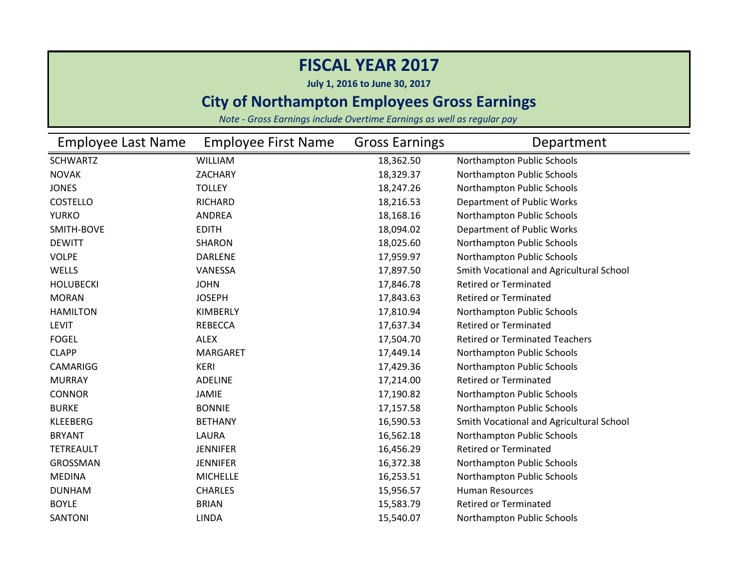**July 1, 2016 to June 30, 2017**

### **City of Northampton Employees Gross Earnings**

| Employee Last Name | <b>Employee First Name</b> | <b>Gross Earnings</b> | Department                               |
|--------------------|----------------------------|-----------------------|------------------------------------------|
| <b>SCHWARTZ</b>    | <b>WILLIAM</b>             | 18,362.50             | Northampton Public Schools               |
| <b>NOVAK</b>       | ZACHARY                    | 18,329.37             | Northampton Public Schools               |
| <b>JONES</b>       | <b>TOLLEY</b>              | 18,247.26             | Northampton Public Schools               |
| <b>COSTELLO</b>    | <b>RICHARD</b>             | 18,216.53             | Department of Public Works               |
| <b>YURKO</b>       | <b>ANDREA</b>              | 18,168.16             | Northampton Public Schools               |
| SMITH-BOVE         | <b>EDITH</b>               | 18,094.02             | Department of Public Works               |
| <b>DEWITT</b>      | <b>SHARON</b>              | 18,025.60             | Northampton Public Schools               |
| <b>VOLPE</b>       | <b>DARLENE</b>             | 17,959.97             | Northampton Public Schools               |
| WELLS              | VANESSA                    | 17,897.50             | Smith Vocational and Agricultural School |
| <b>HOLUBECKI</b>   | <b>JOHN</b>                | 17,846.78             | <b>Retired or Terminated</b>             |
| <b>MORAN</b>       | <b>JOSEPH</b>              | 17,843.63             | <b>Retired or Terminated</b>             |
| <b>HAMILTON</b>    | <b>KIMBERLY</b>            | 17,810.94             | Northampton Public Schools               |
| <b>LEVIT</b>       | <b>REBECCA</b>             | 17,637.34             | <b>Retired or Terminated</b>             |
| <b>FOGEL</b>       | <b>ALEX</b>                | 17,504.70             | <b>Retired or Terminated Teachers</b>    |
| <b>CLAPP</b>       | <b>MARGARET</b>            | 17,449.14             | Northampton Public Schools               |
| <b>CAMARIGG</b>    | <b>KERI</b>                | 17,429.36             | Northampton Public Schools               |
| <b>MURRAY</b>      | <b>ADELINE</b>             | 17,214.00             | <b>Retired or Terminated</b>             |
| <b>CONNOR</b>      | <b>JAMIE</b>               | 17,190.82             | Northampton Public Schools               |
| <b>BURKE</b>       | <b>BONNIE</b>              | 17,157.58             | Northampton Public Schools               |
| <b>KLEEBERG</b>    | <b>BETHANY</b>             | 16,590.53             | Smith Vocational and Agricultural School |
| <b>BRYANT</b>      | LAURA                      | 16,562.18             | Northampton Public Schools               |
| <b>TETREAULT</b>   | <b>JENNIFER</b>            | 16,456.29             | <b>Retired or Terminated</b>             |
| GROSSMAN           | <b>JENNIFER</b>            | 16,372.38             | Northampton Public Schools               |
| <b>MEDINA</b>      | <b>MICHELLE</b>            | 16,253.51             | Northampton Public Schools               |
| <b>DUNHAM</b>      | <b>CHARLES</b>             | 15,956.57             | <b>Human Resources</b>                   |
| <b>BOYLE</b>       | <b>BRIAN</b>               | 15,583.79             | <b>Retired or Terminated</b>             |
| <b>SANTONI</b>     | <b>LINDA</b>               | 15,540.07             | Northampton Public Schools               |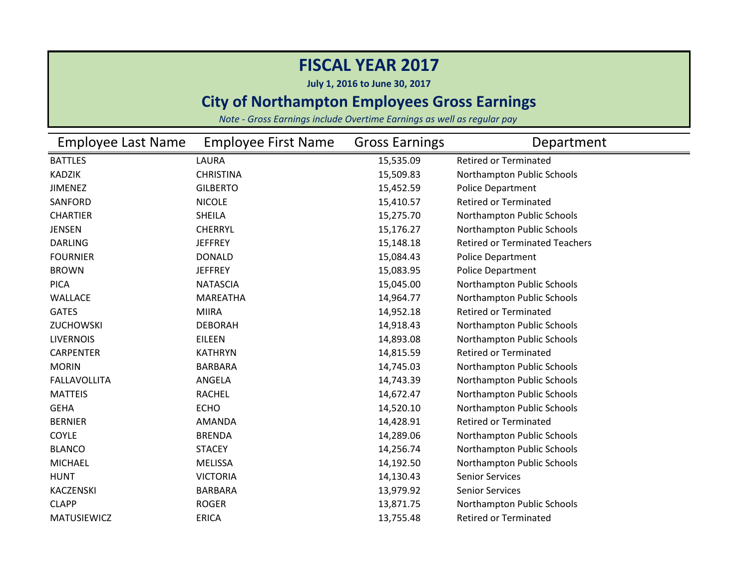**July 1, 2016 to June 30, 2017**

### **City of Northampton Employees Gross Earnings**

| <b>Employee Last Name</b> | <b>Employee First Name</b> | <b>Gross Earnings</b> | Department                            |
|---------------------------|----------------------------|-----------------------|---------------------------------------|
| <b>BATTLES</b>            | LAURA                      | 15,535.09             | <b>Retired or Terminated</b>          |
| <b>KADZIK</b>             | <b>CHRISTINA</b>           | 15,509.83             | Northampton Public Schools            |
| <b>JIMENEZ</b>            | <b>GILBERTO</b>            | 15,452.59             | <b>Police Department</b>              |
| SANFORD                   | <b>NICOLE</b>              | 15,410.57             | <b>Retired or Terminated</b>          |
| <b>CHARTIER</b>           | <b>SHEILA</b>              | 15,275.70             | Northampton Public Schools            |
| <b>JENSEN</b>             | <b>CHERRYL</b>             | 15,176.27             | Northampton Public Schools            |
| <b>DARLING</b>            | <b>JEFFREY</b>             | 15,148.18             | <b>Retired or Terminated Teachers</b> |
| <b>FOURNIER</b>           | <b>DONALD</b>              | 15,084.43             | Police Department                     |
| <b>BROWN</b>              | <b>JEFFREY</b>             | 15,083.95             | Police Department                     |
| <b>PICA</b>               | <b>NATASCIA</b>            | 15,045.00             | Northampton Public Schools            |
| WALLACE                   | <b>MAREATHA</b>            | 14,964.77             | Northampton Public Schools            |
| <b>GATES</b>              | <b>MIIRA</b>               | 14,952.18             | <b>Retired or Terminated</b>          |
| ZUCHOWSKI                 | <b>DEBORAH</b>             | 14,918.43             | Northampton Public Schools            |
| <b>LIVERNOIS</b>          | EILEEN                     | 14,893.08             | Northampton Public Schools            |
| <b>CARPENTER</b>          | <b>KATHRYN</b>             | 14,815.59             | <b>Retired or Terminated</b>          |
| <b>MORIN</b>              | <b>BARBARA</b>             | 14,745.03             | Northampton Public Schools            |
| <b>FALLAVOLLITA</b>       | ANGELA                     | 14,743.39             | Northampton Public Schools            |
| <b>MATTEIS</b>            | <b>RACHEL</b>              | 14,672.47             | Northampton Public Schools            |
| <b>GEHA</b>               | <b>ECHO</b>                | 14,520.10             | Northampton Public Schools            |
| <b>BERNIER</b>            | <b>AMANDA</b>              | 14,428.91             | <b>Retired or Terminated</b>          |
| COYLE                     | <b>BRENDA</b>              | 14,289.06             | Northampton Public Schools            |
| <b>BLANCO</b>             | <b>STACEY</b>              | 14,256.74             | Northampton Public Schools            |
| <b>MICHAEL</b>            | <b>MELISSA</b>             | 14,192.50             | Northampton Public Schools            |
| <b>HUNT</b>               | <b>VICTORIA</b>            | 14,130.43             | <b>Senior Services</b>                |
| <b>KACZENSKI</b>          | BARBARA                    | 13,979.92             | <b>Senior Services</b>                |
| <b>CLAPP</b>              | <b>ROGER</b>               | 13,871.75             | Northampton Public Schools            |
| <b>MATUSIEWICZ</b>        | <b>ERICA</b>               | 13,755.48             | <b>Retired or Terminated</b>          |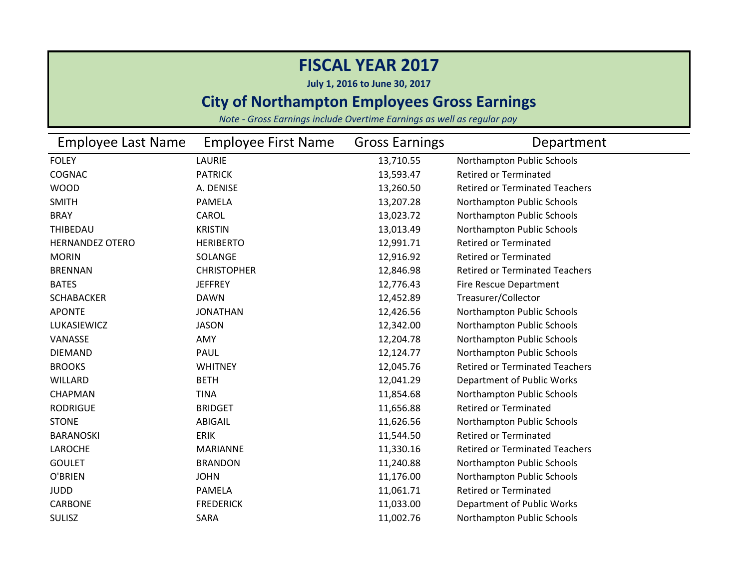**July 1, 2016 to June 30, 2017**

### **City of Northampton Employees Gross Earnings**

| <b>Employee Last Name</b> | <b>Employee First Name</b> | <b>Gross Earnings</b> | Department                            |
|---------------------------|----------------------------|-----------------------|---------------------------------------|
| <b>FOLEY</b>              | LAURIE                     | 13,710.55             | Northampton Public Schools            |
| COGNAC                    | <b>PATRICK</b>             | 13,593.47             | <b>Retired or Terminated</b>          |
| <b>WOOD</b>               | A. DENISE                  | 13,260.50             | <b>Retired or Terminated Teachers</b> |
| <b>SMITH</b>              | <b>PAMELA</b>              | 13,207.28             | Northampton Public Schools            |
| <b>BRAY</b>               | CAROL                      | 13,023.72             | Northampton Public Schools            |
| THIBEDAU                  | <b>KRISTIN</b>             | 13,013.49             | Northampton Public Schools            |
| <b>HERNANDEZ OTERO</b>    | <b>HERIBERTO</b>           | 12,991.71             | <b>Retired or Terminated</b>          |
| <b>MORIN</b>              | SOLANGE                    | 12,916.92             | <b>Retired or Terminated</b>          |
| <b>BRENNAN</b>            | <b>CHRISTOPHER</b>         | 12,846.98             | <b>Retired or Terminated Teachers</b> |
| <b>BATES</b>              | <b>JEFFREY</b>             | 12,776.43             | Fire Rescue Department                |
| <b>SCHABACKER</b>         | <b>DAWN</b>                | 12,452.89             | Treasurer/Collector                   |
| <b>APONTE</b>             | <b>JONATHAN</b>            | 12,426.56             | Northampton Public Schools            |
| LUKASIEWICZ               | <b>JASON</b>               | 12,342.00             | Northampton Public Schools            |
| VANASSE                   | AMY                        | 12,204.78             | Northampton Public Schools            |
| <b>DIEMAND</b>            | PAUL                       | 12,124.77             | Northampton Public Schools            |
| <b>BROOKS</b>             | <b>WHITNEY</b>             | 12,045.76             | <b>Retired or Terminated Teachers</b> |
| <b>WILLARD</b>            | <b>BETH</b>                | 12,041.29             | Department of Public Works            |
| CHAPMAN                   | <b>TINA</b>                | 11,854.68             | Northampton Public Schools            |
| <b>RODRIGUE</b>           | <b>BRIDGET</b>             | 11,656.88             | <b>Retired or Terminated</b>          |
| <b>STONE</b>              | ABIGAIL                    | 11,626.56             | Northampton Public Schools            |
| <b>BARANOSKI</b>          | <b>ERIK</b>                | 11,544.50             | <b>Retired or Terminated</b>          |
| LAROCHE                   | <b>MARIANNE</b>            | 11,330.16             | <b>Retired or Terminated Teachers</b> |
| <b>GOULET</b>             | <b>BRANDON</b>             | 11,240.88             | Northampton Public Schools            |
| O'BRIEN                   | <b>JOHN</b>                | 11,176.00             | Northampton Public Schools            |
| <b>JUDD</b>               | PAMELA                     | 11,061.71             | <b>Retired or Terminated</b>          |
| <b>CARBONE</b>            | <b>FREDERICK</b>           | 11,033.00             | Department of Public Works            |
| <b>SULISZ</b>             | SARA                       | 11,002.76             | Northampton Public Schools            |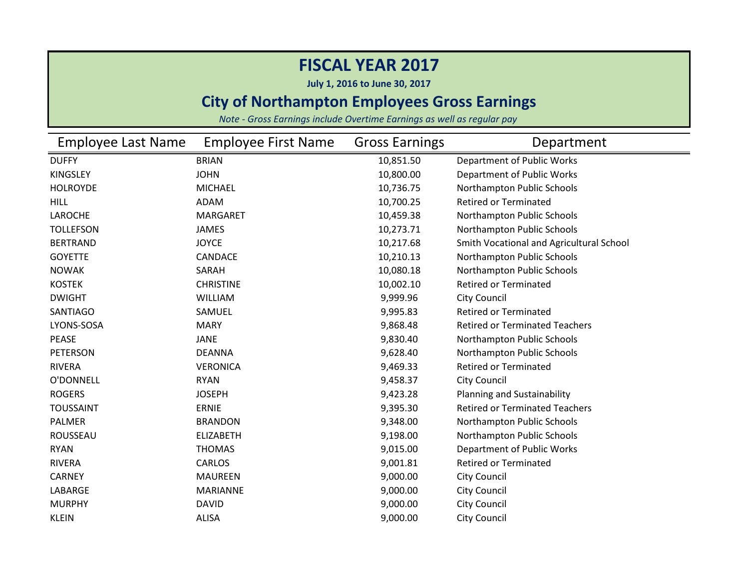**July 1, 2016 to June 30, 2017**

### **City of Northampton Employees Gross Earnings**

| <b>Employee Last Name</b> | <b>Employee First Name</b> | <b>Gross Earnings</b> | Department                               |
|---------------------------|----------------------------|-----------------------|------------------------------------------|
| <b>DUFFY</b>              | <b>BRIAN</b>               | 10,851.50             | Department of Public Works               |
| <b>KINGSLEY</b>           | <b>JOHN</b>                | 10,800.00             | Department of Public Works               |
| <b>HOLROYDE</b>           | <b>MICHAEL</b>             | 10,736.75             | Northampton Public Schools               |
| <b>HILL</b>               | <b>ADAM</b>                | 10,700.25             | <b>Retired or Terminated</b>             |
| LAROCHE                   | <b>MARGARET</b>            | 10,459.38             | Northampton Public Schools               |
| <b>TOLLEFSON</b>          | <b>JAMES</b>               | 10,273.71             | Northampton Public Schools               |
| <b>BERTRAND</b>           | <b>JOYCE</b>               | 10,217.68             | Smith Vocational and Agricultural School |
| <b>GOYETTE</b>            | <b>CANDACE</b>             | 10,210.13             | Northampton Public Schools               |
| <b>NOWAK</b>              | SARAH                      | 10,080.18             | Northampton Public Schools               |
| <b>KOSTEK</b>             | <b>CHRISTINE</b>           | 10,002.10             | <b>Retired or Terminated</b>             |
| <b>DWIGHT</b>             | <b>WILLIAM</b>             | 9,999.96              | <b>City Council</b>                      |
| <b>SANTIAGO</b>           | SAMUEL                     | 9,995.83              | <b>Retired or Terminated</b>             |
| LYONS-SOSA                | <b>MARY</b>                | 9,868.48              | <b>Retired or Terminated Teachers</b>    |
| <b>PEASE</b>              | <b>JANE</b>                | 9,830.40              | Northampton Public Schools               |
| <b>PETERSON</b>           | <b>DEANNA</b>              | 9,628.40              | Northampton Public Schools               |
| <b>RIVERA</b>             | <b>VERONICA</b>            | 9,469.33              | <b>Retired or Terminated</b>             |
| O'DONNELL                 | <b>RYAN</b>                | 9,458.37              | <b>City Council</b>                      |
| <b>ROGERS</b>             | <b>JOSEPH</b>              | 9,423.28              | Planning and Sustainability              |
| <b>TOUSSAINT</b>          | <b>ERNIE</b>               | 9,395.30              | <b>Retired or Terminated Teachers</b>    |
| <b>PALMER</b>             | <b>BRANDON</b>             | 9,348.00              | Northampton Public Schools               |
| ROUSSEAU                  | <b>ELIZABETH</b>           | 9,198.00              | Northampton Public Schools               |
| <b>RYAN</b>               | <b>THOMAS</b>              | 9,015.00              | Department of Public Works               |
| <b>RIVERA</b>             | <b>CARLOS</b>              | 9,001.81              | <b>Retired or Terminated</b>             |
| <b>CARNEY</b>             | <b>MAUREEN</b>             | 9,000.00              | <b>City Council</b>                      |
| LABARGE                   | <b>MARIANNE</b>            | 9,000.00              | <b>City Council</b>                      |
| <b>MURPHY</b>             | <b>DAVID</b>               | 9,000.00              | City Council                             |
| <b>KLEIN</b>              | <b>ALISA</b>               | 9,000.00              | <b>City Council</b>                      |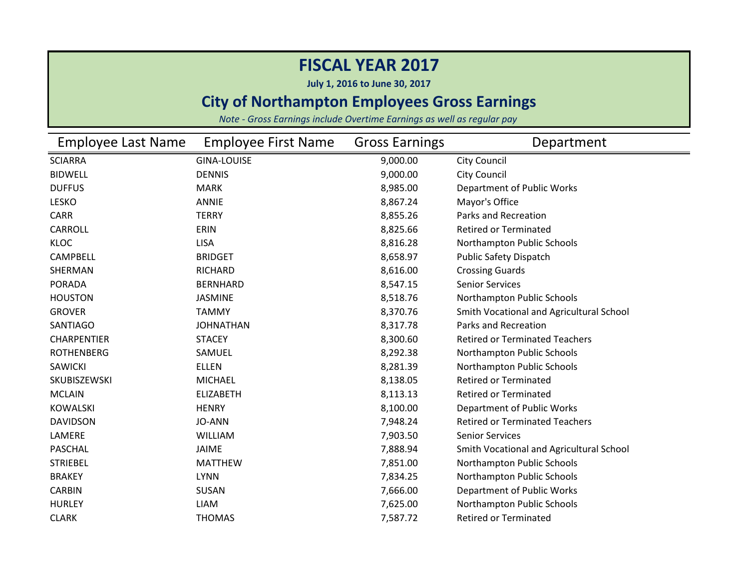**July 1, 2016 to June 30, 2017**

### **City of Northampton Employees Gross Earnings**

| Employee Last Name | <b>Employee First Name</b> | <b>Gross Earnings</b> | Department                               |
|--------------------|----------------------------|-----------------------|------------------------------------------|
| <b>SCIARRA</b>     | <b>GINA-LOUISE</b>         | 9,000.00              | <b>City Council</b>                      |
| <b>BIDWELL</b>     | <b>DENNIS</b>              | 9,000.00              | <b>City Council</b>                      |
| <b>DUFFUS</b>      | <b>MARK</b>                | 8,985.00              | Department of Public Works               |
| <b>LESKO</b>       | <b>ANNIE</b>               | 8,867.24              | Mayor's Office                           |
| <b>CARR</b>        | <b>TERRY</b>               | 8,855.26              | Parks and Recreation                     |
| <b>CARROLL</b>     | ERIN                       | 8,825.66              | <b>Retired or Terminated</b>             |
| <b>KLOC</b>        | <b>LISA</b>                | 8,816.28              | Northampton Public Schools               |
| <b>CAMPBELL</b>    | <b>BRIDGET</b>             | 8,658.97              | <b>Public Safety Dispatch</b>            |
| SHERMAN            | <b>RICHARD</b>             | 8,616.00              | <b>Crossing Guards</b>                   |
| <b>PORADA</b>      | <b>BERNHARD</b>            | 8,547.15              | <b>Senior Services</b>                   |
| <b>HOUSTON</b>     | <b>JASMINE</b>             | 8,518.76              | Northampton Public Schools               |
| <b>GROVER</b>      | <b>TAMMY</b>               | 8,370.76              | Smith Vocational and Agricultural School |
| <b>SANTIAGO</b>    | <b>JOHNATHAN</b>           | 8,317.78              | Parks and Recreation                     |
| <b>CHARPENTIER</b> | <b>STACEY</b>              | 8,300.60              | <b>Retired or Terminated Teachers</b>    |
| <b>ROTHENBERG</b>  | SAMUEL                     | 8,292.38              | Northampton Public Schools               |
| <b>SAWICKI</b>     | <b>ELLEN</b>               | 8,281.39              | Northampton Public Schools               |
| SKUBISZEWSKI       | <b>MICHAEL</b>             | 8,138.05              | <b>Retired or Terminated</b>             |
| <b>MCLAIN</b>      | <b>ELIZABETH</b>           | 8,113.13              | <b>Retired or Terminated</b>             |
| <b>KOWALSKI</b>    | <b>HENRY</b>               | 8,100.00              | Department of Public Works               |
| <b>DAVIDSON</b>    | <b>JO-ANN</b>              | 7,948.24              | <b>Retired or Terminated Teachers</b>    |
| LAMERE             | <b>WILLIAM</b>             | 7,903.50              | <b>Senior Services</b>                   |
| <b>PASCHAL</b>     | <b>JAIME</b>               | 7,888.94              | Smith Vocational and Agricultural School |
| <b>STRIEBEL</b>    | <b>MATTHEW</b>             | 7,851.00              | Northampton Public Schools               |
| <b>BRAKEY</b>      | <b>LYNN</b>                | 7,834.25              | Northampton Public Schools               |
| <b>CARBIN</b>      | SUSAN                      | 7,666.00              | Department of Public Works               |
| <b>HURLEY</b>      | <b>LIAM</b>                | 7,625.00              | Northampton Public Schools               |
| <b>CLARK</b>       | <b>THOMAS</b>              | 7,587.72              | <b>Retired or Terminated</b>             |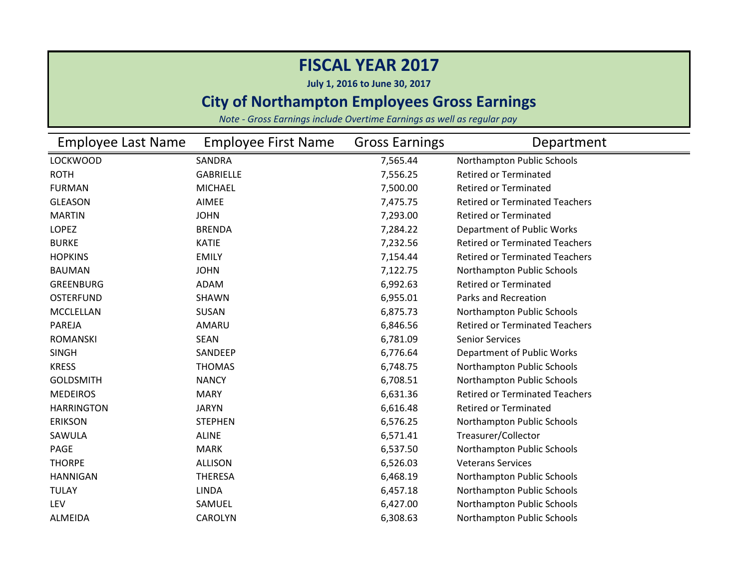**July 1, 2016 to June 30, 2017**

### **City of Northampton Employees Gross Earnings**

| <b>Employee Last Name</b> | <b>Employee First Name</b> | <b>Gross Earnings</b> | Department                            |
|---------------------------|----------------------------|-----------------------|---------------------------------------|
| <b>LOCKWOOD</b>           | SANDRA                     | 7,565.44              | Northampton Public Schools            |
| <b>ROTH</b>               | <b>GABRIELLE</b>           | 7,556.25              | <b>Retired or Terminated</b>          |
| <b>FURMAN</b>             | <b>MICHAEL</b>             | 7,500.00              | <b>Retired or Terminated</b>          |
| <b>GLEASON</b>            | AIMEE                      | 7,475.75              | <b>Retired or Terminated Teachers</b> |
| <b>MARTIN</b>             | <b>JOHN</b>                | 7,293.00              | <b>Retired or Terminated</b>          |
| <b>LOPEZ</b>              | <b>BRENDA</b>              | 7,284.22              | Department of Public Works            |
| <b>BURKE</b>              | <b>KATIE</b>               | 7,232.56              | <b>Retired or Terminated Teachers</b> |
| <b>HOPKINS</b>            | <b>EMILY</b>               | 7,154.44              | <b>Retired or Terminated Teachers</b> |
| <b>BAUMAN</b>             | <b>JOHN</b>                | 7,122.75              | Northampton Public Schools            |
| <b>GREENBURG</b>          | <b>ADAM</b>                | 6,992.63              | <b>Retired or Terminated</b>          |
| <b>OSTERFUND</b>          | SHAWN                      | 6,955.01              | Parks and Recreation                  |
| <b>MCCLELLAN</b>          | <b>SUSAN</b>               | 6,875.73              | Northampton Public Schools            |
| PAREJA                    | AMARU                      | 6,846.56              | <b>Retired or Terminated Teachers</b> |
| <b>ROMANSKI</b>           | <b>SEAN</b>                | 6,781.09              | <b>Senior Services</b>                |
| <b>SINGH</b>              | SANDEEP                    | 6,776.64              | Department of Public Works            |
| <b>KRESS</b>              | <b>THOMAS</b>              | 6,748.75              | Northampton Public Schools            |
| <b>GOLDSMITH</b>          | <b>NANCY</b>               | 6,708.51              | Northampton Public Schools            |
| <b>MEDEIROS</b>           | <b>MARY</b>                | 6,631.36              | <b>Retired or Terminated Teachers</b> |
| <b>HARRINGTON</b>         | <b>JARYN</b>               | 6,616.48              | <b>Retired or Terminated</b>          |
| <b>ERIKSON</b>            | <b>STEPHEN</b>             | 6,576.25              | Northampton Public Schools            |
| SAWULA                    | <b>ALINE</b>               | 6,571.41              | Treasurer/Collector                   |
| PAGE                      | <b>MARK</b>                | 6,537.50              | Northampton Public Schools            |
| <b>THORPE</b>             | <b>ALLISON</b>             | 6,526.03              | <b>Veterans Services</b>              |
| <b>HANNIGAN</b>           | <b>THERESA</b>             | 6,468.19              | Northampton Public Schools            |
| <b>TULAY</b>              | <b>LINDA</b>               | 6,457.18              | Northampton Public Schools            |
| LEV                       | SAMUEL                     | 6,427.00              | Northampton Public Schools            |
| <b>ALMEIDA</b>            | <b>CAROLYN</b>             | 6,308.63              | Northampton Public Schools            |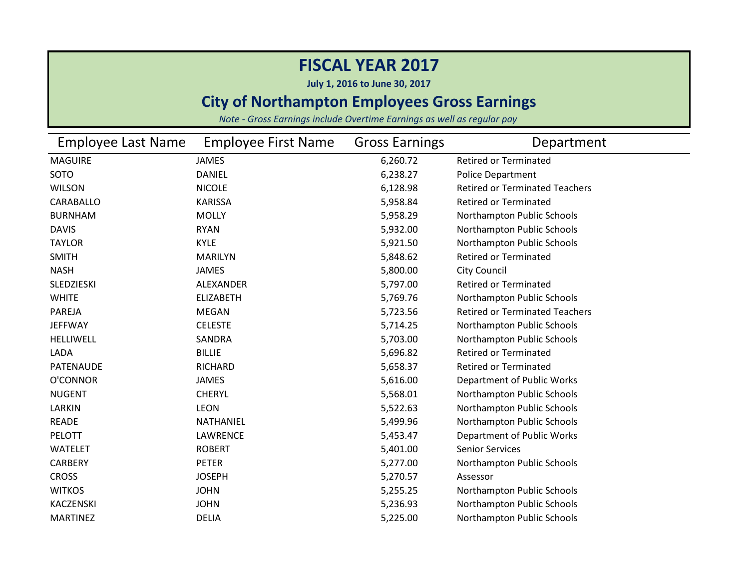**July 1, 2016 to June 30, 2017**

### **City of Northampton Employees Gross Earnings**

| <b>Employee Last Name</b> | <b>Employee First Name</b> | <b>Gross Earnings</b> | Department                            |
|---------------------------|----------------------------|-----------------------|---------------------------------------|
| <b>MAGUIRE</b>            | <b>JAMES</b>               | 6,260.72              | <b>Retired or Terminated</b>          |
| SOTO                      | <b>DANIEL</b>              | 6,238.27              | <b>Police Department</b>              |
| <b>WILSON</b>             | <b>NICOLE</b>              | 6,128.98              | <b>Retired or Terminated Teachers</b> |
| CARABALLO                 | <b>KARISSA</b>             | 5,958.84              | <b>Retired or Terminated</b>          |
| <b>BURNHAM</b>            | <b>MOLLY</b>               | 5,958.29              | Northampton Public Schools            |
| <b>DAVIS</b>              | <b>RYAN</b>                | 5,932.00              | Northampton Public Schools            |
| <b>TAYLOR</b>             | <b>KYLE</b>                | 5,921.50              | Northampton Public Schools            |
| <b>SMITH</b>              | <b>MARILYN</b>             | 5,848.62              | <b>Retired or Terminated</b>          |
| <b>NASH</b>               | <b>JAMES</b>               | 5,800.00              | <b>City Council</b>                   |
| <b>SLEDZIESKI</b>         | <b>ALEXANDER</b>           | 5,797.00              | <b>Retired or Terminated</b>          |
| <b>WHITE</b>              | <b>ELIZABETH</b>           | 5,769.76              | Northampton Public Schools            |
| PAREJA                    | <b>MEGAN</b>               | 5,723.56              | <b>Retired or Terminated Teachers</b> |
| <b>JEFFWAY</b>            | <b>CELESTE</b>             | 5,714.25              | Northampton Public Schools            |
| <b>HELLIWELL</b>          | SANDRA                     | 5,703.00              | Northampton Public Schools            |
| LADA                      | <b>BILLIE</b>              | 5,696.82              | <b>Retired or Terminated</b>          |
| <b>PATENAUDE</b>          | RICHARD                    | 5,658.37              | <b>Retired or Terminated</b>          |
| O'CONNOR                  | <b>JAMES</b>               | 5,616.00              | Department of Public Works            |
| <b>NUGENT</b>             | <b>CHERYL</b>              | 5,568.01              | Northampton Public Schools            |
| LARKIN                    | <b>LEON</b>                | 5,522.63              | Northampton Public Schools            |
| <b>READE</b>              | NATHANIEL                  | 5,499.96              | Northampton Public Schools            |
| PELOTT                    | <b>LAWRENCE</b>            | 5,453.47              | Department of Public Works            |
| <b>WATELET</b>            | <b>ROBERT</b>              | 5,401.00              | <b>Senior Services</b>                |
| CARBERY                   | <b>PETER</b>               | 5,277.00              | Northampton Public Schools            |
| <b>CROSS</b>              | <b>JOSEPH</b>              | 5,270.57              | Assessor                              |
| <b>WITKOS</b>             | <b>JOHN</b>                | 5,255.25              | Northampton Public Schools            |
| <b>KACZENSKI</b>          | <b>JOHN</b>                | 5,236.93              | Northampton Public Schools            |
| <b>MARTINEZ</b>           | <b>DELIA</b>               | 5,225.00              | Northampton Public Schools            |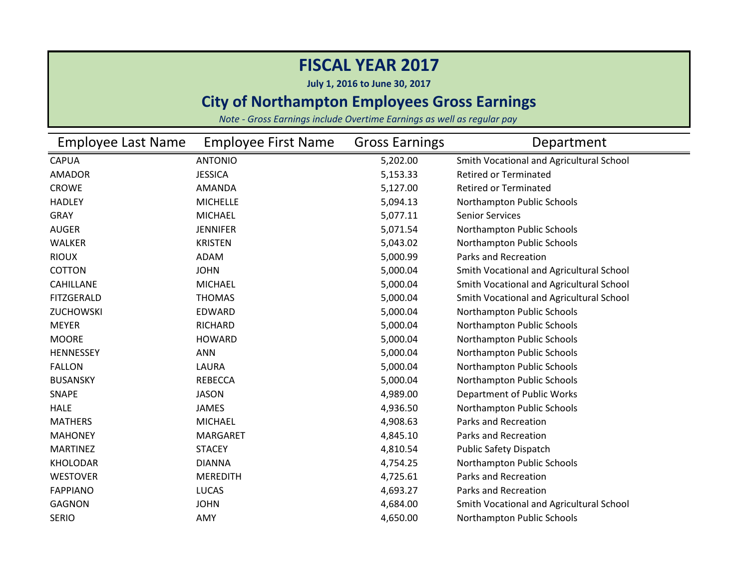**July 1, 2016 to June 30, 2017**

### **City of Northampton Employees Gross Earnings**

| Employee Last Name | <b>Employee First Name</b> | <b>Gross Earnings</b> | Department                               |
|--------------------|----------------------------|-----------------------|------------------------------------------|
| <b>CAPUA</b>       | <b>ANTONIO</b>             | 5,202.00              | Smith Vocational and Agricultural School |
| <b>AMADOR</b>      | <b>JESSICA</b>             | 5,153.33              | <b>Retired or Terminated</b>             |
| <b>CROWE</b>       | <b>AMANDA</b>              | 5,127.00              | <b>Retired or Terminated</b>             |
| <b>HADLEY</b>      | <b>MICHELLE</b>            | 5,094.13              | Northampton Public Schools               |
| <b>GRAY</b>        | <b>MICHAEL</b>             | 5,077.11              | <b>Senior Services</b>                   |
| <b>AUGER</b>       | <b>JENNIFER</b>            | 5,071.54              | Northampton Public Schools               |
| <b>WALKER</b>      | <b>KRISTEN</b>             | 5,043.02              | Northampton Public Schools               |
| <b>RIOUX</b>       | <b>ADAM</b>                | 5,000.99              | <b>Parks and Recreation</b>              |
| <b>COTTON</b>      | <b>JOHN</b>                | 5,000.04              | Smith Vocational and Agricultural School |
| <b>CAHILLANE</b>   | <b>MICHAEL</b>             | 5,000.04              | Smith Vocational and Agricultural School |
| <b>FITZGERALD</b>  | <b>THOMAS</b>              | 5,000.04              | Smith Vocational and Agricultural School |
| ZUCHOWSKI          | <b>EDWARD</b>              | 5,000.04              | Northampton Public Schools               |
| <b>MEYER</b>       | <b>RICHARD</b>             | 5,000.04              | Northampton Public Schools               |
| <b>MOORE</b>       | <b>HOWARD</b>              | 5,000.04              | Northampton Public Schools               |
| <b>HENNESSEY</b>   | <b>ANN</b>                 | 5,000.04              | Northampton Public Schools               |
| <b>FALLON</b>      | LAURA                      | 5,000.04              | Northampton Public Schools               |
| <b>BUSANSKY</b>    | <b>REBECCA</b>             | 5,000.04              | Northampton Public Schools               |
| SNAPE              | <b>JASON</b>               | 4,989.00              | Department of Public Works               |
| <b>HALE</b>        | <b>JAMES</b>               | 4,936.50              | Northampton Public Schools               |
| <b>MATHERS</b>     | <b>MICHAEL</b>             | 4,908.63              | Parks and Recreation                     |
| <b>MAHONEY</b>     | <b>MARGARET</b>            | 4,845.10              | <b>Parks and Recreation</b>              |
| <b>MARTINEZ</b>    | <b>STACEY</b>              | 4,810.54              | <b>Public Safety Dispatch</b>            |
| <b>KHOLODAR</b>    | <b>DIANNA</b>              | 4,754.25              | Northampton Public Schools               |
| <b>WESTOVER</b>    | <b>MEREDITH</b>            | 4,725.61              | Parks and Recreation                     |
| <b>FAPPIANO</b>    | <b>LUCAS</b>               | 4,693.27              | Parks and Recreation                     |
| <b>GAGNON</b>      | <b>JOHN</b>                | 4,684.00              | Smith Vocational and Agricultural School |
| <b>SERIO</b>       | AMY                        | 4,650.00              | Northampton Public Schools               |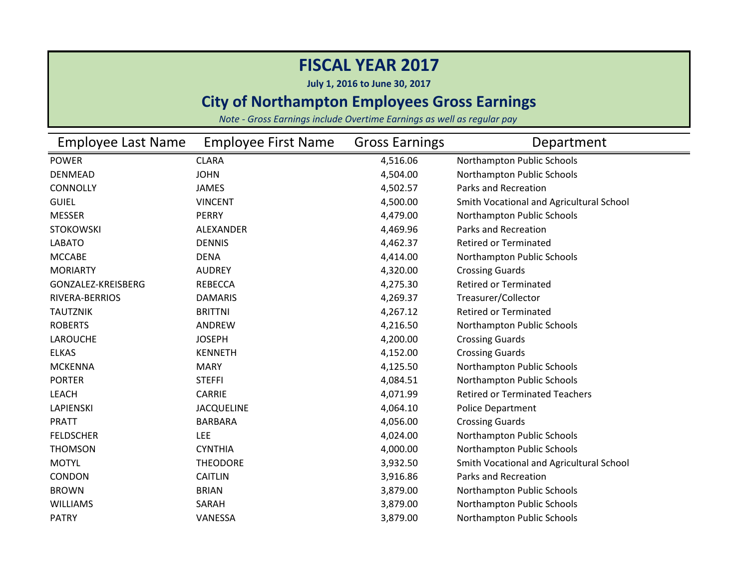**July 1, 2016 to June 30, 2017**

### **City of Northampton Employees Gross Earnings**

| Employee Last Name | <b>Employee First Name</b> | <b>Gross Earnings</b> | Department                               |
|--------------------|----------------------------|-----------------------|------------------------------------------|
| <b>POWER</b>       | <b>CLARA</b>               | 4,516.06              | Northampton Public Schools               |
| <b>DENMEAD</b>     | <b>JOHN</b>                | 4,504.00              | Northampton Public Schools               |
| <b>CONNOLLY</b>    | <b>JAMES</b>               | 4,502.57              | Parks and Recreation                     |
| <b>GUIEL</b>       | <b>VINCENT</b>             | 4,500.00              | Smith Vocational and Agricultural School |
| <b>MESSER</b>      | <b>PERRY</b>               | 4,479.00              | Northampton Public Schools               |
| <b>STOKOWSKI</b>   | <b>ALEXANDER</b>           | 4,469.96              | Parks and Recreation                     |
| <b>LABATO</b>      | <b>DENNIS</b>              | 4,462.37              | <b>Retired or Terminated</b>             |
| <b>MCCABE</b>      | <b>DENA</b>                | 4,414.00              | Northampton Public Schools               |
| <b>MORIARTY</b>    | <b>AUDREY</b>              | 4,320.00              | <b>Crossing Guards</b>                   |
| GONZALEZ-KREISBERG | <b>REBECCA</b>             | 4,275.30              | <b>Retired or Terminated</b>             |
| RIVERA-BERRIOS     | <b>DAMARIS</b>             | 4,269.37              | Treasurer/Collector                      |
| <b>TAUTZNIK</b>    | <b>BRITTNI</b>             | 4,267.12              | <b>Retired or Terminated</b>             |
| <b>ROBERTS</b>     | ANDREW                     | 4,216.50              | Northampton Public Schools               |
| <b>LAROUCHE</b>    | <b>JOSEPH</b>              | 4,200.00              | <b>Crossing Guards</b>                   |
| <b>ELKAS</b>       | <b>KENNETH</b>             | 4,152.00              | <b>Crossing Guards</b>                   |
| <b>MCKENNA</b>     | <b>MARY</b>                | 4,125.50              | Northampton Public Schools               |
| <b>PORTER</b>      | <b>STEFFI</b>              | 4,084.51              | Northampton Public Schools               |
| <b>LEACH</b>       | <b>CARRIE</b>              | 4,071.99              | <b>Retired or Terminated Teachers</b>    |
| <b>LAPIENSKI</b>   | <b>JACQUELINE</b>          | 4,064.10              | <b>Police Department</b>                 |
| <b>PRATT</b>       | <b>BARBARA</b>             | 4,056.00              | <b>Crossing Guards</b>                   |
| <b>FELDSCHER</b>   | <b>LEE</b>                 | 4,024.00              | Northampton Public Schools               |
| <b>THOMSON</b>     | <b>CYNTHIA</b>             | 4,000.00              | Northampton Public Schools               |
| <b>MOTYL</b>       | <b>THEODORE</b>            | 3,932.50              | Smith Vocational and Agricultural School |
| CONDON             | <b>CAITLIN</b>             | 3,916.86              | <b>Parks and Recreation</b>              |
| <b>BROWN</b>       | <b>BRIAN</b>               | 3,879.00              | Northampton Public Schools               |
| <b>WILLIAMS</b>    | SARAH                      | 3,879.00              | Northampton Public Schools               |
| <b>PATRY</b>       | VANESSA                    | 3,879.00              | Northampton Public Schools               |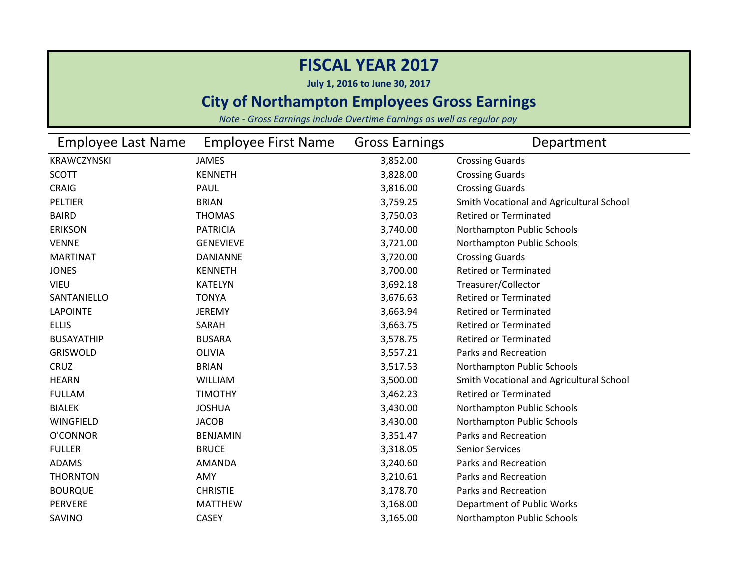**July 1, 2016 to June 30, 2017**

### **City of Northampton Employees Gross Earnings**

| <b>Employee Last Name</b> | <b>Employee First Name</b> | <b>Gross Earnings</b> | Department                               |
|---------------------------|----------------------------|-----------------------|------------------------------------------|
| KRAWCZYNSKI               | <b>JAMES</b>               | 3,852.00              | <b>Crossing Guards</b>                   |
| <b>SCOTT</b>              | <b>KENNETH</b>             | 3,828.00              | <b>Crossing Guards</b>                   |
| <b>CRAIG</b>              | <b>PAUL</b>                | 3,816.00              | <b>Crossing Guards</b>                   |
| PELTIER                   | <b>BRIAN</b>               | 3,759.25              | Smith Vocational and Agricultural School |
| <b>BAIRD</b>              | <b>THOMAS</b>              | 3,750.03              | <b>Retired or Terminated</b>             |
| <b>ERIKSON</b>            | <b>PATRICIA</b>            | 3,740.00              | Northampton Public Schools               |
| <b>VENNE</b>              | <b>GENEVIEVE</b>           | 3,721.00              | Northampton Public Schools               |
| <b>MARTINAT</b>           | <b>DANIANNE</b>            | 3,720.00              | <b>Crossing Guards</b>                   |
| <b>JONES</b>              | <b>KENNETH</b>             | 3,700.00              | <b>Retired or Terminated</b>             |
| <b>VIEU</b>               | <b>KATELYN</b>             | 3,692.18              | Treasurer/Collector                      |
| SANTANIELLO               | <b>TONYA</b>               | 3,676.63              | <b>Retired or Terminated</b>             |
| <b>LAPOINTE</b>           | <b>JEREMY</b>              | 3,663.94              | <b>Retired or Terminated</b>             |
| <b>ELLIS</b>              | SARAH                      | 3,663.75              | <b>Retired or Terminated</b>             |
| <b>BUSAYATHIP</b>         | <b>BUSARA</b>              | 3,578.75              | <b>Retired or Terminated</b>             |
| <b>GRISWOLD</b>           | <b>OLIVIA</b>              | 3,557.21              | <b>Parks and Recreation</b>              |
| CRUZ                      | <b>BRIAN</b>               | 3,517.53              | Northampton Public Schools               |
| <b>HEARN</b>              | <b>WILLIAM</b>             | 3,500.00              | Smith Vocational and Agricultural School |
| <b>FULLAM</b>             | <b>TIMOTHY</b>             | 3,462.23              | <b>Retired or Terminated</b>             |
| <b>BIALEK</b>             | <b>JOSHUA</b>              | 3,430.00              | Northampton Public Schools               |
| WINGFIELD                 | <b>JACOB</b>               | 3,430.00              | Northampton Public Schools               |
| O'CONNOR                  | <b>BENJAMIN</b>            | 3,351.47              | Parks and Recreation                     |
| <b>FULLER</b>             | <b>BRUCE</b>               | 3,318.05              | <b>Senior Services</b>                   |
| <b>ADAMS</b>              | AMANDA                     | 3,240.60              | Parks and Recreation                     |
| <b>THORNTON</b>           | AMY                        | 3,210.61              | Parks and Recreation                     |
| <b>BOURQUE</b>            | <b>CHRISTIE</b>            | 3,178.70              | Parks and Recreation                     |
| <b>PERVERE</b>            | <b>MATTHEW</b>             | 3,168.00              | Department of Public Works               |
| SAVINO                    | <b>CASEY</b>               | 3,165.00              | Northampton Public Schools               |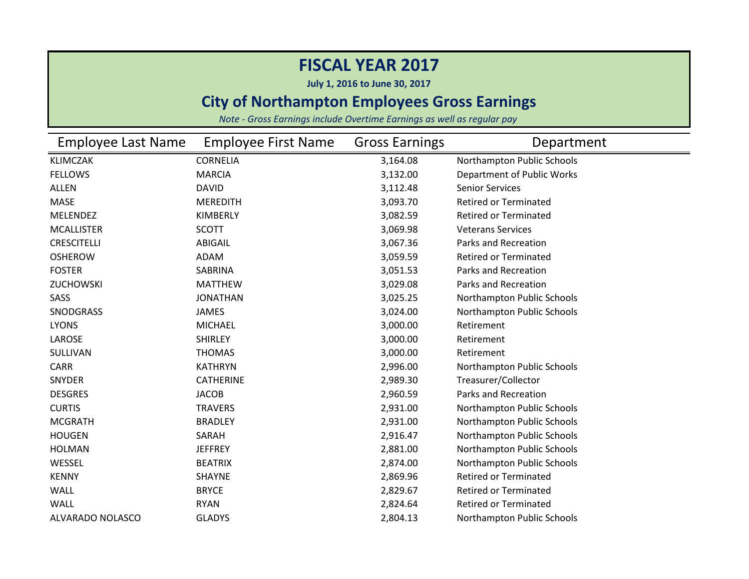**July 1, 2016 to June 30, 2017**

### **City of Northampton Employees Gross Earnings**

| <b>Employee Last Name</b> | <b>Employee First Name</b> | <b>Gross Earnings</b> | Department                   |
|---------------------------|----------------------------|-----------------------|------------------------------|
| <b>KLIMCZAK</b>           | <b>CORNELIA</b>            | 3,164.08              | Northampton Public Schools   |
| <b>FELLOWS</b>            | <b>MARCIA</b>              | 3,132.00              | Department of Public Works   |
| <b>ALLEN</b>              | <b>DAVID</b>               | 3,112.48              | <b>Senior Services</b>       |
| <b>MASE</b>               | <b>MEREDITH</b>            | 3,093.70              | <b>Retired or Terminated</b> |
| <b>MELENDEZ</b>           | KIMBERLY                   | 3,082.59              | <b>Retired or Terminated</b> |
| <b>MCALLISTER</b>         | <b>SCOTT</b>               | 3,069.98              | <b>Veterans Services</b>     |
| <b>CRESCITELLI</b>        | ABIGAIL                    | 3,067.36              | Parks and Recreation         |
| <b>OSHEROW</b>            | ADAM                       | 3,059.59              | <b>Retired or Terminated</b> |
| <b>FOSTER</b>             | SABRINA                    | 3,051.53              | <b>Parks and Recreation</b>  |
| <b>ZUCHOWSKI</b>          | <b>MATTHEW</b>             | 3,029.08              | Parks and Recreation         |
| SASS                      | <b>JONATHAN</b>            | 3,025.25              | Northampton Public Schools   |
| <b>SNODGRASS</b>          | <b>JAMES</b>               | 3,024.00              | Northampton Public Schools   |
| <b>LYONS</b>              | <b>MICHAEL</b>             | 3,000.00              | Retirement                   |
| LAROSE                    | <b>SHIRLEY</b>             | 3,000.00              | Retirement                   |
| SULLIVAN                  | <b>THOMAS</b>              | 3,000.00              | Retirement                   |
| <b>CARR</b>               | <b>KATHRYN</b>             | 2,996.00              | Northampton Public Schools   |
| <b>SNYDER</b>             | <b>CATHERINE</b>           | 2,989.30              | Treasurer/Collector          |
| <b>DESGRES</b>            | <b>JACOB</b>               | 2,960.59              | <b>Parks and Recreation</b>  |
| <b>CURTIS</b>             | <b>TRAVERS</b>             | 2,931.00              | Northampton Public Schools   |
| <b>MCGRATH</b>            | <b>BRADLEY</b>             | 2,931.00              | Northampton Public Schools   |
| <b>HOUGEN</b>             | SARAH                      | 2,916.47              | Northampton Public Schools   |
| <b>HOLMAN</b>             | <b>JEFFREY</b>             | 2,881.00              | Northampton Public Schools   |
| WESSEL                    | <b>BEATRIX</b>             | 2,874.00              | Northampton Public Schools   |
| <b>KENNY</b>              | <b>SHAYNE</b>              | 2,869.96              | <b>Retired or Terminated</b> |
| WALL                      | <b>BRYCE</b>               | 2,829.67              | <b>Retired or Terminated</b> |
| <b>WALL</b>               | <b>RYAN</b>                | 2,824.64              | <b>Retired or Terminated</b> |
| ALVARADO NOLASCO          | <b>GLADYS</b>              | 2,804.13              | Northampton Public Schools   |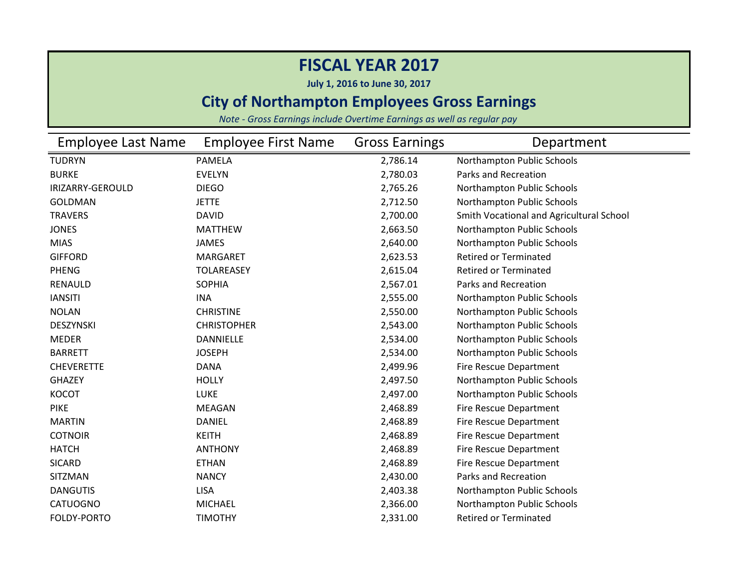**July 1, 2016 to June 30, 2017**

### **City of Northampton Employees Gross Earnings**

| <b>Employee Last Name</b> | <b>Employee First Name</b> | <b>Gross Earnings</b> | Department                               |
|---------------------------|----------------------------|-----------------------|------------------------------------------|
| <b>TUDRYN</b>             | <b>PAMELA</b>              | 2,786.14              | Northampton Public Schools               |
| <b>BURKE</b>              | <b>EVELYN</b>              | 2,780.03              | Parks and Recreation                     |
| IRIZARRY-GEROULD          | <b>DIEGO</b>               | 2,765.26              | Northampton Public Schools               |
| <b>GOLDMAN</b>            | <b>JETTE</b>               | 2,712.50              | Northampton Public Schools               |
| <b>TRAVERS</b>            | <b>DAVID</b>               | 2,700.00              | Smith Vocational and Agricultural School |
| <b>JONES</b>              | <b>MATTHEW</b>             | 2,663.50              | Northampton Public Schools               |
| <b>MIAS</b>               | <b>JAMES</b>               | 2,640.00              | Northampton Public Schools               |
| <b>GIFFORD</b>            | <b>MARGARET</b>            | 2,623.53              | <b>Retired or Terminated</b>             |
| <b>PHENG</b>              | <b>TOLAREASEY</b>          | 2,615.04              | <b>Retired or Terminated</b>             |
| <b>RENAULD</b>            | <b>SOPHIA</b>              | 2,567.01              | Parks and Recreation                     |
| <b>IANSITI</b>            | <b>INA</b>                 | 2,555.00              | Northampton Public Schools               |
| <b>NOLAN</b>              | <b>CHRISTINE</b>           | 2,550.00              | Northampton Public Schools               |
| DESZYNSKI                 | <b>CHRISTOPHER</b>         | 2,543.00              | Northampton Public Schools               |
| <b>MEDER</b>              | <b>DANNIELLE</b>           | 2,534.00              | Northampton Public Schools               |
| <b>BARRETT</b>            | <b>JOSEPH</b>              | 2,534.00              | Northampton Public Schools               |
| <b>CHEVERETTE</b>         | <b>DANA</b>                | 2,499.96              | <b>Fire Rescue Department</b>            |
| <b>GHAZEY</b>             | <b>HOLLY</b>               | 2,497.50              | Northampton Public Schools               |
| <b>KOCOT</b>              | <b>LUKE</b>                | 2,497.00              | Northampton Public Schools               |
| <b>PIKE</b>               | <b>MEAGAN</b>              | 2,468.89              | Fire Rescue Department                   |
| <b>MARTIN</b>             | <b>DANIEL</b>              | 2,468.89              | Fire Rescue Department                   |
| <b>COTNOIR</b>            | <b>KEITH</b>               | 2,468.89              | <b>Fire Rescue Department</b>            |
| <b>HATCH</b>              | <b>ANTHONY</b>             | 2,468.89              | Fire Rescue Department                   |
| <b>SICARD</b>             | <b>ETHAN</b>               | 2,468.89              | Fire Rescue Department                   |
| SITZMAN                   | <b>NANCY</b>               | 2,430.00              | Parks and Recreation                     |
| <b>DANGUTIS</b>           | <b>LISA</b>                | 2,403.38              | Northampton Public Schools               |
| CATUOGNO                  | <b>MICHAEL</b>             | 2,366.00              | Northampton Public Schools               |
| FOLDY-PORTO               | <b>TIMOTHY</b>             | 2,331.00              | <b>Retired or Terminated</b>             |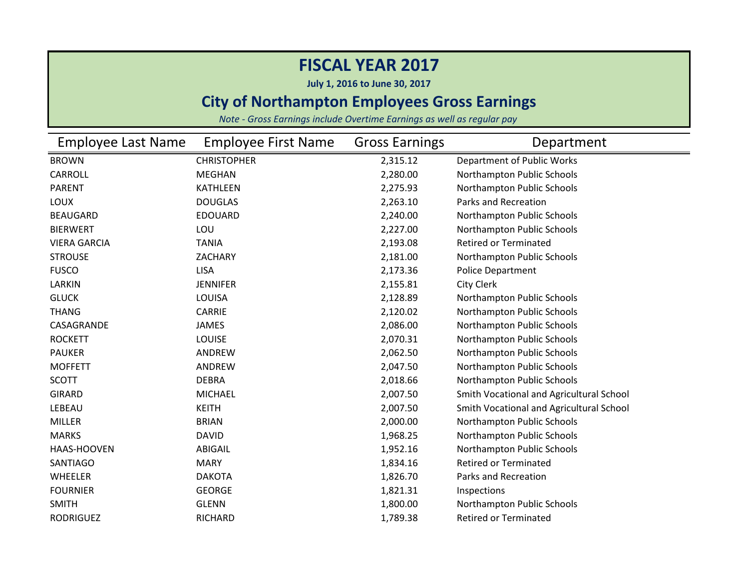**July 1, 2016 to June 30, 2017**

### **City of Northampton Employees Gross Earnings**

| <b>Employee Last Name</b> | <b>Employee First Name</b> | <b>Gross Earnings</b> | Department                               |
|---------------------------|----------------------------|-----------------------|------------------------------------------|
| <b>BROWN</b>              | <b>CHRISTOPHER</b>         | 2,315.12              | Department of Public Works               |
| CARROLL                   | <b>MEGHAN</b>              | 2,280.00              | Northampton Public Schools               |
| <b>PARENT</b>             | <b>KATHLEEN</b>            | 2,275.93              | Northampton Public Schools               |
| <b>LOUX</b>               | <b>DOUGLAS</b>             | 2,263.10              | Parks and Recreation                     |
| <b>BEAUGARD</b>           | <b>EDOUARD</b>             | 2,240.00              | Northampton Public Schools               |
| <b>BIERWERT</b>           | LOU                        | 2,227.00              | Northampton Public Schools               |
| <b>VIERA GARCIA</b>       | <b>TANIA</b>               | 2,193.08              | <b>Retired or Terminated</b>             |
| <b>STROUSE</b>            | ZACHARY                    | 2,181.00              | Northampton Public Schools               |
| <b>FUSCO</b>              | <b>LISA</b>                | 2,173.36              | <b>Police Department</b>                 |
| LARKIN                    | <b>JENNIFER</b>            | 2,155.81              | <b>City Clerk</b>                        |
| <b>GLUCK</b>              | LOUISA                     | 2,128.89              | Northampton Public Schools               |
| <b>THANG</b>              | CARRIE                     | 2,120.02              | Northampton Public Schools               |
| CASAGRANDE                | <b>JAMES</b>               | 2,086.00              | Northampton Public Schools               |
| <b>ROCKETT</b>            | <b>LOUISE</b>              | 2,070.31              | Northampton Public Schools               |
| <b>PAUKER</b>             | ANDREW                     | 2,062.50              | Northampton Public Schools               |
| <b>MOFFETT</b>            | ANDREW                     | 2,047.50              | Northampton Public Schools               |
| <b>SCOTT</b>              | <b>DEBRA</b>               | 2,018.66              | Northampton Public Schools               |
| <b>GIRARD</b>             | <b>MICHAEL</b>             | 2,007.50              | Smith Vocational and Agricultural School |
| LEBEAU                    | <b>KEITH</b>               | 2,007.50              | Smith Vocational and Agricultural School |
| <b>MILLER</b>             | <b>BRIAN</b>               | 2,000.00              | Northampton Public Schools               |
| <b>MARKS</b>              | <b>DAVID</b>               | 1,968.25              | Northampton Public Schools               |
| HAAS-HOOVEN               | ABIGAIL                    | 1,952.16              | Northampton Public Schools               |
| <b>SANTIAGO</b>           | <b>MARY</b>                | 1,834.16              | <b>Retired or Terminated</b>             |
| WHEELER                   | <b>DAKOTA</b>              | 1,826.70              | Parks and Recreation                     |
| <b>FOURNIER</b>           | <b>GEORGE</b>              | 1,821.31              | Inspections                              |
| <b>SMITH</b>              | <b>GLENN</b>               | 1,800.00              | Northampton Public Schools               |
| <b>RODRIGUEZ</b>          | RICHARD                    | 1,789.38              | <b>Retired or Terminated</b>             |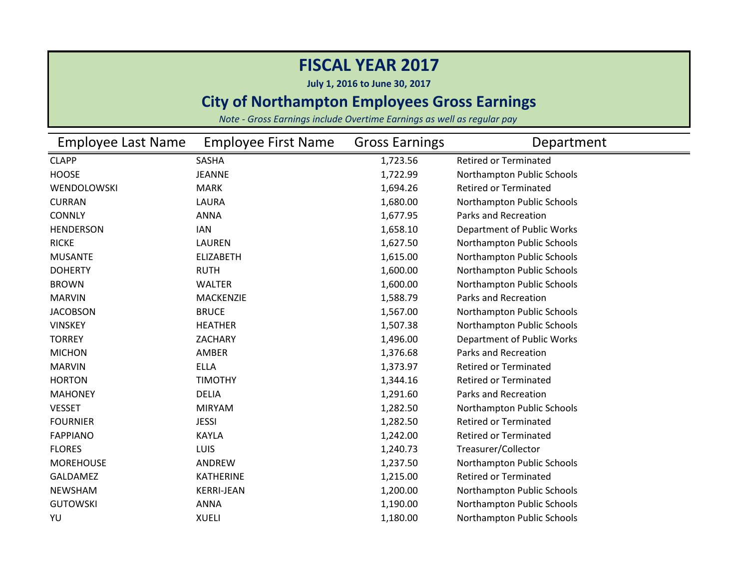**July 1, 2016 to June 30, 2017**

### **City of Northampton Employees Gross Earnings**

| <b>Employee Last Name</b> | <b>Employee First Name</b> | <b>Gross Earnings</b> | Department                   |
|---------------------------|----------------------------|-----------------------|------------------------------|
| <b>CLAPP</b>              | SASHA                      | 1,723.56              | <b>Retired or Terminated</b> |
| <b>HOOSE</b>              | <b>JEANNE</b>              | 1,722.99              | Northampton Public Schools   |
| WENDOLOWSKI               | <b>MARK</b>                | 1,694.26              | <b>Retired or Terminated</b> |
| <b>CURRAN</b>             | LAURA                      | 1,680.00              | Northampton Public Schools   |
| <b>CONNLY</b>             | <b>ANNA</b>                | 1,677.95              | Parks and Recreation         |
| <b>HENDERSON</b>          | <b>IAN</b>                 | 1,658.10              | Department of Public Works   |
| <b>RICKE</b>              | <b>LAUREN</b>              | 1,627.50              | Northampton Public Schools   |
| <b>MUSANTE</b>            | <b>ELIZABETH</b>           | 1,615.00              | Northampton Public Schools   |
| <b>DOHERTY</b>            | <b>RUTH</b>                | 1,600.00              | Northampton Public Schools   |
| <b>BROWN</b>              | <b>WALTER</b>              | 1,600.00              | Northampton Public Schools   |
| <b>MARVIN</b>             | <b>MACKENZIE</b>           | 1,588.79              | Parks and Recreation         |
| <b>JACOBSON</b>           | <b>BRUCE</b>               | 1,567.00              | Northampton Public Schools   |
| <b>VINSKEY</b>            | <b>HEATHER</b>             | 1,507.38              | Northampton Public Schools   |
| <b>TORREY</b>             | ZACHARY                    | 1,496.00              | Department of Public Works   |
| <b>MICHON</b>             | AMBER                      | 1,376.68              | Parks and Recreation         |
| <b>MARVIN</b>             | <b>ELLA</b>                | 1,373.97              | <b>Retired or Terminated</b> |
| <b>HORTON</b>             | <b>TIMOTHY</b>             | 1,344.16              | <b>Retired or Terminated</b> |
| <b>MAHONEY</b>            | <b>DELIA</b>               | 1,291.60              | Parks and Recreation         |
| <b>VESSET</b>             | <b>MIRYAM</b>              | 1,282.50              | Northampton Public Schools   |
| <b>FOURNIER</b>           | <b>JESSI</b>               | 1,282.50              | <b>Retired or Terminated</b> |
| <b>FAPPIANO</b>           | <b>KAYLA</b>               | 1,242.00              | <b>Retired or Terminated</b> |
| <b>FLORES</b>             | <b>LUIS</b>                | 1,240.73              | Treasurer/Collector          |
| <b>MOREHOUSE</b>          | ANDREW                     | 1,237.50              | Northampton Public Schools   |
| <b>GALDAMEZ</b>           | <b>KATHERINE</b>           | 1,215.00              | <b>Retired or Terminated</b> |
| <b>NEWSHAM</b>            | <b>KERRI-JEAN</b>          | 1,200.00              | Northampton Public Schools   |
| <b>GUTOWSKI</b>           | <b>ANNA</b>                | 1,190.00              | Northampton Public Schools   |
| YU                        | <b>XUELI</b>               | 1,180.00              | Northampton Public Schools   |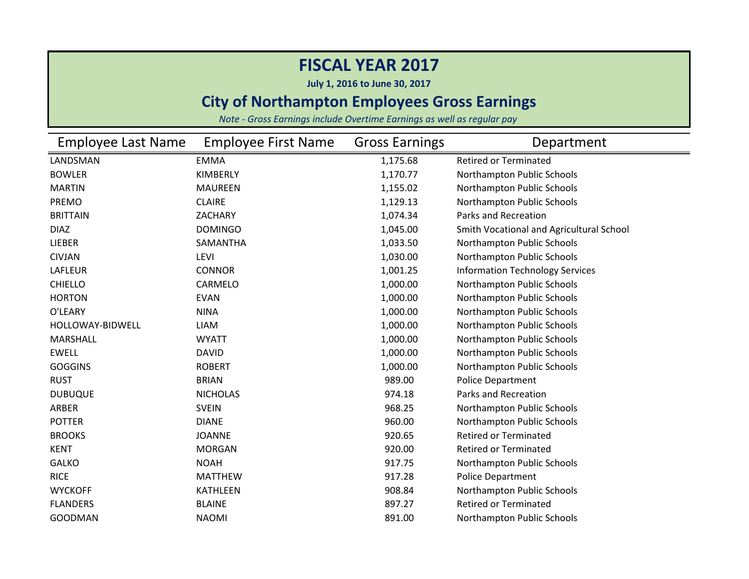**July 1, 2016 to June 30, 2017**

### **City of Northampton Employees Gross Earnings**

| <b>Employee Last Name</b> | <b>Employee First Name</b> | <b>Gross Earnings</b> | Department                               |
|---------------------------|----------------------------|-----------------------|------------------------------------------|
| LANDSMAN                  | <b>EMMA</b>                | 1,175.68              | <b>Retired or Terminated</b>             |
| <b>BOWLER</b>             | <b>KIMBERLY</b>            | 1,170.77              | Northampton Public Schools               |
| <b>MARTIN</b>             | <b>MAUREEN</b>             | 1,155.02              | Northampton Public Schools               |
| <b>PREMO</b>              | <b>CLAIRE</b>              | 1,129.13              | Northampton Public Schools               |
| <b>BRITTAIN</b>           | ZACHARY                    | 1,074.34              | Parks and Recreation                     |
| <b>DIAZ</b>               | <b>DOMINGO</b>             | 1,045.00              | Smith Vocational and Agricultural School |
| LIEBER                    | SAMANTHA                   | 1,033.50              | Northampton Public Schools               |
| <b>CIVJAN</b>             | <b>LEVI</b>                | 1,030.00              | Northampton Public Schools               |
| LAFLEUR                   | <b>CONNOR</b>              | 1,001.25              | <b>Information Technology Services</b>   |
| <b>CHIELLO</b>            | CARMELO                    | 1,000.00              | Northampton Public Schools               |
| <b>HORTON</b>             | <b>EVAN</b>                | 1,000.00              | Northampton Public Schools               |
| O'LEARY                   | <b>NINA</b>                | 1,000.00              | Northampton Public Schools               |
| HOLLOWAY-BIDWELL          | <b>LIAM</b>                | 1,000.00              | Northampton Public Schools               |
| <b>MARSHALL</b>           | <b>WYATT</b>               | 1,000.00              | Northampton Public Schools               |
| <b>EWELL</b>              | <b>DAVID</b>               | 1,000.00              | Northampton Public Schools               |
| <b>GOGGINS</b>            | <b>ROBERT</b>              | 1,000.00              | Northampton Public Schools               |
| <b>RUST</b>               | <b>BRIAN</b>               | 989.00                | <b>Police Department</b>                 |
| <b>DUBUQUE</b>            | <b>NICHOLAS</b>            | 974.18                | Parks and Recreation                     |
| ARBER                     | <b>SVEIN</b>               | 968.25                | Northampton Public Schools               |
| <b>POTTER</b>             | <b>DIANE</b>               | 960.00                | Northampton Public Schools               |
| <b>BROOKS</b>             | <b>JOANNE</b>              | 920.65                | <b>Retired or Terminated</b>             |
| <b>KENT</b>               | <b>MORGAN</b>              | 920.00                | <b>Retired or Terminated</b>             |
| <b>GALKO</b>              | <b>NOAH</b>                | 917.75                | Northampton Public Schools               |
| <b>RICE</b>               | <b>MATTHEW</b>             | 917.28                | <b>Police Department</b>                 |
| <b>WYCKOFF</b>            | <b>KATHLEEN</b>            | 908.84                | Northampton Public Schools               |
| <b>FLANDERS</b>           | <b>BLAINE</b>              | 897.27                | <b>Retired or Terminated</b>             |
| <b>GOODMAN</b>            | <b>NAOMI</b>               | 891.00                | Northampton Public Schools               |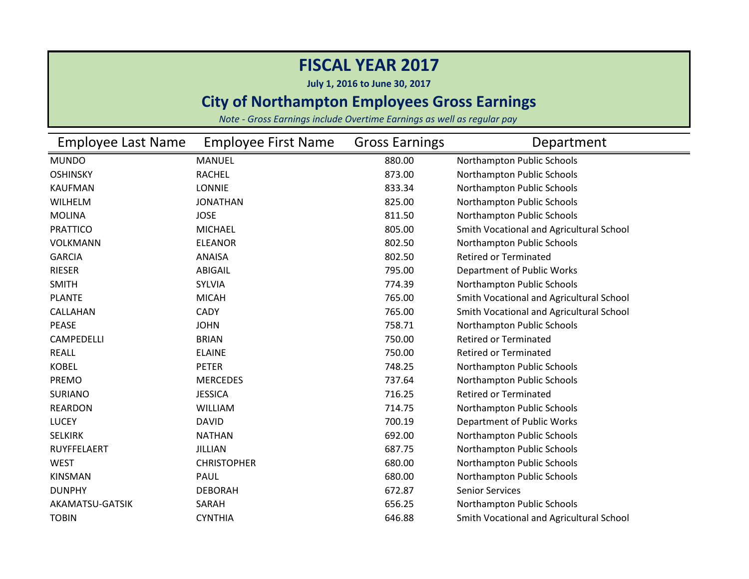**July 1, 2016 to June 30, 2017**

### **City of Northampton Employees Gross Earnings**

| <b>Employee Last Name</b> | <b>Employee First Name</b> | <b>Gross Earnings</b> | Department                               |
|---------------------------|----------------------------|-----------------------|------------------------------------------|
| <b>MUNDO</b>              | <b>MANUEL</b>              | 880.00                | Northampton Public Schools               |
| <b>OSHINSKY</b>           | <b>RACHEL</b>              | 873.00                | Northampton Public Schools               |
| <b>KAUFMAN</b>            | <b>LONNIE</b>              | 833.34                | Northampton Public Schools               |
| WILHELM                   | <b>JONATHAN</b>            | 825.00                | Northampton Public Schools               |
| <b>MOLINA</b>             | <b>JOSE</b>                | 811.50                | Northampton Public Schools               |
| <b>PRATTICO</b>           | <b>MICHAEL</b>             | 805.00                | Smith Vocational and Agricultural School |
| <b>VOLKMANN</b>           | <b>ELEANOR</b>             | 802.50                | Northampton Public Schools               |
| <b>GARCIA</b>             | <b>ANAISA</b>              | 802.50                | <b>Retired or Terminated</b>             |
| <b>RIESER</b>             | <b>ABIGAIL</b>             | 795.00                | Department of Public Works               |
| <b>SMITH</b>              | <b>SYLVIA</b>              | 774.39                | Northampton Public Schools               |
| <b>PLANTE</b>             | <b>MICAH</b>               | 765.00                | Smith Vocational and Agricultural School |
| CALLAHAN                  | <b>CADY</b>                | 765.00                | Smith Vocational and Agricultural School |
| PEASE                     | <b>JOHN</b>                | 758.71                | Northampton Public Schools               |
| CAMPEDELLI                | <b>BRIAN</b>               | 750.00                | <b>Retired or Terminated</b>             |
| <b>REALL</b>              | <b>ELAINE</b>              | 750.00                | <b>Retired or Terminated</b>             |
| <b>KOBEL</b>              | <b>PETER</b>               | 748.25                | Northampton Public Schools               |
| PREMO                     | <b>MERCEDES</b>            | 737.64                | Northampton Public Schools               |
| <b>SURIANO</b>            | <b>JESSICA</b>             | 716.25                | <b>Retired or Terminated</b>             |
| <b>REARDON</b>            | <b>WILLIAM</b>             | 714.75                | Northampton Public Schools               |
| <b>LUCEY</b>              | <b>DAVID</b>               | 700.19                | Department of Public Works               |
| <b>SELKIRK</b>            | <b>NATHAN</b>              | 692.00                | Northampton Public Schools               |
| <b>RUYFFELAERT</b>        | <b>JILLIAN</b>             | 687.75                | Northampton Public Schools               |
| <b>WEST</b>               | <b>CHRISTOPHER</b>         | 680.00                | Northampton Public Schools               |
| <b>KINSMAN</b>            | PAUL                       | 680.00                | Northampton Public Schools               |
| <b>DUNPHY</b>             | <b>DEBORAH</b>             | 672.87                | <b>Senior Services</b>                   |
| AKAMATSU-GATSIK           | SARAH                      | 656.25                | Northampton Public Schools               |
| <b>TOBIN</b>              | <b>CYNTHIA</b>             | 646.88                | Smith Vocational and Agricultural School |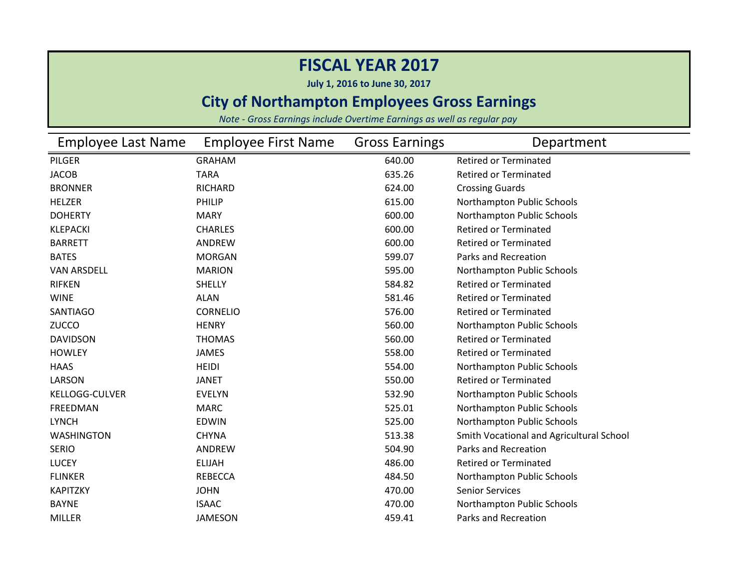**July 1, 2016 to June 30, 2017**

### **City of Northampton Employees Gross Earnings**

| Employee Last Name    | <b>Employee First Name</b> | <b>Gross Earnings</b> | Department                               |
|-----------------------|----------------------------|-----------------------|------------------------------------------|
| PILGER                | <b>GRAHAM</b>              | 640.00                | <b>Retired or Terminated</b>             |
| <b>JACOB</b>          | <b>TARA</b>                | 635.26                | <b>Retired or Terminated</b>             |
| <b>BRONNER</b>        | RICHARD                    | 624.00                | <b>Crossing Guards</b>                   |
| <b>HELZER</b>         | <b>PHILIP</b>              | 615.00                | Northampton Public Schools               |
| <b>DOHERTY</b>        | <b>MARY</b>                | 600.00                | Northampton Public Schools               |
| <b>KLEPACKI</b>       | <b>CHARLES</b>             | 600.00                | <b>Retired or Terminated</b>             |
| <b>BARRETT</b>        | ANDREW                     | 600.00                | <b>Retired or Terminated</b>             |
| <b>BATES</b>          | <b>MORGAN</b>              | 599.07                | <b>Parks and Recreation</b>              |
| <b>VAN ARSDELL</b>    | <b>MARION</b>              | 595.00                | Northampton Public Schools               |
| <b>RIFKEN</b>         | <b>SHELLY</b>              | 584.82                | <b>Retired or Terminated</b>             |
| <b>WINE</b>           | <b>ALAN</b>                | 581.46                | <b>Retired or Terminated</b>             |
| <b>SANTIAGO</b>       | <b>CORNELIO</b>            | 576.00                | <b>Retired or Terminated</b>             |
| <b>ZUCCO</b>          | <b>HENRY</b>               | 560.00                | Northampton Public Schools               |
| <b>DAVIDSON</b>       | <b>THOMAS</b>              | 560.00                | <b>Retired or Terminated</b>             |
| <b>HOWLEY</b>         | <b>JAMES</b>               | 558.00                | <b>Retired or Terminated</b>             |
| <b>HAAS</b>           | <b>HEIDI</b>               | 554.00                | Northampton Public Schools               |
| LARSON                | <b>JANET</b>               | 550.00                | <b>Retired or Terminated</b>             |
| <b>KELLOGG-CULVER</b> | <b>EVELYN</b>              | 532.90                | Northampton Public Schools               |
| <b>FREEDMAN</b>       | <b>MARC</b>                | 525.01                | Northampton Public Schools               |
| <b>LYNCH</b>          | <b>EDWIN</b>               | 525.00                | Northampton Public Schools               |
| <b>WASHINGTON</b>     | <b>CHYNA</b>               | 513.38                | Smith Vocational and Agricultural School |
| <b>SERIO</b>          | ANDREW                     | 504.90                | Parks and Recreation                     |
| <b>LUCEY</b>          | <b>ELIJAH</b>              | 486.00                | <b>Retired or Terminated</b>             |
| <b>FLINKER</b>        | <b>REBECCA</b>             | 484.50                | Northampton Public Schools               |
| ΚΑΡΙΤΖΚΥ              | <b>JOHN</b>                | 470.00                | <b>Senior Services</b>                   |
| <b>BAYNE</b>          | <b>ISAAC</b>               | 470.00                | Northampton Public Schools               |
| <b>MILLER</b>         | <b>JAMESON</b>             | 459.41                | Parks and Recreation                     |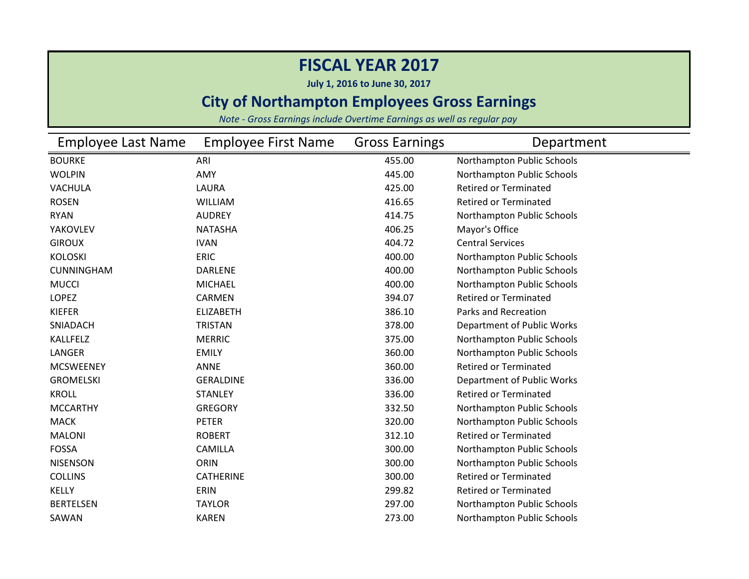**July 1, 2016 to June 30, 2017**

### **City of Northampton Employees Gross Earnings**

| <b>Employee Last Name</b> | <b>Employee First Name</b> | <b>Gross Earnings</b> | Department                   |
|---------------------------|----------------------------|-----------------------|------------------------------|
| <b>BOURKE</b>             | ARI                        | 455.00                | Northampton Public Schools   |
| <b>WOLPIN</b>             | AMY                        | 445.00                | Northampton Public Schools   |
| <b>VACHULA</b>            | LAURA                      | 425.00                | <b>Retired or Terminated</b> |
| <b>ROSEN</b>              | <b>WILLIAM</b>             | 416.65                | <b>Retired or Terminated</b> |
| <b>RYAN</b>               | <b>AUDREY</b>              | 414.75                | Northampton Public Schools   |
| YAKOVLEV                  | <b>NATASHA</b>             | 406.25                | Mayor's Office               |
| <b>GIROUX</b>             | <b>IVAN</b>                | 404.72                | <b>Central Services</b>      |
| <b>KOLOSKI</b>            | <b>ERIC</b>                | 400.00                | Northampton Public Schools   |
| <b>CUNNINGHAM</b>         | <b>DARLENE</b>             | 400.00                | Northampton Public Schools   |
| <b>MUCCI</b>              | <b>MICHAEL</b>             | 400.00                | Northampton Public Schools   |
| LOPEZ                     | CARMEN                     | 394.07                | <b>Retired or Terminated</b> |
| <b>KIEFER</b>             | <b>ELIZABETH</b>           | 386.10                | <b>Parks and Recreation</b>  |
| SNIADACH                  | <b>TRISTAN</b>             | 378.00                | Department of Public Works   |
| <b>KALLFELZ</b>           | <b>MERRIC</b>              | 375.00                | Northampton Public Schools   |
| LANGER                    | <b>EMILY</b>               | 360.00                | Northampton Public Schools   |
| <b>MCSWEENEY</b>          | <b>ANNE</b>                | 360.00                | <b>Retired or Terminated</b> |
| <b>GROMELSKI</b>          | <b>GERALDINE</b>           | 336.00                | Department of Public Works   |
| <b>KROLL</b>              | <b>STANLEY</b>             | 336.00                | <b>Retired or Terminated</b> |
| <b>MCCARTHY</b>           | <b>GREGORY</b>             | 332.50                | Northampton Public Schools   |
| <b>MACK</b>               | <b>PETER</b>               | 320.00                | Northampton Public Schools   |
| <b>MALONI</b>             | <b>ROBERT</b>              | 312.10                | <b>Retired or Terminated</b> |
| <b>FOSSA</b>              | <b>CAMILLA</b>             | 300.00                | Northampton Public Schools   |
| <b>NISENSON</b>           | ORIN                       | 300.00                | Northampton Public Schools   |
| <b>COLLINS</b>            | <b>CATHERINE</b>           | 300.00                | <b>Retired or Terminated</b> |
| <b>KELLY</b>              | ERIN                       | 299.82                | <b>Retired or Terminated</b> |
| <b>BERTELSEN</b>          | <b>TAYLOR</b>              | 297.00                | Northampton Public Schools   |
| SAWAN                     | <b>KAREN</b>               | 273.00                | Northampton Public Schools   |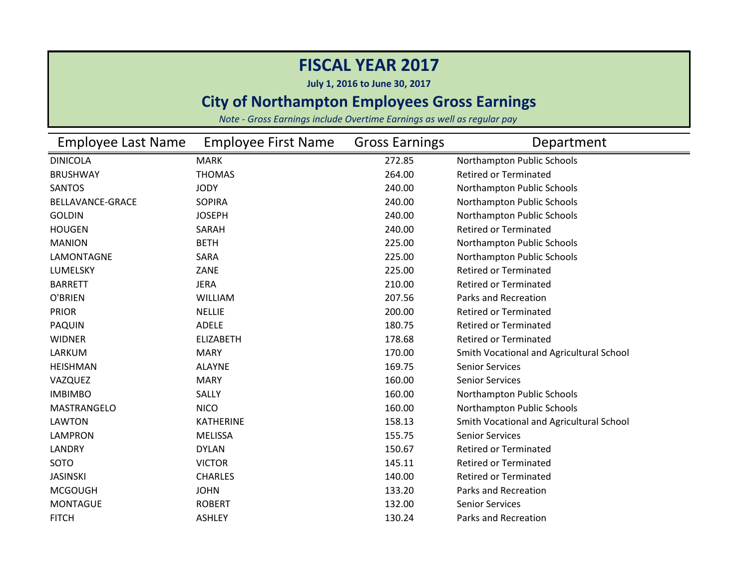**July 1, 2016 to June 30, 2017**

### **City of Northampton Employees Gross Earnings**

| Employee Last Name      | <b>Employee First Name</b> | <b>Gross Earnings</b> | Department                               |
|-------------------------|----------------------------|-----------------------|------------------------------------------|
| <b>DINICOLA</b>         | <b>MARK</b>                | 272.85                | Northampton Public Schools               |
| <b>BRUSHWAY</b>         | <b>THOMAS</b>              | 264.00                | <b>Retired or Terminated</b>             |
| <b>SANTOS</b>           | <b>JODY</b>                | 240.00                | Northampton Public Schools               |
| <b>BELLAVANCE-GRACE</b> | <b>SOPIRA</b>              | 240.00                | Northampton Public Schools               |
| <b>GOLDIN</b>           | <b>JOSEPH</b>              | 240.00                | Northampton Public Schools               |
| <b>HOUGEN</b>           | SARAH                      | 240.00                | <b>Retired or Terminated</b>             |
| <b>MANION</b>           | <b>BETH</b>                | 225.00                | Northampton Public Schools               |
| LAMONTAGNE              | SARA                       | 225.00                | Northampton Public Schools               |
| LUMELSKY                | ZANE                       | 225.00                | <b>Retired or Terminated</b>             |
| <b>BARRETT</b>          | <b>JERA</b>                | 210.00                | <b>Retired or Terminated</b>             |
| O'BRIEN                 | <b>WILLIAM</b>             | 207.56                | Parks and Recreation                     |
| <b>PRIOR</b>            | <b>NELLIE</b>              | 200.00                | <b>Retired or Terminated</b>             |
| <b>PAQUIN</b>           | <b>ADELE</b>               | 180.75                | <b>Retired or Terminated</b>             |
| <b>WIDNER</b>           | <b>ELIZABETH</b>           | 178.68                | <b>Retired or Terminated</b>             |
| LARKUM                  | <b>MARY</b>                | 170.00                | Smith Vocational and Agricultural School |
| <b>HEISHMAN</b>         | <b>ALAYNE</b>              | 169.75                | <b>Senior Services</b>                   |
| VAZQUEZ                 | <b>MARY</b>                | 160.00                | <b>Senior Services</b>                   |
| <b>IMBIMBO</b>          | SALLY                      | 160.00                | Northampton Public Schools               |
| MASTRANGELO             | <b>NICO</b>                | 160.00                | Northampton Public Schools               |
| <b>LAWTON</b>           | <b>KATHERINE</b>           | 158.13                | Smith Vocational and Agricultural School |
| <b>LAMPRON</b>          | <b>MELISSA</b>             | 155.75                | <b>Senior Services</b>                   |
| LANDRY                  | <b>DYLAN</b>               | 150.67                | <b>Retired or Terminated</b>             |
| SOTO                    | <b>VICTOR</b>              | 145.11                | <b>Retired or Terminated</b>             |
| <b>JASINSKI</b>         | <b>CHARLES</b>             | 140.00                | <b>Retired or Terminated</b>             |
| <b>MCGOUGH</b>          | <b>JOHN</b>                | 133.20                | <b>Parks and Recreation</b>              |
| <b>MONTAGUE</b>         | <b>ROBERT</b>              | 132.00                | <b>Senior Services</b>                   |
| <b>FITCH</b>            | <b>ASHLEY</b>              | 130.24                | <b>Parks and Recreation</b>              |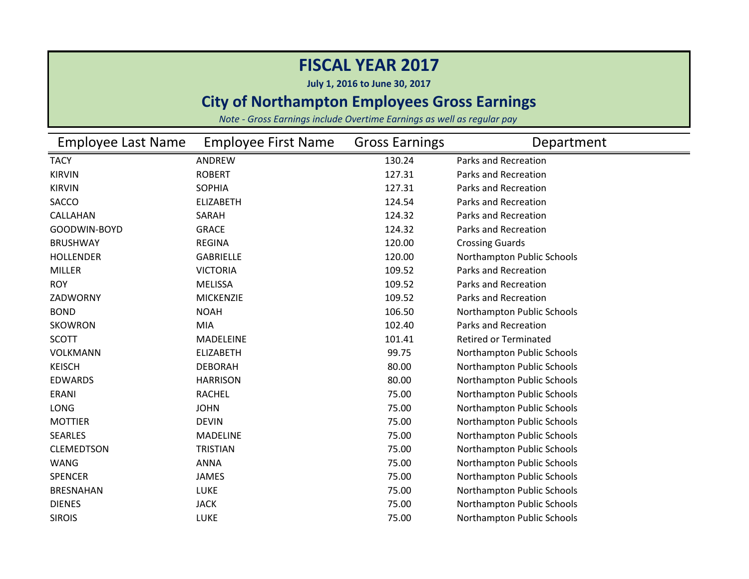**July 1, 2016 to June 30, 2017**

### **City of Northampton Employees Gross Earnings**

| Employee Last Name | <b>Employee First Name</b> | <b>Gross Earnings</b> | Department                   |
|--------------------|----------------------------|-----------------------|------------------------------|
| <b>TACY</b>        | ANDREW                     | 130.24                | Parks and Recreation         |
| <b>KIRVIN</b>      | <b>ROBERT</b>              | 127.31                | Parks and Recreation         |
| <b>KIRVIN</b>      | <b>SOPHIA</b>              | 127.31                | Parks and Recreation         |
| SACCO              | <b>ELIZABETH</b>           | 124.54                | Parks and Recreation         |
| CALLAHAN           | SARAH                      | 124.32                | Parks and Recreation         |
| GOODWIN-BOYD       | <b>GRACE</b>               | 124.32                | Parks and Recreation         |
| <b>BRUSHWAY</b>    | <b>REGINA</b>              | 120.00                | <b>Crossing Guards</b>       |
| <b>HOLLENDER</b>   | <b>GABRIELLE</b>           | 120.00                | Northampton Public Schools   |
| <b>MILLER</b>      | <b>VICTORIA</b>            | 109.52                | Parks and Recreation         |
| <b>ROY</b>         | <b>MELISSA</b>             | 109.52                | Parks and Recreation         |
| ZADWORNY           | <b>MICKENZIE</b>           | 109.52                | Parks and Recreation         |
| <b>BOND</b>        | <b>NOAH</b>                | 106.50                | Northampton Public Schools   |
| <b>SKOWRON</b>     | MIA                        | 102.40                | Parks and Recreation         |
| <b>SCOTT</b>       | <b>MADELEINE</b>           | 101.41                | <b>Retired or Terminated</b> |
| <b>VOLKMANN</b>    | <b>ELIZABETH</b>           | 99.75                 | Northampton Public Schools   |
| <b>KEISCH</b>      | <b>DEBORAH</b>             | 80.00                 | Northampton Public Schools   |
| <b>EDWARDS</b>     | <b>HARRISON</b>            | 80.00                 | Northampton Public Schools   |
| ERANI              | <b>RACHEL</b>              | 75.00                 | Northampton Public Schools   |
| LONG               | <b>JOHN</b>                | 75.00                 | Northampton Public Schools   |
| <b>MOTTIER</b>     | <b>DEVIN</b>               | 75.00                 | Northampton Public Schools   |
| <b>SEARLES</b>     | <b>MADELINE</b>            | 75.00                 | Northampton Public Schools   |
| <b>CLEMEDTSON</b>  | <b>TRISTIAN</b>            | 75.00                 | Northampton Public Schools   |
| <b>WANG</b>        | <b>ANNA</b>                | 75.00                 | Northampton Public Schools   |
| <b>SPENCER</b>     | <b>JAMES</b>               | 75.00                 | Northampton Public Schools   |
| <b>BRESNAHAN</b>   | LUKE                       | 75.00                 | Northampton Public Schools   |
| <b>DIENES</b>      | <b>JACK</b>                | 75.00                 | Northampton Public Schools   |
| <b>SIROIS</b>      | LUKE                       | 75.00                 | Northampton Public Schools   |